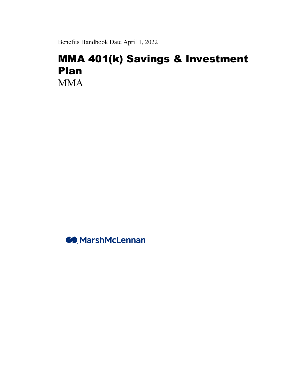Benefits Handbook Date April 1, 2022

# MMA 401(k) Savings & Investment Plan MMA

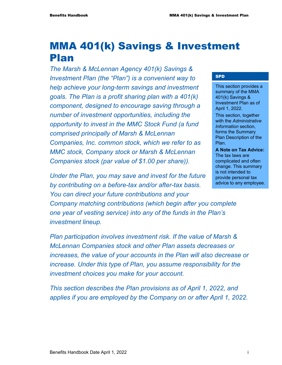# MMA 401(k) Savings & Investment Plan

*The Marsh & McLennan Agency 401(k) Savings & Investment Plan (the "Plan") is a convenient way to help achieve your long-term savings and investment goals. The Plan is a profit sharing plan with a 401(k) component, designed to encourage saving through a number of investment opportunities, including the opportunity to invest in the MMC Stock Fund (a fund comprised principally of Marsh & McLennan Companies, Inc. common stock, which we refer to as MMC stock, Company stock or Marsh & McLennan Companies stock (par value of \$1.00 per share)).* 

*Under the Plan, you may save and invest for the future by contributing on a before-tax and/or after-tax basis. You can direct your future contributions and your* 

*Company matching contributions (which begin after you complete one year of vesting service) into any of the funds in the Plan's investment lineup.* 

*Plan participation involves investment risk. If the value of Marsh & McLennan Companies stock and other Plan assets decreases or increases, the value of your accounts in the Plan will also decrease or increase. Under this type of Plan, you assume responsibility for the investment choices you make for your account.* 

*This section describes the Plan provisions as of April 1, 2022, and applies if you are employed by the Company on or after April 1, 2022.* 

#### SPD

This section provides a summary of the MMA 401(k) Savings & Investment Plan as of April 1, 2022.

This section, together with the *Administrative Information* section, forms the Summary Plan Description of the Plan.

**A Note on Tax Advice:**  The tax laws are complicated and often change. This summary is not intended to provide personal tax advice to any employee.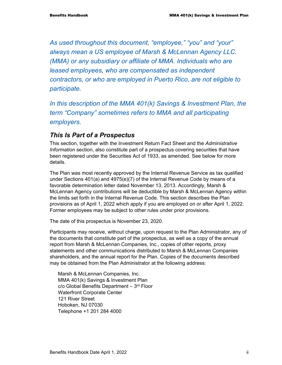*As used throughout this document, "employee," "you" and "your" always mean a US employee of Marsh & McLennan Agency LLC. (MMA) or any subsidiary or affiliate of MMA. Individuals who are leased employees, who are compensated as independent contractors, or who are employed in Puerto Rico, are not eligible to participate.* 

*In this description of the MMA 401(k) Savings & Investment Plan, the term "Company" sometimes refers to MMA and all participating employers.* 

### *This Is Part of a Prospectus*

This section, together with the Investment Return Fact Sheet and the *Administrative Information* section, also constitute part of a prospectus covering securities that have been registered under the Securities Act of 1933, as amended. See below for more details.

The Plan was most recently approved by the Internal Revenue Service as tax qualified under Sections 401(a) and 4975(e)(7) of the Internal Revenue Code by means of a favorable determination letter dated November 13, 2013. Accordingly, Marsh & McLennan Agency contributions will be deductible by Marsh & McLennan Agency within the limits set forth in the Internal Revenue Code. This section describes the Plan provisions as of April 1, 2022 which apply if you are employed on or after April 1, 2022. Former employees may be subject to other rules under prior provisions.

The date of this prospectus is November 23, 2020.

Participants may receive, without charge, upon request to the Plan Administrator, any of the documents that constitute part of the prospectus, as well as a copy of the annual report from Marsh & McLennan Companies, Inc., copies of other reports, proxy statements and other communications distributed to Marsh & McLennan Companies shareholders, and the annual report for the Plan. Copies of the documents described may be obtained from the Plan Administrator at the following address:

Marsh & McLennan Companies, Inc. MMA 401(k) Savings & Investment Plan  $c/o$  Global Benefits Department  $-3<sup>rd</sup>$  Floor Waterfront Corporate Center 121 River Street Hoboken, NJ 07030 Telephone +1 201 284 4000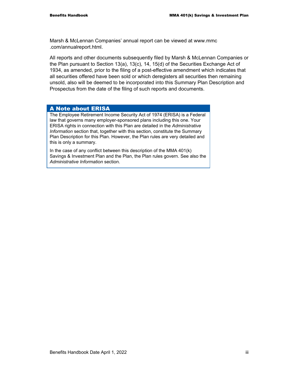Marsh & McLennan Companies' annual report can be viewed at www.mmc .com/annualreport.html.

All reports and other documents subsequently filed by Marsh & McLennan Companies or the Plan pursuant to Section 13(a), 13(c), 14, 15(d) of the Securities Exchange Act of 1934, as amended, prior to the filing of a post-effective amendment which indicates that all securities offered have been sold or which deregisters all securities then remaining unsold, also will be deemed to be incorporated into this Summary Plan Description and Prospectus from the date of the filing of such reports and documents.

#### A Note about ERISA

The Employee Retirement Income Security Act of 1974 (ERISA) is a Federal law that governs many employer-sponsored plans including this one. Your ERISA rights in connection with this Plan are detailed in the *Administrative Information* section that, together with this section, constitute the Summary Plan Description for this Plan. However, the Plan rules are very detailed and this is only a summary.

In the case of any conflict between this description of the MMA 401(k) Savings & Investment Plan and the Plan, the Plan rules govern. See also the *Administrative Information* section.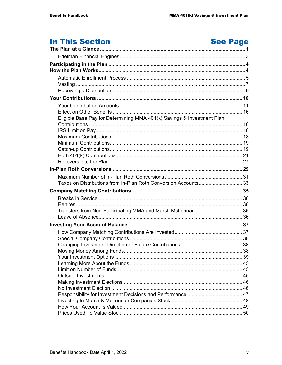# **In This Section**

# **See Page**

| Eligible Base Pay for Determining MMA 401(k) Savings & Investment Plan |  |
|------------------------------------------------------------------------|--|
|                                                                        |  |
|                                                                        |  |
|                                                                        |  |
|                                                                        |  |
|                                                                        |  |
|                                                                        |  |
|                                                                        |  |
|                                                                        |  |
|                                                                        |  |
| Taxes on Distributions from In-Plan Roth Conversion Accounts33         |  |
|                                                                        |  |
|                                                                        |  |
|                                                                        |  |
| Transfers from Non-Participating MMA and Marsh McLennan  36            |  |
|                                                                        |  |
|                                                                        |  |
|                                                                        |  |
|                                                                        |  |
|                                                                        |  |
|                                                                        |  |
|                                                                        |  |
|                                                                        |  |
|                                                                        |  |
|                                                                        |  |
|                                                                        |  |
|                                                                        |  |
|                                                                        |  |
|                                                                        |  |
|                                                                        |  |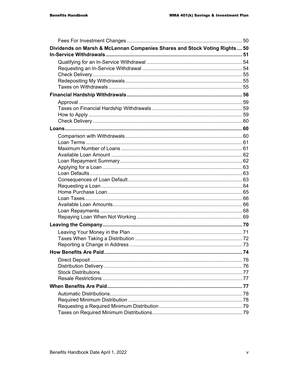| Dividends on Marsh & McLennan Companies Shares and Stock Voting Rights 50 |  |
|---------------------------------------------------------------------------|--|
|                                                                           |  |
|                                                                           |  |
|                                                                           |  |
|                                                                           |  |
|                                                                           |  |
|                                                                           |  |
|                                                                           |  |
|                                                                           |  |
|                                                                           |  |
|                                                                           |  |
|                                                                           |  |
|                                                                           |  |
|                                                                           |  |
|                                                                           |  |
|                                                                           |  |
|                                                                           |  |
|                                                                           |  |
|                                                                           |  |
|                                                                           |  |
|                                                                           |  |
|                                                                           |  |
|                                                                           |  |
|                                                                           |  |
|                                                                           |  |
|                                                                           |  |
|                                                                           |  |
|                                                                           |  |
| Reporting a Change in Address                                             |  |
|                                                                           |  |
|                                                                           |  |
|                                                                           |  |
|                                                                           |  |
|                                                                           |  |
|                                                                           |  |
|                                                                           |  |
|                                                                           |  |
|                                                                           |  |
|                                                                           |  |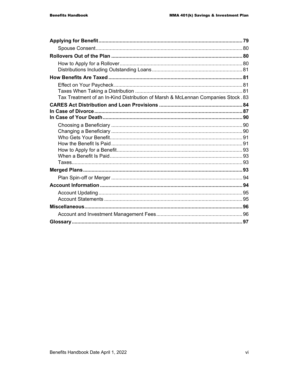| Tax Treatment of an In-Kind Distribution of Marsh & McLennan Companies Stock. 83 |  |
|----------------------------------------------------------------------------------|--|
|                                                                                  |  |
|                                                                                  |  |
|                                                                                  |  |
|                                                                                  |  |
|                                                                                  |  |
|                                                                                  |  |
|                                                                                  |  |
|                                                                                  |  |
|                                                                                  |  |
|                                                                                  |  |
|                                                                                  |  |
|                                                                                  |  |
|                                                                                  |  |
|                                                                                  |  |
|                                                                                  |  |
|                                                                                  |  |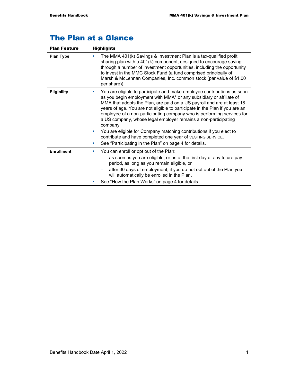# The Plan at a Glance

| <b>Plan Feature</b> | <b>Highlights</b>                                                                                                                                                                                                                                                                                                                                                                                                                                                                 |
|---------------------|-----------------------------------------------------------------------------------------------------------------------------------------------------------------------------------------------------------------------------------------------------------------------------------------------------------------------------------------------------------------------------------------------------------------------------------------------------------------------------------|
| <b>Plan Type</b>    | The MMA 401(k) Savings & Investment Plan is a tax-qualified profit<br><b>CONTRACTOR</b><br>sharing plan with a 401(k) component, designed to encourage saving<br>through a number of investment opportunities, including the opportunity<br>to invest in the MMC Stock Fund (a fund comprised principally of<br>Marsh & McLennan Companies, Inc. common stock (par value of \$1.00<br>per share)).                                                                                |
| <b>Eligibility</b>  | You are eligible to participate and make employee contributions as soon<br><b>College</b><br>as you begin employment with MMA* or any subsidiary or affiliate of<br>MMA that adopts the Plan, are paid on a US payroll and are at least 18<br>years of age. You are not eligible to participate in the Plan if you are an<br>employee of a non-participating company who is performing services for<br>a US company, whose legal employer remains a non-participating<br>company. |
|                     | You are eligible for Company matching contributions if you elect to<br>$\blacksquare$<br>contribute and have completed one year of VESTING SERVICE.<br>See "Participating in the Plan" on page 4 for details.<br>×                                                                                                                                                                                                                                                                |
| <b>Enrollment</b>   | You can enroll or opt out of the Plan:<br>×                                                                                                                                                                                                                                                                                                                                                                                                                                       |
|                     | as soon as you are eligible, or as of the first day of any future pay<br>period, as long as you remain eligible, or                                                                                                                                                                                                                                                                                                                                                               |
|                     | after 30 days of employment, if you do not opt out of the Plan you<br>will automatically be enrolled in the Plan.                                                                                                                                                                                                                                                                                                                                                                 |
|                     | See "How the Plan Works" on page 4 for details.<br>ш                                                                                                                                                                                                                                                                                                                                                                                                                              |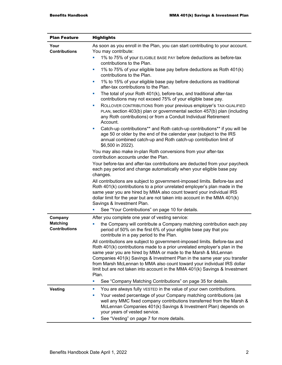| <b>Plan Feature</b>                                | <b>Highlights</b>                                                                                                                                                                                                                                                                                                                                                                                                                                                                                                                                                                                                                                                                                                                                                                                                                                                                                                                                                                                                                                                                                                                                                                                                                                                                                                                                                                                                                                                                                                                                                                                                                                                                                             |  |
|----------------------------------------------------|---------------------------------------------------------------------------------------------------------------------------------------------------------------------------------------------------------------------------------------------------------------------------------------------------------------------------------------------------------------------------------------------------------------------------------------------------------------------------------------------------------------------------------------------------------------------------------------------------------------------------------------------------------------------------------------------------------------------------------------------------------------------------------------------------------------------------------------------------------------------------------------------------------------------------------------------------------------------------------------------------------------------------------------------------------------------------------------------------------------------------------------------------------------------------------------------------------------------------------------------------------------------------------------------------------------------------------------------------------------------------------------------------------------------------------------------------------------------------------------------------------------------------------------------------------------------------------------------------------------------------------------------------------------------------------------------------------------|--|
| Your<br><b>Contributions</b>                       | As soon as you enroll in the Plan, you can start contributing to your account.<br>You may contribute:<br>1% to 75% of your ELIGIBLE BASE PAY before deductions as before-tax<br>contributions to the Plan.<br>1% to 75% of your eligible base pay before deductions as Roth 401(k)<br>ш<br>contributions to the Plan.<br>1% to 15% of your eligible base pay before deductions as traditional<br>ш<br>after-tax contributions to the Plan.<br>The total of your Roth 401(k), before-tax, and traditional after-tax<br>u,<br>contributions may not exceed 75% of your eligible base pay.<br>ROLLOVER CONTRIBUTIONS from your previous employer's TAX-QUALIFIED<br>ш<br>PLAN, section 403(b) plan or governmental section 457(b) plan (including<br>any Roth contributions) or from a Conduit Individual Retirement<br>Account.<br>Catch-up contributions** and Roth catch-up contributions** if you will be<br>ш<br>age 50 or older by the end of the calendar year (subject to the IRS<br>annual combined catch-up and Roth catch-up contribution limit of<br>\$6,500 in 2022).<br>You may also make in-plan Roth conversions from your after-tax<br>contribution accounts under the Plan.<br>Your before-tax and after-tax contributions are deducted from your paycheck<br>each pay period and change automatically when your eligible base pay<br>changes.<br>All contributions are subject to government-imposed limits. Before-tax and<br>Roth 401(k) contributions to a prior unrelated employer's plan made in the<br>same year you are hired by MMA also count toward your individual IRS<br>dollar limit for the year but are not taken into account in the MMA 401(k)<br>Savings & Investment Plan. |  |
| Company<br><b>Matching</b><br><b>Contributions</b> | See "Your Contributions" on page 10 for details.<br>After you complete one year of vesting service:<br>the Company will contribute a Company matching contribution each pay<br>period of 50% on the first 6% of your eligible base pay that you<br>contribute in a pay period to the Plan.<br>All contributions are subject to government-imposed limits. Before-tax and<br>Roth 401(k) contributions made to a prior unrelated employer's plan in the<br>same year you are hired by MMA or made to the Marsh & McLennan<br>Companies 401(k) Savings & Investment Plan in the same year you transfer<br>from Marsh McLennan to MMA also count toward your individual IRS dollar<br>limit but are not taken into account in the MMA 401(k) Savings & Investment<br>Plan.<br>See "Company Matching Contributions" on page 35 for details.<br>ш                                                                                                                                                                                                                                                                                                                                                                                                                                                                                                                                                                                                                                                                                                                                                                                                                                                                  |  |
|                                                    | ш                                                                                                                                                                                                                                                                                                                                                                                                                                                                                                                                                                                                                                                                                                                                                                                                                                                                                                                                                                                                                                                                                                                                                                                                                                                                                                                                                                                                                                                                                                                                                                                                                                                                                                             |  |
| <b>Vesting</b>                                     | You are always fully VESTED in the value of your own contributions.<br>Your vested percentage of your Company matching contributions (as<br>×<br>well any MMC fixed company contributions transferred from the Marsh &<br>McLennan Companies 401(k) Savings & Investment Plan) depends on<br>your years of vested service.<br>See "Vesting" on page 7 for more details.<br>ш                                                                                                                                                                                                                                                                                                                                                                                                                                                                                                                                                                                                                                                                                                                                                                                                                                                                                                                                                                                                                                                                                                                                                                                                                                                                                                                                  |  |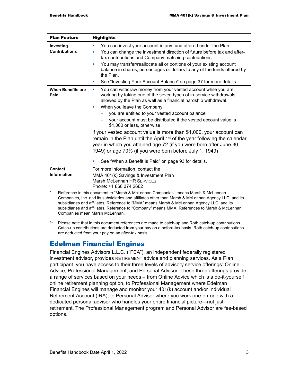| <b>Plan Feature</b>                  | <b>Highlights</b>                                                                                                                                                                                                                                                                                                                                                                                                                                                                                                                                                                                                                                                                                                                                                         |
|--------------------------------------|---------------------------------------------------------------------------------------------------------------------------------------------------------------------------------------------------------------------------------------------------------------------------------------------------------------------------------------------------------------------------------------------------------------------------------------------------------------------------------------------------------------------------------------------------------------------------------------------------------------------------------------------------------------------------------------------------------------------------------------------------------------------------|
| Investing<br><b>Contributions</b>    | You can invest your account in any fund offered under the Plan.<br>You can change the investment direction of future before tax and after-<br>tax contributions and Company matching contributions.<br>You may transfer/reallocate all or portions of your existing account<br>balance in shares, percentages or dollars to any of the funds offered by<br>the Plan.<br>See "Investing Your Account Balance" on page 37 for more details.                                                                                                                                                                                                                                                                                                                                 |
| <b>When Benefits are</b><br>Paid     | You can withdraw money from your vested account while you are<br>×<br>working by taking one of the seven types of in-service withdrawals<br>allowed by the Plan as well as a financial hardship withdrawal.<br>When you leave the Company:<br>u.<br>you are entitled to your vested account balance<br>your account must be distributed if the vested account value is<br>\$1,000 or less, otherwise<br>if your vested account value is more than \$1,000, your account can<br>remain in the Plan until the April 1 <sup>st</sup> of the year following the calendar<br>year in which you attained age 72 (if you were born after June 30,<br>1949) or age $70\frac{1}{2}$ (if you were born before July 1, 1949)<br>See "When a Benefit Is Paid" on page 93 for details. |
| <b>Contact</b><br><b>Information</b> | For more information, contact the:<br>MMA 401(k) Savings & Investment Plan<br><b>Marsh McLennan HR SERVICES</b><br>Phone: +1 866 374 2662                                                                                                                                                                                                                                                                                                                                                                                                                                                                                                                                                                                                                                 |
| $\star$                              | Reference in this document to "Marsh & McLennan Companies" means Marsh & McLennan<br>Companies, Inc. and its subsidiaries and affiliates other than Marsh & McLennan Agency LLC. and its                                                                                                                                                                                                                                                                                                                                                                                                                                                                                                                                                                                  |

Companies, Inc. and its subsidiaries and affiliates other than Marsh & McLennan Agency LLC. and its subsidiaries and affiliates. Reference to "MMA" means Marsh & McLennan Agency LLC. and its subsidiaries and affiliates. Reference to "Company" means MMA. References to Marsh & McLennan Companies mean Marsh McLennan.

\*\* Please note that in this document references are made to catch-up and Roth catch-up contributions. Catch-up contributions are deducted from your pay on a before-tax basis. Roth catch-up contributions are deducted from your pay on an after-tax basis.

# Edelman Financial Engines

Financial Engines Advisors L.L.C. ("FEA"), an independent federally registered investment advisor, provides RETIREMENT advice and planning services. As a Plan participant, you have access to their three levels of advisory service offerings: Online Advice, Professional Management, and Personal Advisor. These three offerings provide a range of services based on your needs – from Online Advice which is a do-it-yourself online retirement planning option, to Professional Management where Edelman Financial Engines will manage and monitor your 401(k) account and/or Individual Retirement Account (IRA), to Personal Advisor where you work one-on-one with a dedicated personal advisor who handles your entire financial picture—not just retirement. The Professional Management program and Personal Advisor are fee-based options.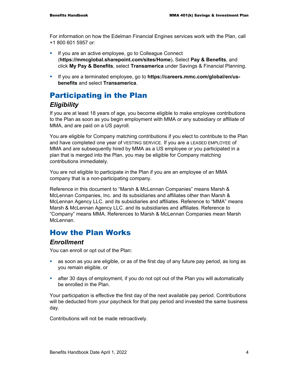For information on how the Edelman Financial Engines services work with the Plan, call +1 800 601 5957 or:

- **If you are an active employee, go to Colleague Connect** (**https://mmcglobal.sharepoint.com/sites/Home**)**.** Select **Pay & Benefits**, and click **My Pay & Benefits**, select **Transamerica** under Savings & Financial Planning.
- If you are a terminated employee, go to **https://careers.mmc.com/global/en/usbenefits** and select **Transamerica**.

# Participating in the Plan

### *Eligibility*

If you are at least 18 years of age, you become eligible to make employee contributions to the Plan as soon as you begin employment with MMA or any subsidiary or affiliate of MMA, and are paid on a US payroll.

You are eligible for Company matching contributions if you elect to contribute to the Plan and have completed one year of VESTING SERVICE. If you are a LEASED EMPLOYEE of MMA and are subsequently hired by MMA as a US employee or you participated in a plan that is merged into the Plan, you may be eligible for Company matching contributions immediately.

You are not eligible to participate in the Plan if you are an employee of an MMA company that is a non-participating company.

Reference in this document to "Marsh & McLennan Companies" means Marsh & McLennan Companies, Inc. and its subsidiaries and affiliates other than Marsh & McLennan Agency LLC. and its subsidiaries and affiliates. Reference to "MMA" means Marsh & McLennan Agency LLC. and its subsidiaries and affiliates. Reference to "Company" means MMA. References to Marsh & McLennan Companies mean Marsh McLennan

# How the Plan Works

### *Enrollment*

You can enroll or opt out of the Plan:

- as soon as you are eligible, or as of the first day of any future pay period, as long as you remain eligible, or
- after 30 days of employment, if you do not opt out of the Plan you will automatically be enrolled in the Plan.

Your participation is effective the first day of the next available pay period. Contributions will be deducted from your paycheck for that pay period and invested the same business day.

Contributions will not be made retroactively.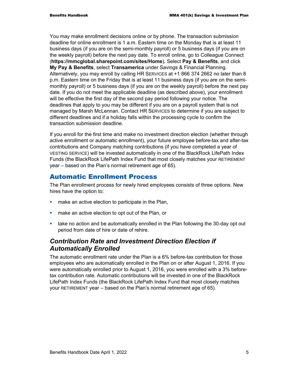You may make enrollment decisions online or by phone. The transaction submission deadline for online enrollment is 1 a.m. Eastern time on the Monday that is at least 11 business days (if you are on the semi-monthly payroll) or 5 business days (if you are on the weekly payroll) before the next pay date. To enroll online, go to Colleague Connect (**https://mmcglobal.sharepoint.com/sites/Home**)**.** Select **Pay & Benefits**, and click **My Pay & Benefits**, select **Transamerica** under Savings & Financial Planning. Alternatively, you may enroll by calling HR SERVICES at +1 866 374 2662 no later than 8 p.m. Eastern time on the Friday that is at least 11 business days (if you are on the semimonthly payroll) or 5 business days (if you are on the weekly payroll) before the next pay date. If you do not meet the applicable deadline (as described above), your enrollment will be effective the first day of the second pay period following your notice. The deadlines that apply to you may be different if you are on a payroll system that is not managed by Marsh McLennan. Contact HR SERVICES to determine if you are subject to different deadlines and if a holiday falls within the processing cycle to confirm the transaction submission deadline.

If you enroll for the first time and make no investment direction election (whether through active enrollment or automatic enrollment), your future employee before-tax and after-tax contributions and Company matching contributions (if you have completed a year of VESTING SERVICE) will be invested automatically in one of the BlackRock LifePath Index Funds (the BlackRock LifePath Index Fund that most closely matches your RETIREMENT year – based on the Plan's normal retirement age of 65).

### Automatic Enrollment Process

The Plan enrollment process for newly hired employees consists of three options. New hires have the option to:

- **numake an active election to participate in the Plan,**
- **numake an active election to opt out of the Plan, or**
- take no action and be automatically enrolled in the Plan following the 30-day opt out period from date of hire or date of rehire.

# *Contribution Rate and Investment Direction Election if Automatically Enrolled*

The automatic enrollment rate under the Plan is a 6% before-tax contribution for those employees who are automatically enrolled in the Plan on or after August 1, 2016. If you were automatically enrolled prior to August 1, 2016, you were enrolled with a 3% beforetax contribution rate. Automatic contributions will be invested in one of the BlackRock LifePath Index Funds (the BlackRock LifePath Index Fund that most closely matches your RETIREMENT year – based on the Plan's normal retirement age of 65).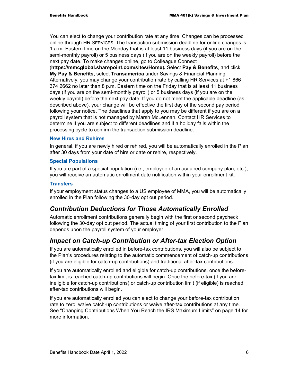You can elect to change your contribution rate at any time. Changes can be processed online through HR SERVICES. The transaction submission deadline for online changes is 1 a.m. Eastern time on the Monday that is at least 11 business days (if you are on the semi-monthly payroll) or 5 business days (if you are on the weekly payroll) before the next pay date. To make changes online, go to Colleague Connect

(**https://mmcglobal.sharepoint.com/sites/Home**)**.** Select **Pay & Benefits**, and click **My Pay & Benefits**, select **Transamerica** under Savings & Financial Planning. Alternatively, you may change your contribution rate by calling HR Services at +1 866 374 2662 no later than 8 p.m. Eastern time on the Friday that is at least 11 business days (if you are on the semi-monthly payroll) or 5 business days (if you are on the weekly payroll) before the next pay date. If you do not meet the applicable deadline (as described above), your change will be effective the first day of the second pay period following your notice. The deadlines that apply to you may be different if you are on a payroll system that is not managed by Marsh McLennan. Contact HR Services to determine if you are subject to different deadlines and if a holiday falls within the processing cycle to confirm the transaction submission deadline.

#### **New Hires and Rehires**

In general, if you are newly hired or rehired, you will be automatically enrolled in the Plan after 30 days from your date of hire or date or rehire, respectively.

#### **Special Populations**

If you are part of a special population (i.e., employee of an acquired company plan, etc.), you will receive an automatic enrollment date notification within your enrollment kit.

#### **Transfers**

If your employment status changes to a US employee of MMA, you will be automatically enrolled in the Plan following the 30-day opt out period.

# *Contribution Deductions for Those Automatically Enrolled*

Automatic enrollment contributions generally begin with the first or second paycheck following the 30-day opt out period. The actual timing of your first contribution to the Plan depends upon the payroll system of your employer.

### *Impact on Catch-up Contribution or After-tax Election Option*

If you are automatically enrolled in before-tax contributions, you will also be subject to the Plan's procedures relating to the automatic commencement of catch-up contributions (if you are eligible for catch-up contributions) and traditional after-tax contributions.

If you are automatically enrolled and eligible for catch-up contributions, once the beforetax limit is reached catch-up contributions will begin. Once the before-tax (if you are ineligible for catch-up contributions) or catch-up contribution limit (if eligible) is reached, after-tax contributions will begin.

If you are automatically enrolled you can elect to change your before-tax contribution rate to zero, waive catch-up contributions or waive after-tax contributions at any time. See "Changing Contributions When You Reach the IRS Maximum Limits" on page 14 for more information.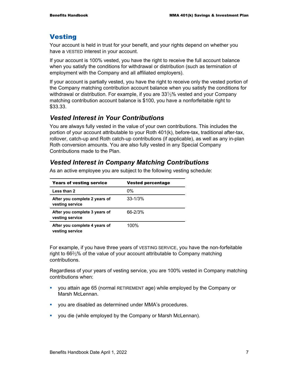# Vesting

Your account is held in trust for your benefit, and your rights depend on whether you have a VESTED interest in your account.

If your account is 100% vested, you have the right to receive the full account balance when you satisfy the conditions for withdrawal or distribution (such as termination of employment with the Company and all affiliated employers).

If your account is partially vested, you have the right to receive only the vested portion of the Company matching contribution account balance when you satisfy the conditions for withdrawal or distribution. For example, if you are  $33\frac{1}{3}\%$  vested and your Company matching contribution account balance is \$100, you have a nonforfeitable right to \$33.33.

### *Vested Interest in Your Contributions*

You are always fully vested in the value of your own contributions. This includes the portion of your account attributable to your Roth 401(k), before-tax, traditional after-tax, rollover, catch-up and Roth catch-up contributions (if applicable), as well as any in-plan Roth conversion amounts. You are also fully vested in any Special Company Contributions made to the Plan.

# *Vested Interest in Company Matching Contributions*

| <b>Years of vesting service</b>                  | <b>Vested percentage</b> |
|--------------------------------------------------|--------------------------|
| Less than 2                                      | 0%                       |
| After you complete 2 years of<br>vesting service | $33 - 1/3%$              |
| After you complete 3 years of<br>vesting service | 66-2/3%                  |
| After you complete 4 years of<br>vesting service | $100\%$                  |

As an active employee you are subject to the following vesting schedule:

For example, if you have three years of VESTING SERVICE, you have the non-forfeitable right to 662⁄3% of the value of your account attributable to Company matching contributions.

Regardless of your years of vesting service, you are 100% vested in Company matching contributions when:

- you attain age 65 (normal RETIREMENT age) while employed by the Company or Marsh McLennan.
- you are disabled as determined under MMA's procedures.
- you die (while employed by the Company or Marsh McLennan).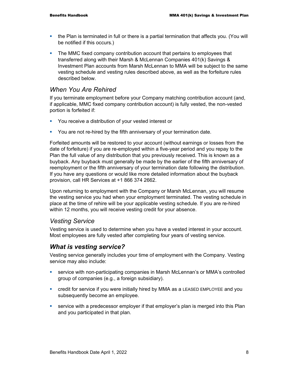- the Plan is terminated in full or there is a partial termination that affects you. (You will be notified if this occurs.)
- The MMC fixed company contribution account that pertains to employees that transferred along with their Marsh & McLennan Companies 401(k) Savings & Investment Plan accounts from Marsh McLennan to MMA will be subject to the same vesting schedule and vesting rules described above, as well as the forfeiture rules described below.

### *When You Are Rehired*

If you terminate employment before your Company matching contribution account (and, if applicable, MMC fixed company contribution account) is fully vested, the non-vested portion is forfeited if:

- **•** You receive a distribution of your vested interest or
- **•** You are not re-hired by the fifth anniversary of your termination date.

Forfeited amounts will be restored to your account (without earnings or losses from the date of forfeiture) if you are re-employed within a five-year period and you repay to the Plan the full value of any distribution that you previously received. This is known as a buyback. Any buyback must generally be made by the earlier of the fifth anniversary of reemployment or the fifth anniversary of your termination date following the distribution. If you have any questions or would like more detailed information about the buyback provision, call HR Services at +1 866 374 2662.

Upon returning to employment with the Company or Marsh McLennan, you will resume the vesting service you had when your employment terminated. The vesting schedule in place at the time of rehire will be your applicable vesting schedule. If you are re-hired within 12 months, you will receive vesting credit for your absence.

#### *Vesting Service*

Vesting service is used to determine when you have a vested interest in your account. Most employees are fully vested after completing four years of vesting service.

### *What is vesting service?*

Vesting service generally includes your time of employment with the Company. Vesting service may also include:

- service with non-participating companies in Marsh McLennan's or MMA's controlled group of companies (e.g., a foreign subsidiary).
- credit for service if you were initially hired by MMA as a LEASED EMPLOYEE and you subsequently become an employee.
- service with a predecessor employer if that employer's plan is merged into this Plan and you participated in that plan.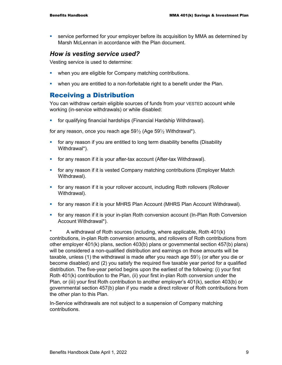service performed for your employer before its acquisition by MMA as determined by Marsh McLennan in accordance with the Plan document.

### *How is vesting service used?*

Vesting service is used to determine:

- when you are eligible for Company matching contributions.
- when you are entitled to a non-forfeitable right to a benefit under the Plan.

### Receiving a Distribution

You can withdraw certain eligible sources of funds from your VESTED account while working (in-service withdrawals) or while disabled:

for qualifying financial hardships (Financial Hardship Withdrawal).

for any reason, once you reach age  $59\frac{1}{2}$  (Age  $59\frac{1}{2}$  Withdrawal\*).

- **for any reason if you are entitled to long term disability benefits (Disability** Withdrawal\*).
- for any reason if it is your after-tax account (After-tax Withdrawal).
- **Fact any reason if it is vested Company matching contributions (Employer Match)** Withdrawal).
- for any reason if it is your rollover account, including Roth rollovers (Rollover Withdrawal).
- for any reason if it is your MHRS Plan Account (MHRS Plan Account Withdrawal).
- **fi** for any reason if it is your in-plan Roth conversion account (In-Plan Roth Conversion Account Withdrawal\*).

\* A withdrawal of Roth sources (including, where applicable, Roth 401(k) contributions, in-plan Roth conversion amounts, and rollovers of Roth contributions from other employer 401(k) plans, section 403(b) plans or governmental section 457(b) plans) will be considered a non-qualified distribution and earnings on those amounts will be taxable, unless (1) the withdrawal is made after you reach age  $59\frac{1}{2}$  (or after you die or become disabled) and (2) you satisfy the required five taxable year period for a qualified distribution. The five-year period begins upon the earliest of the following: (i) your first Roth 401(k) contribution to the Plan, (ii) your first in-plan Roth conversion under the Plan, or (iii) your first Roth contribution to another employer's 401(k), section 403(b) or governmental section 457(b) plan if you made a direct rollover of Roth contributions from the other plan to this Plan.

In-Service withdrawals are not subject to a suspension of Company matching contributions.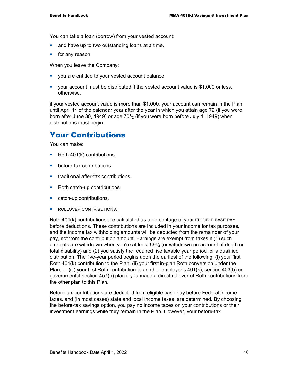You can take a loan (borrow) from your vested account:

- and have up to two outstanding loans at a time.
- $\blacksquare$  for any reason.

When you leave the Company:

- **•** you are entitled to your vested account balance.
- your account must be distributed if the vested account value is \$1,000 or less, otherwise.

if your vested account value is more than \$1,000, your account can remain in the Plan until April 1<sup>st</sup> of the calendar year after the year in which you attain age 72 (if you were born after June 30, 1949) or age  $70\frac{1}{2}$  (if you were born before July 1, 1949) when distributions must begin.

# Your Contributions

You can make:

- Roth 401(k) contributions.
- **before-tax contributions.**
- **traditional after-tax contributions.**
- Roth catch-up contributions.
- catch-up contributions.
- **ROLLOVER CONTRIBUTIONS.**

Roth 401(k) contributions are calculated as a percentage of your ELIGIBLE BASE PAY before deductions. These contributions are included in your income for tax purposes, and the income tax withholding amounts will be deducted from the remainder of your pay, not from the contribution amount. Earnings are exempt from taxes if (1) such amounts are withdrawn when you're at least  $59\frac{1}{2}$  (or withdrawn on account of death or total disability) and (2) you satisfy the required five taxable year period for a qualified distribution. The five-year period begins upon the earliest of the following: (i) your first Roth 401(k) contribution to the Plan, (ii) your first in-plan Roth conversion under the Plan, or (iii) your first Roth contribution to another employer's 401(k), section 403(b) or governmental section 457(b) plan if you made a direct rollover of Roth contributions from the other plan to this Plan.

Before-tax contributions are deducted from eligible base pay before Federal income taxes, and (in most cases) state and local income taxes, are determined. By choosing the before-tax savings option, you pay no income taxes on your contributions or their investment earnings while they remain in the Plan. However, your before-tax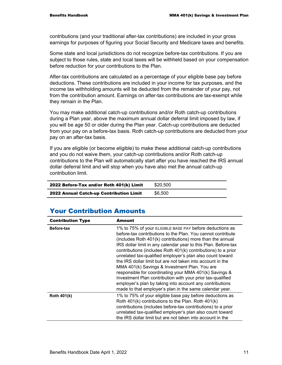contributions (and your traditional after-tax contributions) are included in your gross earnings for purposes of figuring your Social Security and Medicare taxes and benefits.

Some state and local jurisdictions do not recognize before-tax contributions. If you are subject to those rules, state and local taxes will be withheld based on your compensation before reduction for your contributions to the Plan.

After-tax contributions are calculated as a percentage of your eligible base pay before deductions. These contributions are included in your income for tax purposes, and the income tax withholding amounts will be deducted from the remainder of your pay, not from the contribution amount. Earnings on after-tax contributions are tax-exempt while they remain in the Plan.

You may make additional catch-up contributions and/or Roth catch-up contributions during a Plan year, above the maximum annual dollar deferral limit imposed by law, if you will be age 50 or older during the Plan year. Catch-up contributions are deducted from your pay on a before-tax basis. Roth catch-up contributions are deducted from your pay on an after-tax basis.

If you are eligible (or become eligible) to make these additional catch-up contributions and you do not waive them, your catch-up contributions and/or Roth catch-up contributions to the Plan will automatically start after you have reached the IRS annual dollar deferral limit and will stop when you have also met the annual catch-up contribution limit.

| 2022 Before-Tax and/or Roth 401(k) Limit       | \$20,500 |
|------------------------------------------------|----------|
| <b>2022 Annual Catch-up Contribution Limit</b> | \$6,500  |

# Your Contribution Amounts

| <b>Contribution Type</b> | <b>Amount</b>                                                                                                                                                                                                                                                                                                                                                                                                                                                                                                                                                                                                                                                                                                                                      |
|--------------------------|----------------------------------------------------------------------------------------------------------------------------------------------------------------------------------------------------------------------------------------------------------------------------------------------------------------------------------------------------------------------------------------------------------------------------------------------------------------------------------------------------------------------------------------------------------------------------------------------------------------------------------------------------------------------------------------------------------------------------------------------------|
| <b>Before-tax</b>        | 1% to 75% of your ELIGIBLE BASE PAY before deductions as<br>before-tax contributions to the Plan. You cannot contribute<br>(includes Roth 401(k) contributions) more than the annual<br>IRS dollar limit in any calendar year to this Plan. Before-tax<br>contributions (includes Roth 401(k) contributions) to a prior<br>unrelated tax-qualified employer's plan also count toward<br>the IRS dollar limit but are not taken into account in the<br>MMA 401(k) Savings & Investment Plan. You are<br>responsible for coordinating your MMA 401(k) Savings &<br>Investment Plan contribution with your prior tax-qualified<br>employer's plan by taking into account any contributions<br>made to that employer's plan in the same calendar year. |
| <b>Roth 401(k)</b>       | 1% to 75% of your eligible base pay before deductions as<br>Roth 401(k) contributions to the Plan. Roth 401(k)<br>contributions (includes before-tax contributions) to a prior<br>unrelated tax-qualified employer's plan also count toward<br>the IRS dollar limit but are not taken into account in the                                                                                                                                                                                                                                                                                                                                                                                                                                          |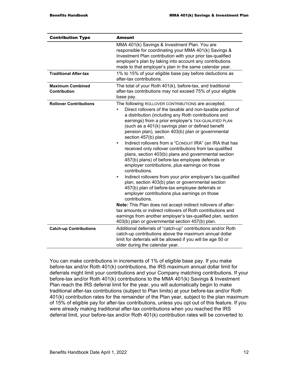| <b>Contribution Type</b>                       | <b>Amount</b>                                                                                                                                                                                                                                                                                                                                                                                                                                                                                                                                                                                                                                                                                                                                                                                                                                                                                                                                                                                                                                                                                                                                                                            |  |
|------------------------------------------------|------------------------------------------------------------------------------------------------------------------------------------------------------------------------------------------------------------------------------------------------------------------------------------------------------------------------------------------------------------------------------------------------------------------------------------------------------------------------------------------------------------------------------------------------------------------------------------------------------------------------------------------------------------------------------------------------------------------------------------------------------------------------------------------------------------------------------------------------------------------------------------------------------------------------------------------------------------------------------------------------------------------------------------------------------------------------------------------------------------------------------------------------------------------------------------------|--|
|                                                | MMA 401(k) Savings & Investment Plan. You are<br>responsible for coordinating your MMA 401(k) Savings &<br>Investment Plan contribution with your prior tax-qualified<br>employer's plan by taking into account any contributions<br>made to that employer's plan in the same calendar year.                                                                                                                                                                                                                                                                                                                                                                                                                                                                                                                                                                                                                                                                                                                                                                                                                                                                                             |  |
| <b>Traditional After-tax</b>                   | 1% to 15% of your eligible base pay before deductions as<br>after-tax contributions.                                                                                                                                                                                                                                                                                                                                                                                                                                                                                                                                                                                                                                                                                                                                                                                                                                                                                                                                                                                                                                                                                                     |  |
| <b>Maximum Combined</b><br><b>Contribution</b> | The total of your Roth 401(k), before-tax, and traditional<br>after-tax contributions may not exceed 75% of your eligible<br>base pay.                                                                                                                                                                                                                                                                                                                                                                                                                                                                                                                                                                                                                                                                                                                                                                                                                                                                                                                                                                                                                                                   |  |
| <b>Rollover Contributions</b>                  | The following ROLLOVER CONTRIBUTIONS are accepted.<br>Direct rollovers of the taxable and non-taxable portion of<br>L,<br>a distribution (including any Roth contributions and<br>earnings) from a prior employer's TAX-QUALIFIED PLAN<br>(such as a 401(k) savings plan or defined benefit<br>pension plan), section 403(b) plan or governmental<br>section 457(b) plan.<br>Indirect rollovers from a "CONDUIT IRA" (an IRA that has<br>ш<br>received only rollover contributions from tax-qualified<br>plans, section 403(b) plans and governmental section<br>457(b) plans) of before-tax employee deferrals or<br>employer contributions, plus earnings on those<br>contributions.<br>Indirect rollovers from your prior employer's tax-qualified<br>ш<br>plan, section 403(b) plan or governmental section<br>457(b) plan of before-tax employee deferrals or<br>employer contributions plus earnings on those<br>contributions.<br>Note: This Plan does not accept indirect rollovers of after-<br>tax amounts or indirect rollovers of Roth contributions and<br>earnings from another employer's tax-qualified plan, section<br>403(b) plan or governmental section 457(b) plan. |  |
| <b>Catch-up Contributions</b>                  | Additional deferrals of "catch-up" contributions and/or Roth<br>catch-up contributions above the maximum annual dollar<br>limit for deferrals will be allowed if you will be age 50 or<br>older during the calendar year.                                                                                                                                                                                                                                                                                                                                                                                                                                                                                                                                                                                                                                                                                                                                                                                                                                                                                                                                                                |  |
|                                                |                                                                                                                                                                                                                                                                                                                                                                                                                                                                                                                                                                                                                                                                                                                                                                                                                                                                                                                                                                                                                                                                                                                                                                                          |  |

You can make contributions in increments of 1% of eligible base pay. If you make before-tax and/or Roth 401(k) contributions, the IRS maximum annual dollar limit for deferrals might limit your contributions and your Company matching contributions. If your before-tax and/or Roth 401(k) contributions to the MMA 401(k) Savings & Investment Plan reach the IRS deferral limit for the year, you will automatically begin to make traditional after-tax contributions (subject to Plan limits) at your before-tax and/or Roth 401(k) contribution rates for the remainder of the Plan year, subject to the plan maximum of 15% of eligible pay for after-tax contributions, unless you opt out of this feature. If you were already making traditional after-tax contributions when you reached the IRS deferral limit, your before-tax and/or Roth 401(k) contribution rates will be converted to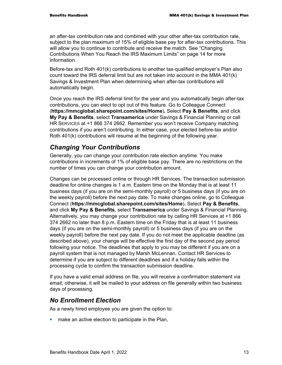an after-tax contribution rate and combined with your other after-tax contribution rate, subject to the plan maximum of 15% of eligible base pay for after-tax contributions. This will allow you to continue to contribute and receive the match. See "Changing Contributions When You Reach the IRS Maximum Limits" on page 14 for more information.

Before-tax and Roth 401(k) contributions to another tax-qualified employer's Plan also count toward the IRS deferral limit but are not taken into account in the MMA 401(k) Savings & Investment Plan when determining when after-tax contributions will automatically begin.

Once you reach the IRS deferral limit for the year and you automatically begin after-tax contributions, you can elect to opt out of this feature. Go to Colleague Connect (**https://mmcglobal.sharepoint.com/sites/Home**)**.** Select **Pay & Benefits**, and click **My Pay & Benefits**, select **Transamerica** under Savings & Financial Planning or call HR SERVICES at +1 866 374 2662. Remember you won't receive Company matching contributions if you aren't contributing. In either case, your elected before-tax and/or Roth 401(k) contributions will resume at the beginning of the following year.

### *Changing Your Contributions*

Generally, you can change your contribution rate election anytime. You make contributions in increments of 1% of eligible base pay. There are no restrictions on the number of times you can change your contribution amount.

Changes can be processed online or through HR Services. The transaction submission deadline for online changes is 1 a.m. Eastern time on the Monday that is at least 11 business days (if you are on the semi-monthly payroll) or 5 business days (if you are on the weekly payroll) before the next pay date. To make changes online, go to Colleague Connect (**https://mmcglobal.sharepoint.com/sites/Home**)**.** Select **Pay & Benefits**, and click **My Pay & Benefits**, select **Transamerica** under Savings & Financial Planning. Alternatively, you may change your contribution rate by calling HR Services at +1 866 374 2662 no later than 8 p.m. Eastern time on the Friday that is at least 11 business days (if you are on the semi-monthly payroll) or 5 business days (if you are on the weekly payroll) before the next pay date. If you do not meet the applicable deadline (as described above), your change will be effective the first day of the second pay period following your notice. The deadlines that apply to you may be different if you are on a payroll system that is not managed by Marsh McLennan. Contact HR Services to determine if you are subject to different deadlines and if a holiday falls within the processing cycle to confirm the transaction submission deadline.

If you have a valid email address on file, you will receive a confirmation statement via email; otherwise, it will be mailed to your address on file generally within two business days of processing.

### *No Enrollment Election*

As a newly hired employee you are given the option to:

**numake an active election to participate in the Plan,**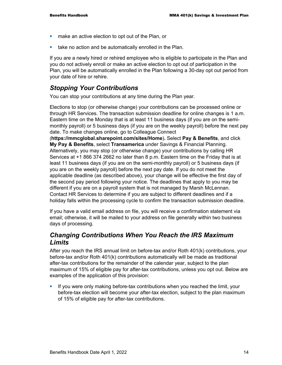- **numake an active election to opt out of the Plan, or**
- **take no action and be automatically enrolled in the Plan.**

If you are a newly hired or rehired employee who is eligible to participate in the Plan and you do not actively enroll or make an active election to opt out of participation in the Plan, you will be automatically enrolled in the Plan following a 30-day opt out period from your date of hire or rehire.

# *Stopping Your Contributions*

You can stop your contributions at any time during the Plan year.

Elections to stop (or otherwise change) your contributions can be processed online or through HR Services. The transaction submission deadline for online changes is 1 a.m. Eastern time on the Monday that is at least 11 business days (if you are on the semimonthly payroll) or 5 business days (if you are on the weekly payroll) before the next pay date. To make changes online, go to Colleague Connect

(**https://mmcglobal.sharepoint.com/sites/Home**)**.** Select **Pay & Benefits**, and click **My Pay & Benefits**, select **Transamerica** under Savings & Financial Planning. Alternatively, you may stop (or otherwise change) your contributions by calling HR Services at +1 866 374 2662 no later than 8 p.m. Eastern time on the Friday that is at least 11 business days (if you are on the semi-monthly payroll) or 5 business days (if you are on the weekly payroll) before the next pay date. If you do not meet the applicable deadline (as described above), your change will be effective the first day of the second pay period following your notice. The deadlines that apply to you may be different if you are on a payroll system that is not managed by Marsh McLennan. Contact HR Services to determine if you are subject to different deadlines and if a holiday falls within the processing cycle to confirm the transaction submission deadline.

If you have a valid email address on file, you will receive a confirmation statement via email; otherwise, it will be mailed to your address on file generally within two business days of processing.

### *Changing Contributions When You Reach the IRS Maximum Limits*

After you reach the IRS annual limit on before-tax and/or Roth 401(k) contributions, your before-tax and/or Roth 401(k) contributions automatically will be made as traditional after-tax contributions for the remainder of the calendar year, subject to the plan maximum of 15% of eligible pay for after-tax contributions, unless you opt out. Below are examples of the application of this provision:

**If you were only making before-tax contributions when you reached the limit, your** before-tax election will become your after-tax election, subject to the plan maximum of 15% of eligible pay for after-tax contributions.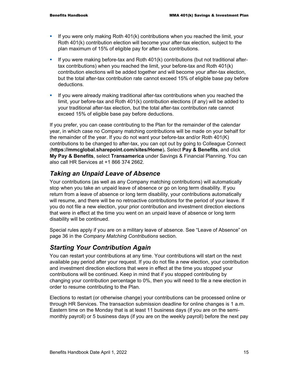- If you were only making Roth  $401(k)$  contributions when you reached the limit, your Roth 401(k) contribution election will become your after-tax election, subject to the plan maximum of 15% of eligible pay for after-tax contributions.
- If you were making before-tax and Roth  $401(k)$  contributions (but not traditional aftertax contributions) when you reached the limit, your before-tax and Roth 401(k) contribution elections will be added together and will become your after-tax election, but the total after-tax contribution rate cannot exceed 15% of eligible base pay before deductions.
- If you were already making traditional after-tax contributions when you reached the limit, your before-tax and Roth 401(k) contribution elections (if any) will be added to your traditional after-tax election, but the total after-tax contribution rate cannot exceed 15% of eligible base pay before deductions.

If you prefer, you can cease contributing to the Plan for the remainder of the calendar year, in which case no Company matching contributions will be made on your behalf for the remainder of the year. If you do not want your before-tax and/or Roth 401(K) contributions to be changed to after-tax, you can opt out by going to Colleague Connect (**https://mmcglobal.sharepoint.com/sites/Home**)**.** Select **Pay & Benefits**, and click **My Pay & Benefits**, select **Transamerica** under Savings & Financial Planning. You can also call HR Services at +1 866 374 2662.

# *Taking an Unpaid Leave of Absence*

Your contributions (as well as any Company matching contributions) will automatically stop when you take an unpaid leave of absence or go on long term disability. If you return from a leave of absence or long term disability, your contributions automatically will resume, and there will be no retroactive contributions for the period of your leave. If you do not file a new election, your prior contribution and investment direction elections that were in effect at the time you went on an unpaid leave of absence or long term disability will be continued.

Special rules apply if you are on a military leave of absence. See "Leave of Absence" on page 36 in the *Company Matching Contributions* section.

### *Starting Your Contribution Again*

You can restart your contributions at any time. Your contributions will start on the next available pay period after your request. If you do not file a new election, your contribution and investment direction elections that were in effect at the time you stopped your contributions will be continued. Keep in mind that if you stopped contributing by changing your contribution percentage to 0%, then you will need to file a new election in order to resume contributing to the Plan.

Elections to restart (or otherwise change) your contributions can be processed online or through HR Services. The transaction submission deadline for online changes is 1 a.m. Eastern time on the Monday that is at least 11 business days (if you are on the semimonthly payroll) or 5 business days (if you are on the weekly payroll) before the next pay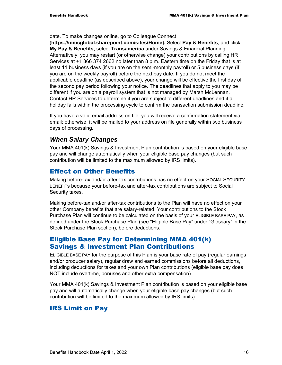date. To make changes online, go to Colleague Connect

(**https://mmcglobal.sharepoint.com/sites/Home**)**.** Select **Pay & Benefits**, and click **My Pay & Benefits**, select **Transamerica** under Savings & Financial Planning. Alternatively, you may restart (or otherwise change) your contributions by calling HR Services at +1 866 374 2662 no later than 8 p.m. Eastern time on the Friday that is at least 11 business days (if you are on the semi-monthly payroll) or 5 business days (if you are on the weekly payroll) before the next pay date. If you do not meet the applicable deadline (as described above), your change will be effective the first day of the second pay period following your notice. The deadlines that apply to you may be different if you are on a payroll system that is not managed by Marsh McLennan. Contact HR Services to determine if you are subject to different deadlines and if a holiday falls within the processing cycle to confirm the transaction submission deadline.

If you have a valid email address on file, you will receive a confirmation statement via email; otherwise, it will be mailed to your address on file generally within two business days of processing.

# *When Salary Changes*

Your MMA 401(k) Savings & Investment Plan contribution is based on your eligible base pay and will change automatically when your eligible base pay changes (but such contribution will be limited to the maximum allowed by IRS limits).

# Effect on Other Benefits

Making before-tax and/or after-tax contributions has no effect on your SOCIAL SECURITY BENEFITs because your before-tax and after-tax contributions are subject to Social Security taxes.

Making before-tax and/or after-tax contributions to the Plan will have no effect on your other Company benefits that are salary-related. Your contributions to the Stock Purchase Plan will continue to be calculated on the basis of your ELIGIBLE BASE PAY, as defined under the Stock Purchase Plan (see "Eligible Base Pay" under "Glossary" in the Stock Purchase Plan section), before deductions.

### Eligible Base Pay for Determining MMA 401(k) Savings & Investment Plan Contributions

ELIGIBLE BASE PAY for the purpose of this Plan is your base rate of pay (regular earnings and/or producer salary), regular draw and earned commissions before all deductions, including deductions for taxes and your own Plan contributions (eligible base pay does NOT include overtime, bonuses and other extra compensation).

Your MMA 401(k) Savings & Investment Plan contribution is based on your eligible base pay and will automatically change when your eligible base pay changes (but such contribution will be limited to the maximum allowed by IRS limits).

# IRS Limit on Pay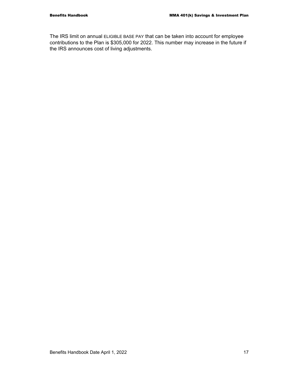The IRS limit on annual ELIGIBLE BASE PAY that can be taken into account for employee contributions to the Plan is \$305,000 for 2022. This number may increase in the future if the IRS announces cost of living adjustments.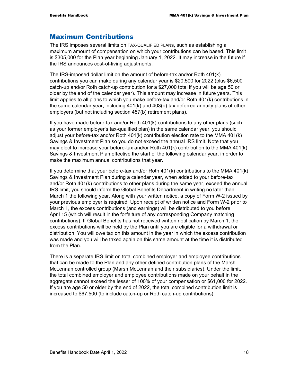### Maximum Contributions

The IRS imposes several limits on TAX-QUALIFIED PLANs, such as establishing a maximum amount of compensation on which your contributions can be based. This limit is \$305,000 for the Plan year beginning January 1, 2022. It may increase in the future if the IRS announces cost-of-living adjustments.

The IRS-imposed dollar limit on the amount of before-tax and/or Roth 401(k) contributions you can make during any calendar year is \$20,500 for 2022 (plus \$6,500 catch-up and/or Roth catch-up contribution for a \$27,000 total if you will be age 50 or older by the end of the calendar year). This amount may increase in future years. This limit applies to all plans to which you make before-tax and/or Roth 401(k) contributions in the same calendar year, including 401(k) and 403(b) tax deferred annuity plans of other employers (but not including section 457(b) retirement plans).

If you have made before-tax and/or Roth 401(k) contributions to any other plans (such as your former employer's tax-qualified plan) in the same calendar year, you should adjust your before-tax and/or Roth 401(k) contribution election rate to the MMA 401(k) Savings & Investment Plan so you do not exceed the annual IRS limit. Note that you may elect to increase your before-tax and/or Roth 401(k) contribution to the MMA 401(k) Savings & Investment Plan effective the start of the following calendar year, in order to make the maximum annual contributions that year.

If you determine that your before-tax and/or Roth 401(k) contributions to the MMA 401(k) Savings & Investment Plan during a calendar year, when added to your before-tax and/or Roth 401(k) contributions to other plans during the same year, exceed the annual IRS limit, you should inform the Global Benefits Department in writing no later than March 1 the following year. Along with your written notice, a copy of Form W-2 issued by your previous employer is required. Upon receipt of written notice and Form W-2 prior to March 1, the excess contributions (and earnings) will be distributed to you before April 15 (which will result in the forfeiture of any corresponding Company matching contributions). If Global Benefits has not received written notification by March 1, the excess contributions will be held by the Plan until you are eligible for a withdrawal or distribution. You will owe tax on this amount in the year in which the excess contribution was made and you will be taxed again on this same amount at the time it is distributed from the Plan.

There is a separate IRS limit on total combined employer and employee contributions that can be made to the Plan and any other defined contribution plans of the Marsh McLennan controlled group (Marsh McLennan and their subsidiaries). Under the limit, the total combined employer and employee contributions made on your behalf in the aggregate cannot exceed the lesser of 100% of your compensation or \$61,000 for 2022. If you are age 50 or older by the end of 2022, the total combined contribution limit is increased to \$67,500 (to include catch-up or Roth catch-up contributions).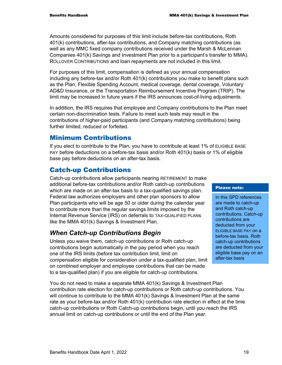Amounts considered for purposes of this limit include before-tax contributions, Roth 401(k) contributions, after-tax contributions, and Company matching contributions (as well as any MMC fixed company contributions received under the Marsh & McLennan Companies 401(k) Savings and Investment Plan prior to a participant's transfer to MMA). ROLLOVER CONTRIBUTIONS and loan repayments are not included in this limit.

For purposes of this limit, compensation is defined as your annual compensation including any before-tax and/or Roth 401(k) contributions you make to benefit plans such as the Plan, Flexible Spending Account, medical coverage, dental coverage, Voluntary AD&D Insurance, or the Transportation Reimbursement Incentive Program (TRIP). The limit may be increased in future years if the IRS announces cost-of-living adjustments.

In addition, the IRS requires that employee and Company contributions to the Plan meet certain non-discrimination tests. Failure to meet such tests may result in the contributions of higher-paid participants (and Company matching contributions) being further limited, reduced or forfeited.

### Minimum Contributions

If you elect to contribute to the Plan, you have to contribute at least 1% of ELIGIBLE BASE PAY before deductions on a before-tax basis and/or Roth 401(k) basis or 1% of eligible base pay before deductions on an after-tax basis.

# Catch-up Contributions

Catch-up contributions allow participants nearing RETIREMENT to make additional before-tax contributions and/or Roth catch-up contributions which are made on an after-tax basis to a tax-qualified savings plan. Federal law authorizes employers and other plan sponsors to allow Plan participants who will be age 50 or older during the calendar year to contribute more than the regular savings limits imposed by the Internal Revenue Service (IRS) on deferrals to TAX-QUALIFIED PLANs like the MMA 401(k) Savings & Investment Plan.

# *When Catch-up Contributions Begin*

Unless you waive them, catch-up contributions or Roth catch-up contributions begin automatically in the pay period when you reach one of the IRS limits (before tax contribution limit, limit on compensation eligible for consideration under a tax-qualified plan, limit on combined employer and employee contributions that can be made to a tax-qualified plan) if you are eligible for catch-up contributions.

You do not need to make a separate MMA 401(k) Savings & Investment Plan contribution rate election for catch-up contributions or Roth catch-up contributions. You will continue to contribute to the MMA 401(k) Savings & Investment Plan at the same rate as your before-tax and/or Roth 401(k) contribution rate election in effect at the time catch-up contributions or Roth Catch-up contributions begin, until you reach the IRS annual limit on catch-up contributions or until the end of the Plan year.

#### Please note:

In this SPD references are made to catch-up and Roth catch-up contributions. Catch-up contributions are deducted from your ELIGIBLE BASE PAY on a before-tax basis. Roth catch-up contributions are deducted from your eligible base pay on an after-tax basis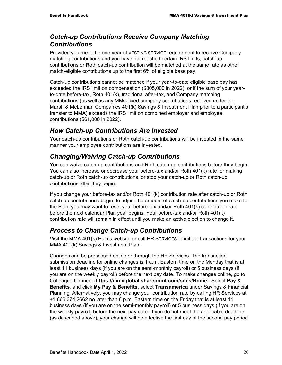# *Catch-up Contributions Receive Company Matching Contributions*

Provided you meet the one year of VESTING SERVICE requirement to receive Company matching contributions and you have not reached certain IRS limits, catch-up contributions or Roth catch-up contribution will be matched at the same rate as other match-eligible contributions up to the first 6% of eligible base pay.

Catch-up contributions cannot be matched if your year-to-date eligible base pay has exceeded the IRS limit on compensation (\$305,000 in 2022), or if the sum of your yearto-date before-tax, Roth 401(k), traditional after-tax, and Company matching contributions (as well as any MMC fixed company contributions received under the Marsh & McLennan Companies 401(k) Savings & Investment Plan prior to a participant's transfer to MMA) exceeds the IRS limit on combined employer and employee contributions (\$61,000 in 2022).

# *How Catch-up Contributions Are Invested*

Your catch-up contributions or Roth catch-up contributions will be invested in the same manner your employee contributions are invested.

# *Changing/Waiving Catch-up Contributions*

You can waive catch-up contributions and Roth catch-up contributions before they begin. You can also increase or decrease your before-tax and/or Roth 401(k) rate for making catch-up or Roth catch-up contributions, or stop your catch-up or Roth catch-up contributions after they begin.

If you change your before-tax and/or Roth 401(k) contribution rate after catch-up or Roth catch-up contributions begin, to adjust the amount of catch-up contributions you make to the Plan, you may want to reset your before-tax and/or Roth 401(k) contribution rate before the next calendar Plan year begins. Your before-tax and/or Roth 401(k) contribution rate will remain in effect until you make an active election to change it.

# *Process to Change Catch-up Contributions*

Visit the MMA 401(k) Plan's website or call HR SERVICES to initiate transactions for your MMA 401(k) Savings & Investment Plan.

Changes can be processed online or through the HR Services. The transaction submission deadline for online changes is 1 a.m. Eastern time on the Monday that is at least 11 business days (if you are on the semi-monthly payroll) or 5 business days (if you are on the weekly payroll) before the next pay date. To make changes online, go to Colleague Connect (**https://mmcglobal.sharepoint.com/sites/Home**). Select **Pay & Benefits**, and click **My Pay & Benefits**, select **Transamerica** under Savings & Financial Planning. Alternatively, you may change your contribution rate by calling HR Services at +1 866 374 2662 no later than 8 p.m. Eastern time on the Friday that is at least 11 business days (if you are on the semi-monthly payroll) or 5 business days (if you are on the weekly payroll) before the next pay date. If you do not meet the applicable deadline (as described above), your change will be effective the first day of the second pay period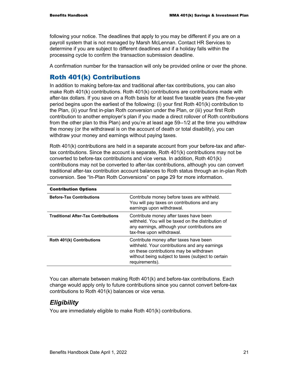following your notice. The deadlines that apply to you may be different if you are on a payroll system that is not managed by Marsh McLennan. Contact HR Services to determine if you are subject to different deadlines and if a holiday falls within the processing cycle to confirm the transaction submission deadline.

A confirmation number for the transaction will only be provided online or over the phone.

### Roth 401(k) Contributions

In addition to making before-tax and traditional after-tax contributions, you can also make Roth 401(k) contributions. Roth 401(k) contributions are contributions made with after-tax dollars. If you save on a Roth basis for at least five taxable years (the five-year period begins upon the earliest of the following: (i) your first Roth 401(k) contribution to the Plan, (ii) your first in-plan Roth conversion under the Plan, or (iii) your first Roth contribution to another employer's plan if you made a direct rollover of Roth contributions from the other plan to this Plan) and you're at least age 59--1/2 at the time you withdraw the money (or the withdrawal is on the account of death or total disability), you can withdraw your money and earnings without paying taxes.

Roth 401(k) contributions are held in a separate account from your before-tax and aftertax contributions. Since the account is separate, Roth 401(k) contributions may not be converted to before-tax contributions and vice versa. In addition, Roth 401(k) contributions may not be converted to after-tax contributions, although you can convert traditional after-tax contribution account balances to Roth status through an in-plan Roth conversion. See "In-Plan Roth Conversions" on page 29 for more information.

| <b>Contribution Options</b>                |                                                                                                                                                                                                            |
|--------------------------------------------|------------------------------------------------------------------------------------------------------------------------------------------------------------------------------------------------------------|
| <b>Before-Tax Contributions</b>            | Contribute money before taxes are withheld.<br>You will pay taxes on contributions and any<br>earnings upon withdrawal.                                                                                    |
| <b>Traditional After-Tax Contributions</b> | Contribute money after taxes have been<br>withheld. You will be taxed on the distribution of<br>any earnings, although your contributions are<br>tax-free upon withdrawal.                                 |
| <b>Roth 401(k) Contributions</b>           | Contribute money after taxes have been<br>withheld. Your contributions and any earnings<br>on these contributions may be withdrawn<br>without being subject to taxes (subject to certain<br>requirements). |

You can alternate between making Roth 401(k) and before-tax contributions. Each change would apply only to future contributions since you cannot convert before-tax contributions to Roth 401(k) balances or vice versa.

### *Eligibility*

You are immediately eligible to make Roth 401(k) contributions.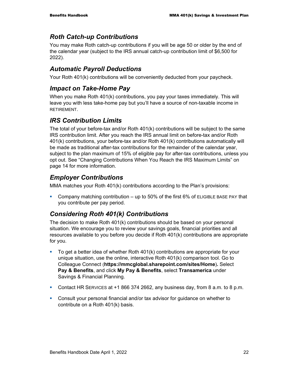# *Roth Catch-up Contributions*

You may make Roth catch-up contributions if you will be age 50 or older by the end of the calendar year (subject to the IRS annual catch-up contribution limit of \$6,500 for 2022).

# *Automatic Payroll Deductions*

Your Roth 401(k) contributions will be conveniently deducted from your paycheck.

# *Impact on Take-Home Pay*

When you make Roth 401(k) contributions, you pay your taxes immediately. This will leave you with less take-home pay but you'll have a source of non-taxable income in RETIREMENT.

# *IRS Contribution Limits*

The total of your before-tax and/or Roth 401(k) contributions will be subject to the same IRS contribution limit. After you reach the IRS annual limit on before-tax and/or Roth 401(k) contributions, your before-tax and/or Roth 401(k) contributions automatically will be made as traditional after-tax contributions for the remainder of the calendar year, subject to the plan maximum of 15% of eligible pay for after-tax contributions, unless you opt out. See "Changing Contributions When You Reach the IRS Maximum Limits" on page 14 for more information.

# *Employer Contributions*

MMA matches your Roth 401(k) contributions according to the Plan's provisions:

Company matching contribution  $-$  up to 50% of the first 6% of ELIGIBLE BASE PAY that you contribute per pay period.

# *Considering Roth 401(k) Contributions*

The decision to make Roth 401(k) contributions should be based on your personal situation. We encourage you to review your savings goals, financial priorities and all resources available to you before you decide if Roth 401(k) contributions are appropriate for you.

- To get a better idea of whether Roth 401(k) contributions are appropriate for your unique situation, use the online, interactive Roth 401(k) comparison tool. Go to Colleague Connect (**https://mmcglobal.sharepoint.com/sites/Home**)**.** Select **Pay & Benefits**, and click **My Pay & Benefits**, select **Transamerica** under Savings & Financial Planning.
- Contact HR SERVICES at +1 866 374 2662, any business day, from 8 a.m. to 8 p.m.
- Consult your personal financial and/or tax advisor for guidance on whether to contribute on a Roth 401(k) basis.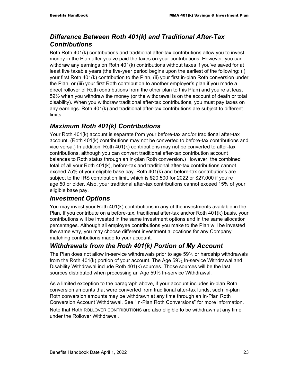# *Difference Between Roth 401(k) and Traditional After-Tax Contributions*

Both Roth 401(k) contributions and traditional after-tax contributions allow you to invest money in the Plan after you've paid the taxes on your contributions. However, you can withdraw any earnings on Roth 401(k) contributions without taxes if you've saved for at least five taxable years (the five-year period begins upon the earliest of the following: (i) your first Roth 401(k) contribution to the Plan, (ii) your first in-plan Roth conversion under the Plan, or (iii) your first Roth contribution to another employer's plan if you made a direct rollover of Roth contributions from the other plan to this Plan) and you're at least  $59\frac{1}{2}$  when you withdraw the money (or the withdrawal is on the account of death or total disability). When you withdraw traditional after-tax contributions, you must pay taxes on any earnings. Roth 401(k) and traditional after-tax contributions are subject to different limits.

# *Maximum Roth 401(k) Contributions*

Your Roth 401(k) account is separate from your before-tax and/or traditional after-tax account. (Roth 401(k) contributions may not be converted to before-tax contributions and vice versa.) In addition, Roth 401(k) contributions may not be converted to after-tax contributions, although you can convert traditional after-tax contribution account balances to Roth status through an in-plan Roth conversion.) However, the combined total of all your Roth 401(k), before-tax and traditional after-tax contributions cannot exceed 75% of your eligible base pay. Roth 401(k) and before-tax contributions are subject to the IRS contribution limit, which is \$20,500 for 2022 or \$27,000 if you're age 50 or older. Also, your traditional after-tax contributions cannot exceed 15% of your eligible base pay.

# *Investment Options*

You may invest your Roth 401(k) contributions in any of the investments available in the Plan. If you contribute on a before-tax, traditional after-tax and/or Roth 401(k) basis, your contributions will be invested in the same investment options and in the same allocation percentages. Although all employee contributions you make to the Plan will be invested the same way, you may choose different investment allocations for any Company matching contributions made to your account.

# *Withdrawals from the Roth 401(k) Portion of My Account*

The Plan does not allow in-service withdrawals prior to age  $59\%$  or hardship withdrawals from the Roth 401(k) portion of your account. The Age  $59\%$  In-service Withdrawal and Disability Withdrawal include Roth 401(k) sources. Those sources will be the last sources distributed when processing an Age  $59\frac{1}{2}$  In-service Withdrawal.

As a limited exception to the paragraph above, if your account includes in-plan Roth conversion amounts that were converted from traditional after-tax funds, such in-plan Roth conversion amounts may be withdrawn at any time through an In-Plan Roth Conversion Account Withdrawal. See "In-Plan Roth Conversions" for more information.

Note that Roth ROLLOVER CONTRIBUTIONS are also eligible to be withdrawn at any time under the Rollover Withdrawal.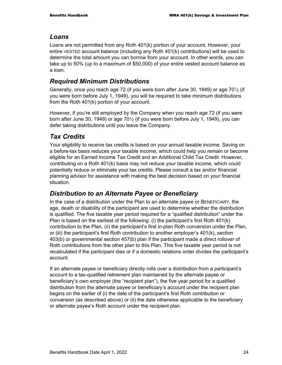# *Loans*

Loans are not permitted from any Roth 401(k) portion of your account. However, your entire VESTED account balance (including any Roth 401(k) contributions) will be used to determine the total amount you can borrow from your account. In other words, you can take up to 50% (up to a maximum of \$50,000) of your entire vested account balance as a loan.

# *Required Minimum Distributions*

Generally, once you reach age 72 (if you were born after June 30, 1949) or age  $70\frac{1}{2}$  (if you were born before July 1, 1949), you will be required to take minimum distributions from the Roth 401(k) portion of your account.

However, if you're still employed by the Company when you reach age 72 (if you were born after June 30, 1949) or age  $70\frac{1}{2}$  (if you were born before July 1, 1949), you can defer taking distributions until you leave the Company.

# *Tax Credits*

Your eligibility to receive tax credits is based on your annual taxable income. Saving on a before-tax basis reduces your taxable income, which could help you remain or become eligible for an Earned Income Tax Credit and an Additional Child Tax Credit. However, contributing on a Roth 401(k) basis may not reduce your taxable income, which could potentially reduce or eliminate your tax credits. Please consult a tax and/or financial planning advisor for assistance with making the best decision based on your financial situation.

# *Distribution to an Alternate Payee or Beneficiary*

In the case of a distribution under the Plan to an alternate payee or BENEFICIARY, the age, death or disability of the participant are used to determine whether the distribution is qualified. The five taxable year period required for a "qualified distribution" under the Plan is based on the earliest of the following: (i) the participant's first Roth 401(k) contribution to the Plan, (ii) the participant's first in-plan Roth conversion under the Plan, or (iii) the participant's first Roth contribution to another employer's 401(k), section 403(b) or governmental section 457(b) plan if the participant made a direct rollover of Roth contributions from the other plan to this Plan. This five taxable year period is not recalculated if the participant dies or if a domestic relations order divides the participant's account.

If an alternate payee or beneficiary directly rolls over a distribution from a participant's account to a tax-qualified retirement plan maintained by the alternate payee or beneficiary's own employer (the "recipient plan"), the five year period for a qualified distribution from the alternate payee or beneficiary's account under the recipient plan begins on the earlier of (i) the date of the participant's first Roth contribution or conversion (as described above) or (ii) the date otherwise applicable to the beneficiary or alternate payee's Roth account under the recipient plan.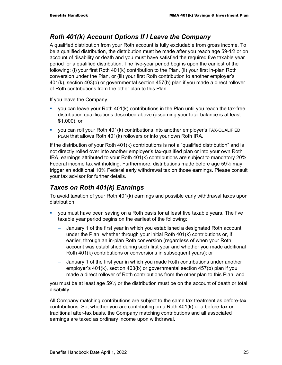# *Roth 401(k) Account Options If I Leave the Company*

A qualified distribution from your Roth account is fully excludable from gross income. To be a qualified distribution, the distribution must be made after you reach age 59-1⁄2 or on account of disability or death and you must have satisfied the required five taxable year period for a qualified distribution. The five-year period begins upon the earliest of the following: (i) your first Roth 401(k) contribution to the Plan, (ii) your first in-plan Roth conversion under the Plan, or (iii) your first Roth contribution to another employer's 401(k), section 403(b) or governmental section 457(b) plan if you made a direct rollover of Roth contributions from the other plan to this Plan.

If you leave the Company,

- **v** you can leave your Roth  $401(k)$  contributions in the Plan until you reach the tax-free distribution qualifications described above (assuming your total balance is at least \$1,000), or
- you can roll your Roth 401(k) contributions into another employer's TAX-QUALIFIED PLAN that allows Roth 401(k) rollovers or into your own Roth IRA.

If the distribution of your Roth  $401(k)$  contributions is not a "qualified distribution" and is not directly rolled over into another employer's tax-qualified plan or into your own Roth IRA, earnings attributed to your Roth 401(k) contributions are subject to mandatory 20% Federal income tax withholding. Furthermore, distributions made before age  $59\frac{1}{2}$  may trigger an additional 10% Federal early withdrawal tax on those earnings. Please consult your tax advisor for further details.

# *Taxes on Roth 401(k) Earnings*

To avoid taxation of your Roth 401(k) earnings and possible early withdrawal taxes upon distribution:

- you must have been saving on a Roth basis for at least five taxable years. The five taxable year period begins on the earliest of the following:
	- January 1 of the first year in which you established a designated Roth account under the Plan, whether through your initial Roth 401(k) contributions or, if earlier, through an in-plan Roth conversion (regardless of when your Roth account was established during such first year and whether you made additional Roth 401(k) contributions or conversions in subsequent years); or
	- − January 1 of the first year in which you made Roth contributions under another employer's 401(k), section 403(b) or governmental section 457(b) plan if you made a direct rollover of Roth contributions from the other plan to this Plan, and

you must be at least age  $59\frac{1}{2}$  or the distribution must be on the account of death or total disability.

All Company matching contributions are subject to the same tax treatment as before-tax contributions. So, whether you are contributing on a Roth 401(k) or a before-tax or traditional after-tax basis, the Company matching contributions and all associated earnings are taxed as ordinary income upon withdrawal.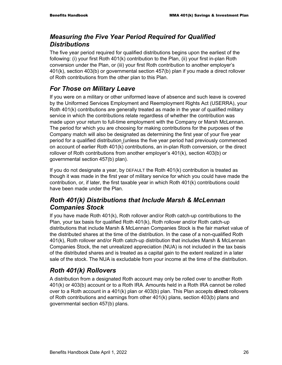# *Measuring the Five Year Period Required for Qualified Distributions*

The five year period required for qualified distributions begins upon the earliest of the following: (i) your first Roth 401(k) contribution to the Plan, (ii) your first in-plan Roth conversion under the Plan, or (iii) your first Roth contribution to another employer's 401(k), section 403(b) or governmental section 457(b) plan if you made a direct rollover of Roth contributions from the other plan to this Plan.

# *For Those on Military Leave*

If you were on a military or other uniformed leave of absence and such leave is covered by the Uniformed Services Employment and Reemployment Rights Act (USERRA), your Roth 401(k) contributions are generally treated as made in the year of qualified military service in which the contributions relate regardless of whether the contribution was made upon your return to full-time employment with the Company or Marsh McLennan. The period for which you are choosing for making contributions for the purposes of the Company match will also be designated as determining the first year of your five year period for a qualified distribution (unless the five year period had previously commenced on account of earlier Roth 401(k) contributions, an in-plan Roth conversion, or the direct rollover of Roth contributions from another employer's 401(k), section 403(b) or governmental section 457(b) plan).

If you do not designate a year, by DEFAULT the Roth 401(k) contribution is treated as though it was made in the first year of military service for which you could have made the contribution, or, if later, the first taxable year in which Roth 401(k) contributions could have been made under the Plan.

# *Roth 401(k) Distributions that Include Marsh & McLennan Companies Stock*

If you have made Roth 401(k), Roth rollover and/or Roth catch-up contributions to the Plan, your tax basis for qualified Roth 401(k), Roth rollover and/or Roth catch-up distributions that include Marsh & McLennan Companies Stock is the fair market value of the distributed shares at the time of the distribution. In the case of a non-qualified Roth 401(k), Roth rollover and/or Roth catch-up distribution that includes Marsh & McLennan Companies Stock, the net unrealized appreciation (NUA) is not included in the tax basis of the distributed shares and is treated as a capital gain to the extent realized in a later sale of the stock. The NUA is excludable from your income at the time of the distribution.

# *Roth 401(k) Rollovers*

A distribution from a designated Roth account may only be rolled over to another Roth 401(k) or 403(b) account or to a Roth IRA. Amounts held in a Roth IRA cannot be rolled over to a Roth account in a 401(k) plan or 403(b) plan. This Plan accepts **direct** rollovers of Roth contributions and earnings from other 401(k) plans, section 403(b) plans and governmental section 457(b) plans.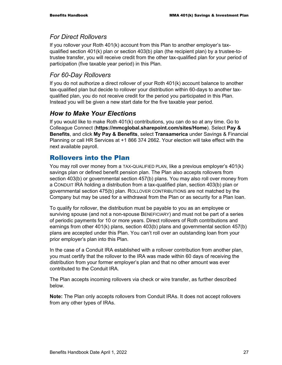# *For Direct Rollovers*

If you rollover your Roth 401(k) account from this Plan to another employer's taxqualified section 401(k) plan or section 403(b) plan (the recipient plan) by a trustee-totrustee transfer, you will receive credit from the other tax-qualified plan for your period of participation (five taxable year period) in this Plan.

# *For 60-Day Rollovers*

If you do not authorize a direct rollover of your Roth 401(k) account balance to another tax-qualified plan but decide to rollover your distribution within 60-days to another taxqualified plan, you do not receive credit for the period you participated in this Plan. Instead you will be given a new start date for the five taxable year period.

# *How to Make Your Elections*

If you would like to make Roth 401(k) contributions, you can do so at any time. Go to Colleague Connect (**https://mmcglobal.sharepoint.com/sites/Home**). Select **Pay & Benefits**, and click **My Pay & Benefits**, select **Transamerica** under Savings & Financial Planning or call HR Services at +1 866 374 2662. Your election will take effect with the next available payroll.

# Rollovers into the Plan

You may roll over money from a TAX-QUALIFIED PLAN, like a previous employer's 401(k) savings plan or defined benefit pension plan. The Plan also accepts rollovers from section 403(b) or governmental section 457(b) plans. You may also roll over money from a CONDUIT IRA holding a distribution from a tax-qualified plan, section 403(b) plan or governmental section 475(b) plan. ROLLOVER CONTRIBUTIONS are not matched by the Company but may be used for a withdrawal from the Plan or as security for a Plan loan.

To qualify for rollover, the distribution must be payable to you as an employee or surviving spouse (and not a non-spouse BENEFICIARY) and must not be part of a series of periodic payments for 10 or more years. Direct rollovers of Roth contributions and earnings from other 401(k) plans, section 403(b) plans and governmental section 457(b) plans are accepted under this Plan. You can't roll over an outstanding loan from your prior employer's plan into this Plan.

In the case of a Conduit IRA established with a rollover contribution from another plan, you must certify that the rollover to the IRA was made within 60 days of receiving the distribution from your former employer's plan and that no other amount was ever contributed to the Conduit IRA.

The Plan accepts incoming rollovers via check or wire transfer, as further described below.

**Note:** The Plan only accepts rollovers from Conduit IRAs. It does not accept rollovers from any other types of IRAs.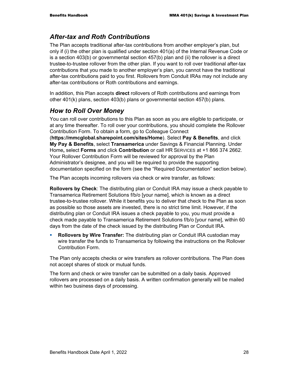# *After-tax and Roth Contributions*

The Plan accepts traditional after-tax contributions from another employer's plan, but only if (i) the other plan is qualified under section 401(a) of the Internal Revenue Code or is a section 403(b) or governmental section 457(b) plan and (ii) the rollover is a direct trustee-to-trustee rollover from the other plan. If you want to roll over traditional after-tax contributions that you made to another employer's plan, you cannot have the traditional after-tax contributions paid to you first. Rollovers from Conduit IRAs may not include any after-tax contributions or Roth contributions and earnings.

In addition, this Plan accepts **direct** rollovers of Roth contributions and earnings from other 401(k) plans, section 403(b) plans or governmental section 457(b) plans.

# *How to Roll Over Money*

You can roll over contributions to this Plan as soon as you are eligible to participate, or at any time thereafter. To roll over your contributions, you should complete the Rollover Contribution Form. To obtain a form, go to Colleague Connect

(**https://mmcglobal.sharepoint.com/sites/Home**). Select **Pay & Benefits**, and click **My Pay & Benefits**, select **Transamerica** under Savings & Financial Planning. Under Home**,** select **Forms** and click **Contribution** or call HR SERVICES at +1 866 374 2662. Your Rollover Contribution Form will be reviewed for approval by the Plan Administrator's designee, and you will be required to provide the supporting documentation specified on the form (see the "Required Documentation" section below).

The Plan accepts incoming rollovers via check or wire transfer, as follows:

**Rollovers by Check**: The distributing plan or Conduit IRA may issue a check payable to Transamerica Retirement Solutions f/b/o [your name], which is known as a direct trustee-to-trustee rollover. While it benefits you to deliver that check to the Plan as soon as possible so those assets are invested, there is no strict time limit. However, if the distributing plan or Conduit IRA issues a check payable to you, you must provide a check made payable to Transamerica Retirement Solutions f/b/o [your name], within 60 days from the date of the check issued by the distributing Plan or Conduit IRA.

 **Rollovers by Wire Transfer:** The distributing plan or Conduit IRA custodian may wire transfer the funds to Transamerica by following the instructions on the Rollover Contribution Form.

The Plan only accepts checks or wire transfers as rollover contributions. The Plan does not accept shares of stock or mutual funds.

The form and check or wire transfer can be submitted on a daily basis. Approved rollovers are processed on a daily basis. A written confirmation generally will be mailed within two business days of processing.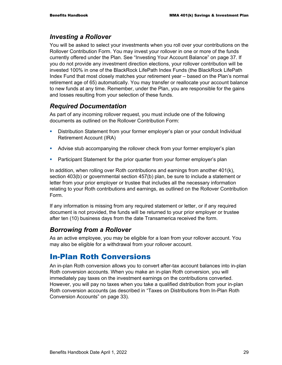### *Investing a Rollover*

You will be asked to select your investments when you roll over your contributions on the Rollover Contribution Form. You may invest your rollover in one or more of the funds currently offered under the Plan. See "Investing Your Account Balance" on page 37. If you do not provide any investment direction elections, your rollover contribution will be invested 100% in one of the BlackRock LifePath Index Funds (the BlackRock LifePath Index Fund that most closely matches your retirement year – based on the Plan's normal retirement age of 65) automatically. You may transfer or reallocate your account balance to new funds at any time. Remember, under the Plan, you are responsible for the gains and losses resulting from your selection of these funds.

# *Required Documentation*

As part of any incoming rollover request, you must include one of the following documents as outlined on the Rollover Contribution Form:

- **•** Distribution Statement from your former employer's plan or your conduit Individual Retirement Account (IRA)
- Advise stub accompanying the rollover check from your former employer's plan
- **Participant Statement for the prior quarter from your former employer's plan**

In addition, when rolling over Roth contributions and earnings from another 401(k), section 403(b) or governmental section 457(b) plan, be sure to include a statement or letter from your prior employer or trustee that includes all the necessary information relating to your Roth contributions and earnings, as outlined on the Rollover Contribution Form.

If any information is missing from any required statement or letter, or if any required document is not provided, the funds will be returned to your prior employer or trustee after ten (10) business days from the date Transamerica received the form.

# *Borrowing from a Rollover*

As an active employee, you may be eligible for a loan from your rollover account. You may also be eligible for a withdrawal from your rollover account.

# In-Plan Roth Conversions

An in-plan Roth conversion allows you to convert after-tax account balances into in-plan Roth conversion accounts. When you make an in-plan Roth conversion, you will immediately pay taxes on the investment earnings on the contributions converted. However, you will pay no taxes when you take a qualified distribution from your in-plan Roth conversion accounts (as described in "Taxes on Distributions from In-Plan Roth Conversion Accounts" on page 33).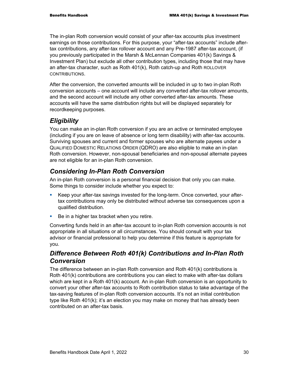The in-plan Roth conversion would consist of your after-tax accounts plus investment earnings on those contributions. For this purpose, your "after-tax accounts" include aftertax contributions, any after-tax rollover account and any Pre-1987 after-tax account, (if you previously participated in the Marsh & McLennan Companies 401(k) Savings & Investment Plan) but exclude all other contribution types, including those that may have an after-tax character, such as Roth 401(k), Roth catch-up and Roth ROLLOVER CONTRIBUTIONS.

After the conversion, the converted amounts will be included in up to two in-plan Roth conversion accounts – one account will include any converted after-tax rollover amounts, and the second account will include any other converted after-tax amounts. These accounts will have the same distribution rights but will be displayed separately for recordkeeping purposes.

### *Eligibility*

You can make an in-plan Roth conversion if you are an active or terminated employee (including if you are on leave of absence or long term disability) with after-tax accounts. Surviving spouses and current and former spouses who are alternate payees under a QUALIFIED DOMESTIC RELATIONS ORDER (QDRO) are also eligible to make an in-plan Roth conversion. However, non-spousal beneficiaries and non-spousal alternate payees are not eligible for an in-plan Roth conversion.

### *Considering In-Plan Roth Conversion*

An in-plan Roth conversion is a personal financial decision that only you can make. Some things to consider include whether you expect to:

- Keep your after-tax savings invested for the long-term. Once converted, your aftertax contributions may only be distributed without adverse tax consequences upon a qualified distribution.
- Be in a higher tax bracket when you retire.

Converting funds held in an after-tax account to in-plan Roth conversion accounts is not appropriate in all situations or all circumstances. You should consult with your tax advisor or financial professional to help you determine if this feature is appropriate for you.

### *Difference Between Roth 401(k) Contributions and In-Plan Roth Conversion*

The difference between an in-plan Roth conversion and Roth 401(k) contributions is Roth 401(k) contributions are contributions you can elect to make with after-tax dollars which are kept in a Roth 401(k) account. An in-plan Roth conversion is an opportunity to convert your other after-tax accounts to Roth contribution status to take advantage of the tax-saving features of in-plan Roth conversion accounts. It's not an initial contribution type like Roth 401(k); it's an election you may make on money that has already been contributed on an after-tax basis.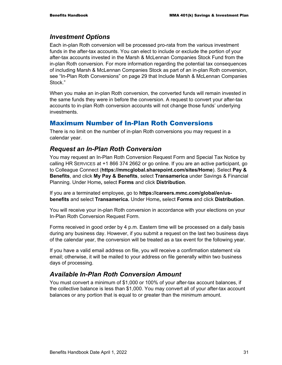#### *Investment Options*

Each in-plan Roth conversion will be processed pro-rata from the various investment funds in the after-tax accounts. You can elect to include or exclude the portion of your after-tax accounts invested in the Marsh & McLennan Companies Stock Fund from the in-plan Roth conversion. For more information regarding the potential tax consequences of including Marsh & McLennan Companies Stock as part of an in-plan Roth conversion, see "In-Plan Roth Conversions" on page 29 that Include Marsh & McLennan Companies Stock."

When you make an in-plan Roth conversion, the converted funds will remain invested in the same funds they were in before the conversion. A request to convert your after-tax accounts to in-plan Roth conversion accounts will not change those funds' underlying investments.

#### Maximum Number of In-Plan Roth Conversions

There is no limit on the number of in-plan Roth conversions you may request in a calendar year.

#### *Request an In-Plan Roth Conversion*

You may request an In-Plan Roth Conversion Request Form and Special Tax Notice by calling HR SERVICES at +1 866 374 2662 or go online. If you are an active participant, go to Colleague Connect (**https://mmcglobal.sharepoint.com/sites/Home**). Select **Pay & Benefits**, and click **My Pay & Benefits**, select **Transamerica** under Savings & Financial Planning. Under Home**,** select **Forms** and click **Distribution**.

If you are a terminated employee, go to **https://careers.mmc.com/global/en/usbenefits** and select **Transamerica.** Under Home**,** select **Forms** and click **Distribution**.

You will receive your in-plan Roth conversion in accordance with your elections on your In-Plan Roth Conversion Request Form.

Forms received in good order by 4 p.m. Eastern time will be processed on a daily basis during any business day. However, if you submit a request on the last two business days of the calendar year, the conversion will be treated as a tax event for the following year.

If you have a valid email address on file, you will receive a confirmation statement via email; otherwise, it will be mailed to your address on file generally within two business days of processing.

### *Available In-Plan Roth Conversion Amount*

You must convert a minimum of \$1,000 or 100% of your after-tax account balances, if the collective balance is less than \$1,000. You may convert all of your after-tax account balances or any portion that is equal to or greater than the minimum amount.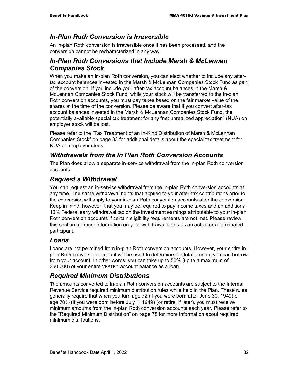#### *In-Plan Roth Conversion is Irreversible*

An in-plan Roth conversion is irreversible once it has been processed, and the conversion cannot be recharacterized in any way.

### *In-Plan Roth Conversions that Include Marsh & McLennan Companies Stock*

When you make an in-plan Roth conversion, you can elect whether to include any aftertax account balances invested in the Marsh & McLennan Companies Stock Fund as part of the conversion. If you include your after-tax account balances in the Marsh & McLennan Companies Stock Fund, while your stock will be transferred to the in-plan Roth conversion accounts, you must pay taxes based on the fair market value of the shares at the time of the conversion. Please be aware that if you convert after-tax account balances invested in the Marsh & McLennan Companies Stock Fund, the potentially available special tax treatment for any "net unrealized appreciation" (NUA) on employer stock will be lost.

Please refer to the "Tax Treatment of an In-Kind Distribution of Marsh & McLennan Companies Stock" on page 83 for additional details about the special tax treatment for NUA on employer stock.

### *Withdrawals from the In Plan Roth Conversion Accounts*

The Plan does allow a separate in-service withdrawal from the in-plan Roth conversion accounts.

### *Request a Withdrawal*

You can request an in-service withdrawal from the in-plan Roth conversion accounts at any time. The same withdrawal rights that applied to your after-tax contributions prior to the conversion will apply to your in-plan Roth conversion accounts after the conversion. Keep in mind, however, that you may be required to pay income taxes and an additional 10% Federal early withdrawal tax on the investment earnings attributable to your in-plan Roth conversion accounts if certain eligibility requirements are not met. Please review this section for more information on your withdrawal rights as an active or a terminated participant.

### *Loans*

Loans are not permitted from in-plan Roth conversion accounts. However, your entire inplan Roth conversion account will be used to determine the total amount you can borrow from your account. In other words, you can take up to 50% (up to a maximum of \$50,000) of your entire VESTED account balance as a loan.

### *Required Minimum Distributions*

The amounts converted to in-plan Roth conversion accounts are subject to the Internal Revenue Service required minimum distribution rules while held in the Plan. These rules generally require that when you turn age 72 (if you were born after June 30, 1949) or age  $70\%$  (if you were born before July 1, 1949) (or retire, if later), you must receive minimum amounts from the in-plan Roth conversion accounts each year. Please refer to the "Required Minimum Distribution" on page 78 for more information about required minimum distributions.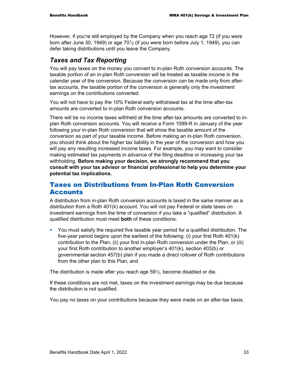However, if you're still employed by the Company when you reach age 72 (if you were born after June 30, 1949) or age  $70\frac{1}{2}$  (if you were born before July 1, 1949), you can defer taking distributions until you leave the Company.

#### *Taxes and Tax Reporting*

You will pay taxes on the money you convert to in-plan Roth conversion accounts. The taxable portion of an in-plan Roth conversion will be treated as taxable income in the calendar year of the conversion. Because the conversion can be made only from aftertax accounts, the taxable portion of the conversion is generally only the investment earnings on the contributions converted.

You will not have to pay the 10% Federal early withdrawal tax at the time after-tax amounts are converted to in-plan Roth conversion accounts.

There will be no income taxes withheld at the time after-tax amounts are converted to inplan Roth conversion accounts. You will receive a Form 1099-R in January of the year following your in-plan Roth conversion that will show the taxable amount of the conversion as part of your taxable income. Before making an in-plan Roth conversion, you should think about the higher tax liability in the year of the conversion and how you will pay any resulting increased income taxes. For example, you may want to consider making estimated tax payments in advance of the filing deadline or increasing your tax withholding. **Before making your decision, we strongly recommend that you consult with your tax advisor or financial professional to help you determine your potential tax implications.** 

#### Taxes on Distributions from In-Plan Roth Conversion **Accounts**

A distribution from in-plan Roth conversion accounts is taxed in the same manner as a distribution from a Roth 401(k) account. You will not pay Federal or state taxes on investment earnings from the time of conversion if you take a "qualified" distribution. A qualified distribution must meet **both** of these conditions:

 You must satisfy the required five taxable year period for a qualified distribution. The five-year period begins upon the earliest of the following: (i) your first Roth 401(k) contribution to the Plan, (ii) your first in-plan Roth conversion under the Plan, or (iii) your first Roth contribution to another employer's 401(k), section 403(b) or governmental section 457(b) plan if you made a direct rollover of Roth contributions from the other plan to this Plan, and

The distribution is made after you reach age  $59\frac{1}{2}$ , become disabled or die.

If these conditions are not met, taxes on the investment earnings may be due because the distribution is not qualified.

You pay no taxes on your contributions because they were made on an after-tax basis.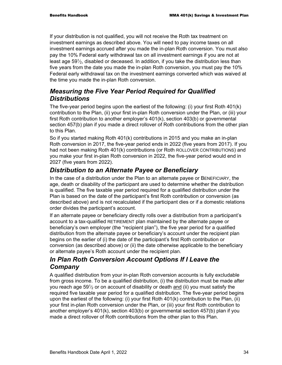If your distribution is not qualified, you will not receive the Roth tax treatment on investment earnings as described above. You will need to pay income taxes on all investment earnings accrued after you made the in-plan Roth conversion. You must also pay the 10% Federal early withdrawal tax on all investment earnings if you are not at least age 591⁄<sub>2</sub>, disabled or deceased. In addition, if you take the distribution less than five years from the date you made the in-plan Roth conversion, you must pay the 10% Federal early withdrawal tax on the investment earnings converted which was waived at the time you made the in-plan Roth conversion.

## *Measuring the Five Year Period Required for Qualified Distributions*

The five-year period begins upon the earliest of the following: (i) your first Roth 401(k) contribution to the Plan, (ii) your first in-plan Roth conversion under the Plan, or (iii) your first Roth contribution to another employer's 401(k), section 403(b) or governmental section 457(b) plan if you made a direct rollover of Roth contributions from the other plan to this Plan.

So if you started making Roth 401(k) contributions in 2015 and you make an in-plan Roth conversion in 2017, the five-year period ends in 2022 (five years from 2017). If you had not been making Roth 401(k) contributions (or Roth ROLLOVER CONTRIBUTIONS) and you make your first in-plan Roth conversion in 2022, the five-year period would end in 2027 (five years from 2022).

## *Distribution to an Alternate Payee or Beneficiary*

In the case of a distribution under the Plan to an alternate payee or BENEFICIARY, the age, death or disability of the participant are used to determine whether the distribution is qualified. The five taxable year period required for a qualified distribution under the Plan is based on the date of the participant's first Roth contribution or conversion (as described above) and is not recalculated if the participant dies or if a domestic relations order divides the participant's account.

If an alternate payee or beneficiary directly rolls over a distribution from a participant's account to a tax-qualified RETIREMENT plan maintained by the alternate payee or beneficiary's own employer (the "recipient plan"), the five year period for a qualified distribution from the alternate payee or beneficiary's account under the recipient plan begins on the earlier of (i) the date of the participant's first Roth contribution or conversion (as described above) or (ii) the date otherwise applicable to the beneficiary or alternate payee's Roth account under the recipient plan.

## *In Plan Roth Conversion Account Options If I Leave the Company*

A qualified distribution from your in-plan Roth conversion accounts is fully excludable from gross income. To be a qualified distribution, (i) the distribution must be made after you reach age  $59\frac{1}{2}$  or on account of disability or death and (ii) you must satisfy the required five taxable year period for a qualified distribution. The five-year period begins upon the earliest of the following: (i) your first Roth 401(k) contribution to the Plan, (ii) your first in-plan Roth conversion under the Plan, or (iii) your first Roth contribution to another employer's 401(k), section 403(b) or governmental section 457(b) plan if you made a direct rollover of Roth contributions from the other plan to this Plan.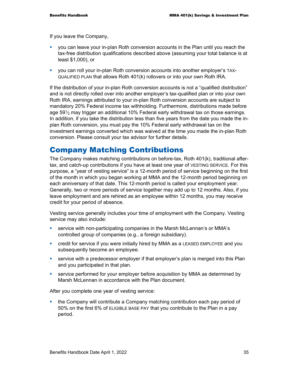If you leave the Company,

- you can leave your in-plan Roth conversion accounts in the Plan until you reach the tax-free distribution qualifications described above (assuming your total balance is at least \$1,000), or
- you can roll your in-plan Roth conversion accounts into another employer's TAX-QUALIFIED PLAN that allows Roth 401(k) rollovers or into your own Roth IRA.

If the distribution of your in-plan Roth conversion accounts is not a "qualified distribution" and is not directly rolled over into another employer's tax-qualified plan or into your own Roth IRA, earnings attributed to your in-plan Roth conversion accounts are subject to mandatory 20% Federal income tax withholding. Furthermore, distributions made before age  $59\%$  may trigger an additional 10% Federal early withdrawal tax on those earnings. In addition, if you take the distribution less than five years from the date you made the inplan Roth conversion, you must pay the 10% Federal early withdrawal tax on the investment earnings converted which was waived at the time you made the in-plan Roth conversion. Please consult your tax advisor for further details.

# Company Matching Contributions

The Company makes matching contributions on before-tax, Roth 401(k), traditional aftertax, and catch-up contributions if you have at least one year of VESTING SERVICE. For this purpose, a "year of vesting service" is a 12-month period of service beginning on the first of the month in which you began working at MMA and the 12-month period beginning on each anniversary of that date. This 12-month period is called your employment year. Generally, two or more periods of service together may add up to 12 months. Also, if you leave employment and are rehired as an employee within 12 months, you may receive credit for your period of absence.

Vesting service generally includes your time of employment with the Company. Vesting service may also include:

- service with non-participating companies in the Marsh McLennan's or MMA's controlled group of companies (e.g., a foreign subsidiary).
- credit for service if you were initially hired by MMA as a LEASED EMPLOYEE and you subsequently become an employee.
- service with a predecessor employer if that employer's plan is merged into this Plan and you participated in that plan.
- service performed for your employer before acquisition by MMA as determined by Marsh McLennan in accordance with the Plan document.

After you complete one year of vesting service:

• the Company will contribute a Company matching contribution each pay period of 50% on the first 6% of ELIGIBLE BASE PAY that you contribute to the Plan in a pay period.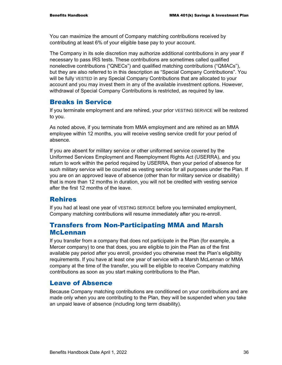You can maximize the amount of Company matching contributions received by contributing at least 6% of your eligible base pay to your account.

The Company in its sole discretion may authorize additional contributions in any year if necessary to pass IRS tests. These contributions are sometimes called qualified nonelective contributions ("QNECs") and qualified matching contributions ("QMACs"), but they are also referred to in this description as "Special Company Contributions". You will be fully VESTED in any Special Company Contributions that are allocated to your account and you may invest them in any of the available investment options. However, withdrawal of Special Company Contributions is restricted, as required by law.

#### Breaks in Service

If you terminate employment and are rehired, your prior VESTING SERVICE will be restored to you.

As noted above, if you terminate from MMA employment and are rehired as an MMA employee within 12 months, you will receive vesting service credit for your period of absence.

If you are absent for military service or other uniformed service covered by the Uniformed Services Employment and Reemployment Rights Act (USERRA), and you return to work within the period required by USERRA, then your period of absence for such military service will be counted as vesting service for all purposes under the Plan. If you are on an approved leave of absence (other than for military service or disability) that is more than 12 months in duration, you will not be credited with vesting service after the first 12 months of the leave.

### Rehires

If you had at least one year of VESTING SERVICE before you terminated employment, Company matching contributions will resume immediately after you re-enroll.

#### Transfers from Non-Participating MMA and Marsh McLennan

If you transfer from a company that does not participate in the Plan (for example, a Mercer company) to one that does, you are eligible to join the Plan as of the first available pay period after you enroll, provided you otherwise meet the Plan's eligibility requirements. If you have at least one year of service with a Marsh McLennan or MMA company at the time of the transfer, you will be eligible to receive Company matching contributions as soon as you start making contributions to the Plan.

### Leave of Absence

Because Company matching contributions are conditioned on your contributions and are made only when you are contributing to the Plan, they will be suspended when you take an unpaid leave of absence (including long term disability).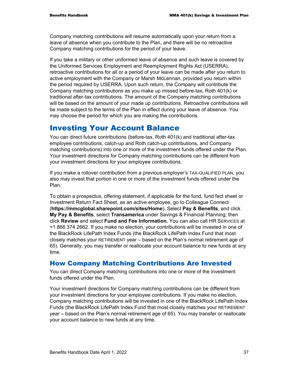Company matching contributions will resume automatically upon your return from a leave of absence when you contribute to the Plan, and there will be no retroactive Company matching contributions for the period of your leave.

If you take a military or other uniformed leave of absence and such leave is covered by the Uniformed Services Employment and Reemployment Rights Act (USERRA), retroactive contributions for all or a period of your leave can be made after you return to active employment with the Company or Marsh McLennan, provided you return within the period required by USERRA. Upon such return, the Company will contribute the Company matching contributions as you make up missed before-tax, Roth 401(k) or traditional after-tax contributions. The amount of the Company matching contributions will be based on the amount of your made up contributions. Retroactive contributions will be made subject to the terms of the Plan in effect during your leave of absence. You may choose the period for which you are making the contributions.

## Investing Your Account Balance

You can direct future contributions (before-tax, Roth 401(k) and traditional after-tax employee contributions, catch-up and Roth catch-up contributions, and Company matching contributions) into one or more of the investment funds offered under the Plan. Your investment directions for Company matching contributions can be different from your investment directions for your employee contributions.

If you make a rollover contribution from a previous employer's TAX-QUALIFIED PLAN, you also may invest that portion in one or more of the investment funds offered under the Plan.

To obtain a prospectus, offering statement, if applicable for the fund, fund fact sheet or Investment Return Fact Sheet, as an active employee, go to Colleague Connect (**https://mmcglobal.sharepoint.com/sites/Home**)**.** Select **Pay & Benefits**, and click **My Pay & Benefits**, select **Transamerica** under Savings & Financial Planning; then click **Review** and select **Fund and Fee Information.** You can also call HR SERVICES at +1 866 374 2662. If you make no election, your contributions will be invested in one of the BlackRock LifePath Index Funds (the BlackRock LifePath Index Fund that most closely matches your RETIREMENT year – based on the Plan's normal retirement age of 65). Generally, you may transfer or reallocate your account balance to new funds at any time.

### How Company Matching Contributions Are Invested

You can direct Company matching contributions into one or more of the investment funds offered under the Plan.

Your investment directions for Company matching contributions can be different from your investment directions for your employee contributions. If you make no election, Company matching contributions will be invested in one of the BlackRock LifePath Index Funds (the BlackRock LifePath Index Fund that most closely matches your RETIREMENT year – based on the Plan's normal retirement age of 65). You may transfer or reallocate your account balance to new funds at any time.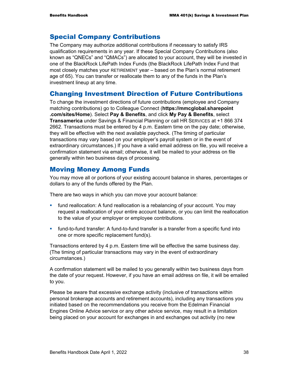### Special Company Contributions

The Company may authorize additional contributions if necessary to satisfy IRS qualification requirements in any year. If these Special Company Contributions (also known as "QNECs" and "QMACs") are allocated to your account, they will be invested in one of the BlackRock LifePath Index Funds (the BlackRock LifePath Index Fund that most closely matches your RETIREMENT year – based on the Plan's normal retirement age of 65). You can transfer or reallocate them to any of the funds in the Plan's investment lineup at any time.

### Changing Investment Direction of Future Contributions

To change the investment directions of future contributions (employee and Company matching contributions) go to Colleague Connect (**https://mmcglobal.sharepoint .com/sites/Home**). Select **Pay & Benefits**, and click **My Pay & Benefits**, select **Transamerica** under Savings & Financial Planning or call HR SERVICES at +1 866 374 2662. Transactions must be entered by 4 p.m. Eastern time on the pay date; otherwise, they will be effective with the next available paycheck. (The timing of particular transactions may vary based on your employer's payroll system or in the event of extraordinary circumstances.) If you have a valid email address on file, you will receive a confirmation statement via email; otherwise, it will be mailed to your address on file generally within two business days of processing.

### Moving Money Among Funds

You may move all or portions of your existing account balance in shares, percentages or dollars to any of the funds offered by the Plan.

There are two ways in which you can move your account balance:

- fund reallocation: A fund reallocation is a rebalancing of your account. You may request a reallocation of your entire account balance, or you can limit the reallocation to the value of your employer or employee contributions.
- fund-to-fund transfer: A fund-to-fund transfer is a transfer from a specific fund into one or more specific replacement fund(s).

Transactions entered by 4 p.m. Eastern time will be effective the same business day. (The timing of particular transactions may vary in the event of extraordinary circumstances.)

A confirmation statement will be mailed to you generally within two business days from the date of your request. However, if you have an email address on file, it will be emailed to you.

Please be aware that excessive exchange activity (inclusive of transactions within personal brokerage accounts and retirement accounts), including any transactions you initiated based on the recommendations you receive from the Edelman Financial Engines Online Advice service or any other advice service, may result in a limitation being placed on your account for exchanges in and exchanges out activity (no new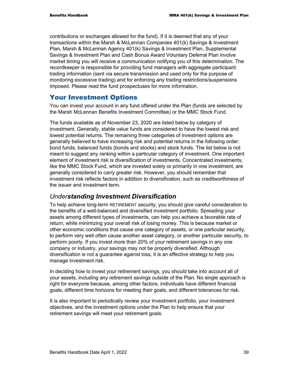contributions or exchanges allowed for the fund). If it is deemed that any of your transactions within the Marsh & McLennan Companies 401(k) Savings & Investment Plan, Marsh & McLennan Agency 401(k) Savings & Investment Plan, Supplemental Savings & Investment Plan and Cash Bonus Award Voluntary Deferral Plan involve market timing you will receive a communication notifying you of this determination. The recordkeeper is responsible for providing fund managers with aggregate participant trading information (sent via secure transmission and used only for the purpose of monitoring excessive trading) and for enforcing any trading restrictions/suspensions imposed. Please read the fund prospectuses for more information.

#### Your Investment Options

You can invest your account in any fund offered under the Plan (funds are selected by the Marsh McLennan Benefits Investment Committee) or the MMC Stock Fund.

The funds available as of November 23, 2020 are listed below by category of investment. Generally, stable value funds are considered to have the lowest risk and lowest potential returns. The remaining three categories of investment options are generally believed to have increasing risk and potential returns in the following order: bond funds, balanced funds (bonds and stocks) and stock funds. The list below is not meant to suggest any ranking within a particular category of investment. One important element of investment risk is diversification of investments. Concentrated investments, like the MMC Stock Fund, which are invested solely or primarily in one investment, are generally considered to carry greater risk. However, you should remember that investment risk reflects factors in addition to diversification, such as creditworthiness of the issuer and investment term.

#### *Understanding Investment Diversification*

To help achieve long-term RETIREMENT security, you should give careful consideration to the benefits of a well-balanced and diversified investment portfolio. Spreading your assets among different types of investments, can help you achieve a favorable rate of return, while minimizing your overall risk of losing money. This is because market or other economic conditions that cause one category of assets, or one particular security, to perform very well often cause another asset category, or another particular security, to perform poorly. If you invest more than 20% of your retirement savings in any one company or industry, your savings may not be properly diversified. Although diversification is not a guarantee against loss, it is an effective strategy to help you manage investment risk.

In deciding how to invest your retirement savings, you should take into account all of your assets, including any retirement savings outside of the Plan. No single approach is right for everyone because, among other factors, individuals have different financial goals, different time horizons for meeting their goals, and different tolerances for risk.

It is also important to periodically review your investment portfolio, your investment objectives, and the investment options under the Plan to help ensure that your retirement savings will meet your retirement goals.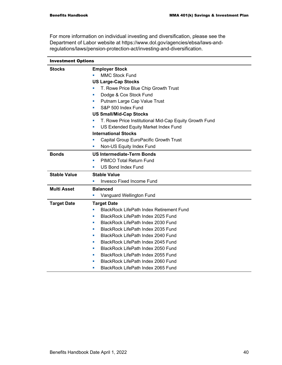For more information on individual investing and diversification, please see the Department of Labor website at https://www.dol.gov/agencies/ebsa/laws-andregulations/laws/pension-protection-act/investing-and-diversification.

| <b>Investment Options</b> |                                                             |  |
|---------------------------|-------------------------------------------------------------|--|
| <b>Stocks</b>             | <b>Employer Stock</b>                                       |  |
|                           | <b>MMC Stock Fund</b>                                       |  |
|                           | <b>US Large-Cap Stocks</b>                                  |  |
|                           | T. Rowe Price Blue Chip Growth Trust                        |  |
|                           | Dodge & Cox Stock Fund<br>×                                 |  |
|                           | Putnam Large Cap Value Trust<br>u,                          |  |
|                           | S&P 500 Index Fund                                          |  |
|                           | <b>US Small/Mid-Cap Stocks</b>                              |  |
|                           | T. Rowe Price Institutional Mid-Cap Equity Growth Fund<br>п |  |
|                           | US Extended Equity Market Index Fund<br>ш                   |  |
|                           | <b>International Stocks</b>                                 |  |
|                           | Capital Group EuroPacific Growth Trust                      |  |
|                           | Non-US Equity Index Fund<br>ш                               |  |
| <b>Bonds</b>              | <b>US Intermediate-Term Bonds</b>                           |  |
|                           | <b>PIMCO Total Return Fund</b><br>u,                        |  |
|                           | <b>US Bond Index Fund</b><br>×                              |  |
| <b>Stable Value</b>       | <b>Stable Value</b>                                         |  |
|                           | <b>Invesco Fixed Income Fund</b><br>u,                      |  |
| <b>Multi Asset</b>        | <b>Balanced</b>                                             |  |
|                           | Vanguard Wellington Fund<br>u,                              |  |
| <b>Target Date</b>        | <b>Target Date</b>                                          |  |
|                           | <b>BlackRock LifePath Index Retirement Fund</b><br>×        |  |
|                           | BlackRock LifePath Index 2025 Fund<br>×                     |  |
|                           | BlackRock LifePath Index 2030 Fund<br>п                     |  |
|                           | BlackRock LifePath Index 2035 Fund<br>п                     |  |
|                           | BlackRock LifePath Index 2040 Fund<br>п                     |  |
|                           | BlackRock LifePath Index 2045 Fund<br>п                     |  |
|                           | BlackRock LifePath Index 2050 Fund<br>п                     |  |
|                           | BlackRock LifePath Index 2055 Fund<br>п                     |  |
|                           | BlackRock LifePath Index 2060 Fund<br>п                     |  |
|                           | BlackRock LifePath Index 2065 Fund<br>п                     |  |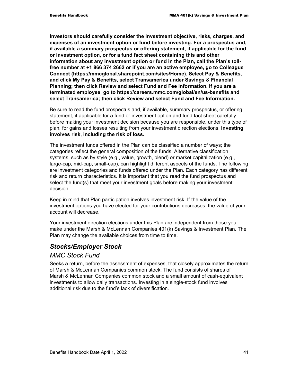**Investors should carefully consider the investment objective, risks, charges, and expenses of an investment option or fund before investing. For a prospectus and, if available a summary prospectus or offering statement, if applicable for the fund or investment option, or for a fund fact sheet containing this and other information about any investment option or fund in the Plan, call the Plan's tollfree number at +1 866 374 2662 or if you are an active employee, go to Colleague Connect (https://mmcglobal.sharepoint.com/sites/Home). Select Pay & Benefits, and click My Pay & Benefits, select Transamerica under Savings & Financial Planning; then click Review and select Fund and Fee Information. If you are a terminated employee, go to https://careers.mmc.com/global/en/us-benefits and select Transamerica; then click Review and select Fund and Fee Information.** 

Be sure to read the fund prospectus and, if available, summary prospectus, or offering statement, if applicable for a fund or investment option and fund fact sheet carefully before making your investment decision because you are responsible, under this type of plan, for gains and losses resulting from your investment direction elections. **Investing involves risk, including the risk of loss.**

The investment funds offered in the Plan can be classified a number of ways; the categories reflect the general composition of the funds. Alternative classification systems, such as by style (e.g., value, growth, blend) or market capitalization (e.g., large-cap, mid-cap, small-cap), can highlight different aspects of the funds. The following are investment categories and funds offered under the Plan. Each category has different risk and return characteristics. It is important that you read the fund prospectus and select the fund(s) that meet your investment goals before making your investment decision.

Keep in mind that Plan participation involves investment risk. If the value of the investment options you have elected for your contributions decreases, the value of your account will decrease.

Your investment direction elections under this Plan are independent from those you make under the Marsh & McLennan Companies 401(k) Savings & Investment Plan. The Plan may change the available choices from time to time.

## *Stocks/Employer Stock*

#### *MMC Stock Fund*

Seeks a return, before the assessment of expenses, that closely approximates the return of Marsh & McLennan Companies common stock. The fund consists of shares of Marsh & McLennan Companies common stock and a small amount of cash-equivalent investments to allow daily transactions. Investing in a single-stock fund involves additional risk due to the fund's lack of diversification.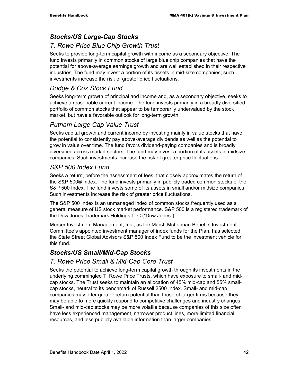## *Stocks/US Large-Cap Stocks*

## *T. Rowe Price Blue Chip Growth Trust*

Seeks to provide long-term capital growth with income as a secondary objective. The fund invests primarily in common stocks of large blue chip companies that have the potential for above-average earnings growth and are well established in their respective industries. The fund may invest a portion of its assets in mid-size companies; such investments increase the risk of greater price fluctuations.

## *Dodge & Cox Stock Fund*

Seeks long-term growth of principal and income and, as a secondary objective, seeks to achieve a reasonable current income. The fund invests primarily in a broadly diversified portfolio of common stocks that appear to be temporarily undervalued by the stock market, but have a favorable outlook for long-term growth.

### *Putnam Large Cap Value Trust*

Seeks capital growth and current income by investing mainly in value stocks that have the potential to consistently pay above-average dividends as well as the potential to grow in value over time. The fund favors dividend-paying companies and is broadly diversified across market sectors. The fund may invest a portion of its assets in midsize companies. Such investments increase the risk of greater price fluctuations.

### *S&P 500 Index Fund*

Seeks a return, before the assessment of fees, that closely approximates the return of the S&P 500® Index. The fund invests primarily in publicly traded common stocks of the S&P 500 Index. The fund invests some of its assets in small and/or midsize companies. Such investments increase the risk of greater price fluctuations.

The S&P 500 Index is an unmanaged index of common stocks frequently used as a general measure of US stock market performance. S&P 500 is a registered trademark of the Dow Jones Trademark Holdings LLC ("Dow Jones").

Mercer Investment Management, Inc., as the Marsh McLennan Benefits Investment Committee's appointed investment manager of index funds for the Plan, has selected the State Street Global Advisors S&P 500 Index Fund to be the investment vehicle for this fund.

## *Stocks/US Small/Mid-Cap Stocks*

### *T. Rowe Price Small & Mid-Cap Core Trust*

Seeks the potential to achieve long-term capital growth through its investments in the underlying commingled T. Rowe Price Trusts, which have exposure to small- and midcap stocks. The Trust seeks to maintain an allocation of 45% mid-cap and 55% smallcap stocks, neutral to its benchmark of Russell 2500 Index. Small- and mid-cap companies may offer greater return potential than those of larger firms because they may be able to more quickly respond to competitive challenges and industry changes. Small- and mid-cap stocks may be more volatile because companies of this size often have less experienced management, narrower product lines, more limited financial resources, and less publicly available information than larger companies.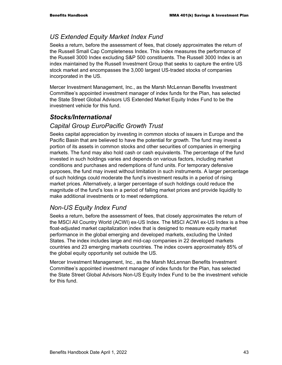### *US Extended Equity Market Index Fund*

Seeks a return, before the assessment of fees, that closely approximates the return of the Russell Small Cap Completeness Index. This index measures the performance of the Russell 3000 Index excluding S&P 500 constituents. The Russell 3000 Index is an index maintained by the Russell Investment Group that seeks to capture the entire US stock market and encompasses the 3,000 largest US-traded stocks of companies incorporated in the US.

Mercer Investment Management, Inc., as the Marsh McLennan Benefits Investment Committee's appointed investment manager of index funds for the Plan, has selected the State Street Global Advisors US Extended Market Equity Index Fund to be the investment vehicle for this fund.

### *Stocks/International*

#### *Capital Group EuroPacific Growth Trust*

Seeks capital appreciation by investing in common stocks of issuers in Europe and the Pacific Basin that are believed to have the potential for growth. The fund may invest a portion of its assets in common stocks and other securities of companies in emerging markets. The fund may also hold cash or cash equivalents. The percentage of the fund invested in such holdings varies and depends on various factors, including market conditions and purchases and redemptions of fund units. For temporary defensive purposes, the fund may invest without limitation in such instruments. A larger percentage of such holdings could moderate the fund's investment results in a period of rising market prices. Alternatively, a larger percentage of such holdings could reduce the magnitude of the fund's loss in a period of falling market prices and provide liquidity to make additional investments or to meet redemptions.

### *Non-US Equity Index Fund*

Seeks a return, before the assessment of fees, that closely approximates the return of the MSCI All Country World (ACWI) ex-US Index. The MSCI ACWI ex-US Index is a free float-adjusted market capitalization index that is designed to measure equity market performance in the global emerging and developed markets, excluding the United States. The index includes large and mid-cap companies in 22 developed markets countries and 23 emerging markets countries. The index covers approximately 85% of the global equity opportunity set outside the US.

Mercer Investment Management, Inc., as the Marsh McLennan Benefits Investment Committee's appointed investment manager of index funds for the Plan, has selected the State Street Global Advisors Non-US Equity Index Fund to be the investment vehicle for this fund.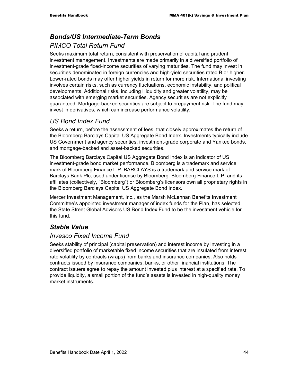## *Bonds/US Intermediate-Term Bonds PIMCO Total Return Fund*

Seeks maximum total return, consistent with preservation of capital and prudent investment management. Investments are made primarily in a diversified portfolio of investment-grade fixed-income securities of varying maturities. The fund may invest in securities denominated in foreign currencies and high-yield securities rated B or higher. Lower-rated bonds may offer higher yields in return for more risk. International investing involves certain risks, such as currency fluctuations, economic instability, and political developments. Additional risks, including illiquidity and greater volatility, may be associated with emerging market securities. Agency securities are not explicitly guaranteed. Mortgage-backed securities are subject to prepayment risk. The fund may invest in derivatives, which can increase performance volatility.

#### *US Bond Index Fund*

Seeks a return, before the assessment of fees, that closely approximates the return of the Bloomberg Barclays Capital US Aggregate Bond Index. Investments typically include US Government and agency securities, investment-grade corporate and Yankee bonds, and mortgage-backed and asset-backed securities.

The Bloomberg Barclays Capital US Aggregate Bond Index is an indicator of US investment-grade bond market performance. Bloomberg is a trademark and service mark of Bloomberg Finance L.P. BARCLAYS is a trademark and service mark of Barclays Bank Plc, used under license by Bloomberg. Bloomberg Finance L.P. and its affiliates (collectively, "Bloomberg") or Bloomberg's licensors own all proprietary rights in the Bloomberg Barclays Capital US Aggregate Bond Index.

Mercer Investment Management, Inc., as the Marsh McLennan Benefits Investment Committee's appointed investment manager of index funds for the Plan, has selected the State Street Global Advisors US Bond Index Fund to be the investment vehicle for this fund.

### *Stable Value*

#### *Invesco Fixed Income Fund*

Seeks stability of principal (capital preservation) and interest income by investing in a diversified portfolio of marketable fixed income securities that are insulated from interest rate volatility by contracts (wraps) from banks and insurance companies. Also holds contracts issued by insurance companies, banks, or other financial institutions. The contract issuers agree to repay the amount invested plus interest at a specified rate. To provide liquidity, a small portion of the fund's assets is invested in high-quality money market instruments.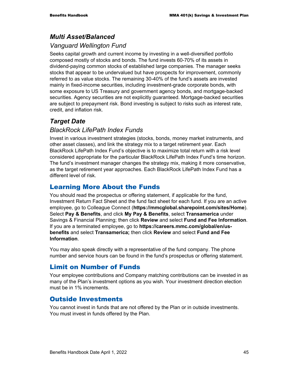### *Multi Asset/Balanced*

### *Vanguard Wellington Fund*

Seeks capital growth and current income by investing in a well-diversified portfolio composed mostly of stocks and bonds. The fund invests 60-70% of its assets in dividend-paying common stocks of established large companies. The manager seeks stocks that appear to be undervalued but have prospects for improvement, commonly referred to as value stocks. The remaining 30-40% of the fund's assets are invested mainly in fixed-income securities, including investment-grade corporate bonds, with some exposure to US Treasury and government agency bonds, and mortgage-backed securities. Agency securities are not explicitly guaranteed. Mortgage-backed securities are subject to prepayment risk. Bond investing is subject to risks such as interest rate, credit, and inflation risk.

## *Target Date*

#### *BlackRock LifePath Index Funds*

Invest in various investment strategies (stocks, bonds, money market instruments, and other asset classes), and link the strategy mix to a target retirement year. Each BlackRock LifePath Index Fund's objective is to maximize total return with a risk level considered appropriate for the particular BlackRock LifePath Index Fund's time horizon. The fund's investment manager changes the strategy mix, making it more conservative, as the target retirement year approaches. Each BlackRock LifePath Index Fund has a different level of risk.

### Learning More About the Funds

You should read the prospectus or offering statement, if applicable for the fund, Investment Return Fact Sheet and the fund fact sheet for each fund. If you are an active employee, go to Colleague Connect (**https://mmcglobal.sharepoint.com/sites/Home**). Select **Pay & Benefits**, and click **My Pay & Benefits**, select **Transamerica** under Savings & Financial Planning; then click **Review** and select **Fund and Fee Information**. If you are a terminated employee, go to **https://careers.mmc.com/global/en/usbenefits** and select **Transamerica;** then click **Review** and select **Fund and Fee Information**.

You may also speak directly with a representative of the fund company. The phone number and service hours can be found in the fund's prospectus or offering statement.

### Limit on Number of Funds

Your employee contributions and Company matching contributions can be invested in as many of the Plan's investment options as you wish. Your investment direction election must be in 1% increments.

### Outside Investments

You cannot invest in funds that are not offered by the Plan or in outside investments. You must invest in funds offered by the Plan.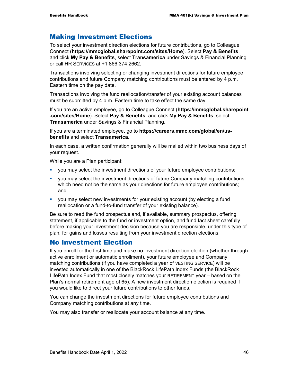#### Making Investment Elections

To select your investment direction elections for future contributions, go to Colleague Connect (**https://mmcglobal.sharepoint.com/sites/Home**). Select **Pay & Benefits**, and click **My Pay & Benefits**, select **Transamerica** under Savings & Financial Planning or call HR SERVICES at +1 866 374 2662.

Transactions involving selecting or changing investment directions for future employee contributions and future Company matching contributions must be entered by 4 p.m. Eastern time on the pay date.

Transactions involving the fund reallocation/transfer of your existing account balances must be submitted by 4 p.m. Eastern time to take effect the same day.

If you are an active employee, go to Colleague Connect (**https://mmcglobal.sharepoint .com/sites/Home**). Select **Pay & Benefits**, and click **My Pay & Benefits**, select **Transamerica** under Savings & Financial Planning.

If you are a terminated employee, go to **https://careers.mmc.com/global/en/usbenefits** and select **Transamerica**.

In each case, a written confirmation generally will be mailed within two business days of your request.

While you are a Plan participant:

- you may select the investment directions of your future employee contributions;
- you may select the investment directions of future Company matching contributions which need not be the same as your directions for future employee contributions; and
- you may select new investments for your existing account (by electing a fund reallocation or a fund-to-fund transfer of your existing balance).

Be sure to read the fund prospectus and, if available, summary prospectus, offering statement, if applicable to the fund or investment option, and fund fact sheet carefully before making your investment decision because you are responsible, under this type of plan, for gains and losses resulting from your investment direction elections.

#### No Investment Election

If you enroll for the first time and make no investment direction election (whether through active enrollment or automatic enrollment), your future employee and Company matching contributions (if you have completed a year of VESTING SERVICE) will be invested automatically in one of the BlackRock LifePath Index Funds (the BlackRock LifePath Index Fund that most closely matches your RETIREMENT year – based on the Plan's normal retirement age of 65). A new investment direction election is required if you would like to direct your future contributions to other funds.

You can change the investment directions for future employee contributions and Company matching contributions at any time.

You may also transfer or reallocate your account balance at any time.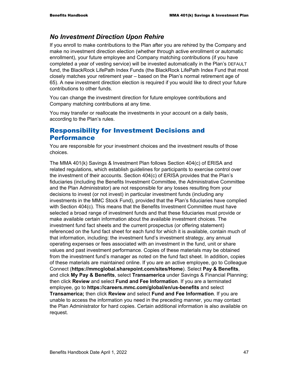#### *No Investment Direction Upon Rehire*

If you enroll to make contributions to the Plan after you are rehired by the Company and make no investment direction election (whether through active enrollment or automatic enrollment), your future employee and Company matching contributions (if you have completed a year of vesting service) will be invested automatically in the Plan's DEFAULT fund, the BlackRock LifePath Index Funds (the BlackRock LifePath Index Fund that most closely matches your retirement year – based on the Plan's normal retirement age of 65). A new investment direction election is required if you would like to direct your future contributions to other funds.

You can change the investment direction for future employee contributions and Company matching contributions at any time.

You may transfer or reallocate the investments in your account on a daily basis, according to the Plan's rules.

#### Responsibility for Investment Decisions and Performance

You are responsible for your investment choices and the investment results of those choices.

The MMA 401(k) Savings & Investment Plan follows Section 404(c) of ERISA and related regulations, which establish guidelines for participants to exercise control over the investment of their accounts. Section 404(c) of ERISA provides that the Plan's fiduciaries (including the Benefits Investment Committee, the Administrative Committee and the Plan Administrator) are not responsible for any losses resulting from your decisions to invest (or not invest) in particular investment funds (including any investments in the MMC Stock Fund), provided that the Plan's fiduciaries have complied with Section 404(c). This means that the Benefits Investment Committee must have selected a broad range of investment funds and that these fiduciaries must provide or make available certain information about the available investment choices. The investment fund fact sheets and the current prospectus (or offering statement) referenced on the fund fact sheet for each fund for which it is available, contain much of that information, including: the investment fund's investment strategy, any annual operating expenses or fees associated with an investment in the fund, unit or share values and past investment performance. Copies of these materials may be obtained from the investment fund's manager as noted on the fund fact sheet. In addition, copies of these materials are maintained online. If you are an active employee, go to Colleague Connect (**https://mmcglobal.sharepoint.com/sites/Home**). Select **Pay & Benefits**, and click **My Pay & Benefits**, select **Transamerica** under Savings & Financial Planning; then click **Review** and select **Fund and Fee Information**. If you are a terminated employee, go to **https://careers.mmc.com/global/en/us-benefits** and select **Transamerica;** then click **Review** and select **Fund and Fee Information**. If you are unable to access the information you need in the preceding manner, you may contact the Plan Administrator for hard copies. Certain additional information is also available on request.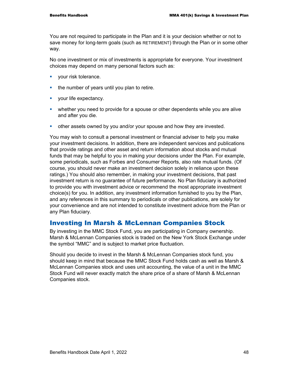You are not required to participate in the Plan and it is your decision whether or not to save money for long-term goals (such as RETIREMENT) through the Plan or in some other way.

No one investment or mix of investments is appropriate for everyone. Your investment choices may depend on many personal factors such as:

- vour risk tolerance.
- the number of years until you plan to retire.
- **vour life expectancy.**
- whether you need to provide for a spouse or other dependents while you are alive and after you die.
- other assets owned by you and/or your spouse and how they are invested.

You may wish to consult a personal investment or financial adviser to help you make your investment decisions. In addition, there are independent services and publications that provide ratings and other asset and return information about stocks and mutual funds that may be helpful to you in making your decisions under the Plan. For example, some periodicals, such as Forbes and Consumer Reports, also rate mutual funds. (Of course, you should never make an investment decision solely in reliance upon these ratings.) You should also remember, in making your investment decisions, that past investment return is no guarantee of future performance. No Plan fiduciary is authorized to provide you with investment advice or recommend the most appropriate investment choice(s) for you. In addition, any investment information furnished to you by the Plan, and any references in this summary to periodicals or other publications, are solely for your convenience and are not intended to constitute investment advice from the Plan or any Plan fiduciary.

#### Investing In Marsh & McLennan Companies Stock

By investing in the MMC Stock Fund, you are participating in Company ownership. Marsh & McLennan Companies stock is traded on the New York Stock Exchange under the symbol "MMC" and is subject to market price fluctuation.

Should you decide to invest in the Marsh & McLennan Companies stock fund, you should keep in mind that because the MMC Stock Fund holds cash as well as Marsh & McLennan Companies stock and uses unit accounting, the value of a unit in the MMC Stock Fund will never exactly match the share price of a share of Marsh & McLennan Companies stock.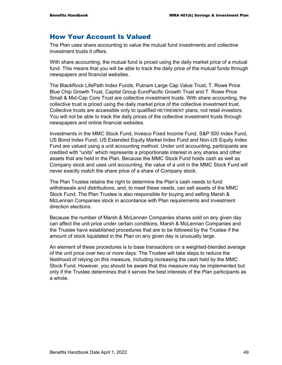#### How Your Account Is Valued

The Plan uses share accounting to value the mutual fund investments and collective investment trusts it offers.

With share accounting, the mutual fund is priced using the daily market price of a mutual fund. This means that you will be able to track the daily price of the mutual funds through newspapers and financial websites.

The BlackRock LifePath Index Funds, Putnam Large Cap Value Trust, T. Rowe Price Blue Chip Growth Trust, Capital Group EuroPacific Growth Trust and T. Rowe Price Small & Mid-Cap Core Trust are collective investment trusts. With share accounting, the collective trust is priced using the daily market price of the collective investment trust. Collective trusts are accessible only to qualified RETIREMENT plans, not retail investors. You will not be able to track the daily prices of the collective investment trusts through newspapers and online financial websites.

Investments in the MMC Stock Fund, Invesco Fixed Income Fund, S&P 500 Index Fund, US Bond Index Fund, US Extended Equity Market Index Fund and Non-US Equity Index Fund are valued using a unit accounting method. Under unit accounting, participants are credited with "units" which represents a proportionate interest in any shares and other assets that are held in the Plan. Because the MMC Stock Fund holds cash as well as Company stock and uses unit accounting, the value of a unit in the MMC Stock Fund will never exactly match the share price of a share of Company stock.

The Plan Trustee retains the right to determine the Plan's cash needs to fund withdrawals and distributions, and, to meet these needs, can sell assets of the MMC Stock Fund. The Plan Trustee is also responsible for buying and selling Marsh & McLennan Companies stock in accordance with Plan requirements and investment direction elections.

Because the number of Marsh & McLennan Companies shares sold on any given day can affect the unit price under certain conditions, Marsh & McLennan Companies and the Trustee have established procedures that are to be followed by the Trustee if the amount of stock liquidated in the Plan on any given day is unusually large.

An element of these procedures is to base transactions on a weighted-blended average of the unit price over two or more days. The Trustee will take steps to reduce the likelihood of relying on this measure, including increasing the cash held by the MMC Stock Fund. However, you should be aware that this measure may be implemented but only if the Trustee determines that it serves the best interests of the Plan participants as a whole.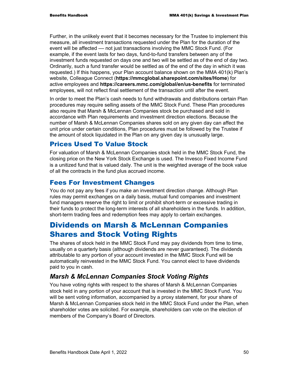Further, in the unlikely event that it becomes necessary for the Trustee to implement this measure, all investment transactions requested under the Plan for the duration of the event will be affected — not just transactions involving the MMC Stock Fund. (For example, if the event lasts for two days, fund-to-fund transfers between any of the investment funds requested on days one and two will be settled as of the end of day two. Ordinarily, such a fund transfer would be settled as of the end of the day in which it was requested.) If this happens, your Plan account balance shown on the MMA 401(k) Plan's website, Colleague Connect (**https://mmcglobal.sharepoint.com/sites/Home**) for active employees and **https://careers.mmc.com/global/en/us-benefits** for terminated employees, will not reflect final settlement of the transaction until after the event.

In order to meet the Plan's cash needs to fund withdrawals and distributions certain Plan procedures may require selling assets of the MMC Stock Fund. These Plan procedures also require that Marsh & McLennan Companies stock be purchased and sold in accordance with Plan requirements and investment direction elections. Because the number of Marsh & McLennan Companies shares sold on any given day can affect the unit price under certain conditions, Plan procedures must be followed by the Trustee if the amount of stock liquidated in the Plan on any given day is unusually large.

#### Prices Used To Value Stock

For valuation of Marsh & McLennan Companies stock held in the MMC Stock Fund, the closing price on the New York Stock Exchange is used. The Invesco Fixed Income Fund is a unitized fund that is valued daily. The unit is the weighted average of the book value of all the contracts in the fund plus accrued income.

### Fees For Investment Changes

You do not pay any fees if you make an investment direction change. Although Plan rules may permit exchanges on a daily basis, mutual fund companies and investment fund managers reserve the right to limit or prohibit short-term or excessive trading in their funds to protect the long-term interests of all shareholders in the funds. In addition, short-term trading fees and redemption fees may apply to certain exchanges.

# Dividends on Marsh & McLennan Companies Shares and Stock Voting Rights

The shares of stock held in the MMC Stock Fund may pay dividends from time to time, usually on a quarterly basis (although dividends are never guaranteed). The dividends attributable to any portion of your account invested in the MMC Stock Fund will be automatically reinvested in the MMC Stock Fund. You cannot elect to have dividends paid to you in cash.

## *Marsh & McLennan Companies Stock Voting Rights*

You have voting rights with respect to the shares of Marsh & McLennan Companies stock held in any portion of your account that is invested in the MMC Stock Fund. You will be sent voting information, accompanied by a proxy statement, for your share of Marsh & McLennan Companies stock held in the MMC Stock Fund under the Plan, when shareholder votes are solicited. For example, shareholders can vote on the election of members of the Company's Board of Directors.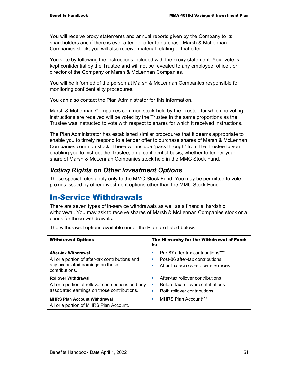You will receive proxy statements and annual reports given by the Company to its shareholders and if there is ever a tender offer to purchase Marsh & McLennan Companies stock, you will also receive material relating to that offer.

You vote by following the instructions included with the proxy statement. Your vote is kept confidential by the Trustee and will not be revealed to any employee, officer, or director of the Company or Marsh & McLennan Companies.

You will be informed of the person at Marsh & McLennan Companies responsible for monitoring confidentiality procedures.

You can also contact the Plan Administrator for this information.

Marsh & McLennan Companies common stock held by the Trustee for which no voting instructions are received will be voted by the Trustee in the same proportions as the Trustee was instructed to vote with respect to shares for which it received instructions.

The Plan Administrator has established similar procedures that it deems appropriate to enable you to timely respond to a tender offer to purchase shares of Marsh & McLennan Companies common stock. These will include "pass through" from the Trustee to you enabling you to instruct the Trustee, on a confidential basis, whether to tender your share of Marsh & McLennan Companies stock held in the MMC Stock Fund.

#### *Voting Rights on Other Investment Options*

These special rules apply only to the MMC Stock Fund. You may be permitted to vote proxies issued by other investment options other than the MMC Stock Fund.

## In-Service Withdrawals

There are seven types of in-service withdrawals as well as a financial hardship withdrawal. You may ask to receive shares of Marsh & McLennan Companies stock or a check for these withdrawals.

| <b>Withdrawal Options</b>                                                                                                            | The Hierarchy for the Withdrawal of Funds<br>is:                                                                        |  |  |
|--------------------------------------------------------------------------------------------------------------------------------------|-------------------------------------------------------------------------------------------------------------------------|--|--|
| <b>After-tax Withdrawal</b><br>All or a portion of after-tax contributions and<br>any associated earnings on those<br>contributions. | Pre-87 after-tax contributions***<br>ш<br>Post-86 after-tax contributions<br>ш<br>After-tax ROLLOVER CONTRIBUTIONS<br>ш |  |  |
| <b>Rollover Withdrawal</b><br>All or a portion of rollover contributions and any<br>associated earnings on those contributions.      | After-tax rollover contributions<br>п<br>Before-tax rollover contributions<br>a.<br>Roth rollover contributions<br>ш    |  |  |
| <b>MHRS Plan Account Withdrawal</b><br>All or a portion of MHRS Plan Account.                                                        | <b>MHRS Plan Account***</b><br>٠                                                                                        |  |  |

The withdrawal options available under the Plan are listed below.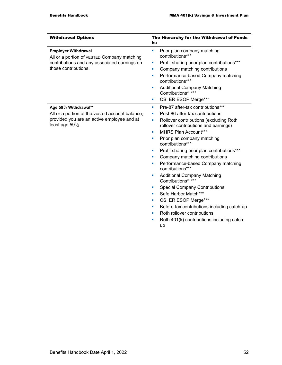| <b>Withdrawal Options</b>                                                                                                                                                   | The Hierarchy for the Withdrawal of Funds<br>is:                                                                                                                                                                                                                                                                                                                                                                                                                                                                                                                                                                                                                                                     |  |
|-----------------------------------------------------------------------------------------------------------------------------------------------------------------------------|------------------------------------------------------------------------------------------------------------------------------------------------------------------------------------------------------------------------------------------------------------------------------------------------------------------------------------------------------------------------------------------------------------------------------------------------------------------------------------------------------------------------------------------------------------------------------------------------------------------------------------------------------------------------------------------------------|--|
| <b>Employer Withdrawal</b><br>All or a portion of VESTED Company matching<br>contributions and any associated earnings on<br>those contributions.<br>Age 591/2 Withdrawal** | Prior plan company matching<br>ш<br>contributions***<br>Profit sharing prior plan contributions***<br>ш<br>Company matching contributions<br>u,<br>Performance-based Company matching<br>×<br>contributions***<br><b>Additional Company Matching</b><br>ш<br>Contributions*, ***<br>CSI ER ESOP Merge***<br>×<br>Pre-87 after-tax contributions***<br>ш                                                                                                                                                                                                                                                                                                                                              |  |
| All or a portion of the vested account balance,<br>provided you are an active employee and at<br>least age $59\frac{1}{2}$ .                                                | Post-86 after-tax contributions<br>ш<br>Rollover contributions (excluding Roth<br>ш<br>rollover contributions and earnings)<br>MHRS Plan Account***<br>٠<br>Prior plan company matching<br>ш<br>contributions***<br>Profit sharing prior plan contributions***<br>u,<br>Company matching contributions<br>u,<br>Performance-based Company matching<br>u,<br>contributions***<br><b>Additional Company Matching</b><br>u,<br>Contributions*, ***<br><b>Special Company Contributions</b><br>×<br>Safe Harbor Match***<br>u,<br>CSI ER ESOP Merge***<br>u,<br>Before-tax contributions including catch-up<br>п<br>Roth rollover contributions<br>Roth 401(k) contributions including catch-<br>×<br>up |  |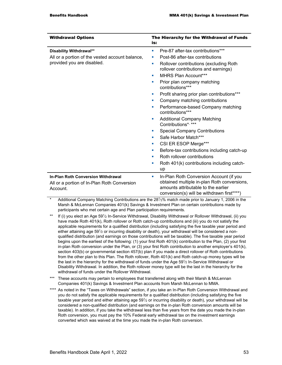| <b>Withdrawal Options</b>                                                                                | The Hierarchy for the Withdrawal of Funds<br>is:                                                                                                                                                                                                                                                                                                                                                                                                                                                                                                           |
|----------------------------------------------------------------------------------------------------------|------------------------------------------------------------------------------------------------------------------------------------------------------------------------------------------------------------------------------------------------------------------------------------------------------------------------------------------------------------------------------------------------------------------------------------------------------------------------------------------------------------------------------------------------------------|
| Disability Withdrawal**<br>All or a portion of the vested account balance,<br>provided you are disabled. | Pre-87 after-tax contributions***<br>ш<br>Post-86 after-tax contributions<br>ш<br>Rollover contributions (excluding Roth<br>×<br>rollover contributions and earnings)<br>MHRS Plan Account***<br>ш<br>Prior plan company matching<br>ш<br>contributions***<br>Profit sharing prior plan contributions***<br>ш<br>Company matching contributions<br>Performance-based Company matching<br>п<br>contributions***<br><b>Additional Company Matching</b><br>ш<br>Contributions*, ***<br><b>Special Company Contributions</b><br>п<br>Safe Harbor Match***<br>п |
|                                                                                                          | CSI ER ESOP Merge***<br>×<br>Before-tax contributions including catch-up<br>ш<br>Roth rollover contributions<br>п<br>Roth 401(k) contributions including catch-<br>×<br>up                                                                                                                                                                                                                                                                                                                                                                                 |
| <b>In-Plan Roth Conversion Withdrawal</b><br>All or a portion of In-Plan Roth Conversion<br>Account.     | In-Plan Roth Conversion Account (if you<br>ш<br>obtained multiple in-plan Roth conversions,<br>amounts attributable to the earlier<br>conversion(s) will be withdrawn first****)                                                                                                                                                                                                                                                                                                                                                                           |

Additional Company Matching Contributions are the 28<sup>1</sup>/<sub>3</sub>% match made prior to January 1, 2006 in the Marsh & McLennan Companies 401(k) Savings & Investment Plan on certain contributions made by participants who met certain age and Plan participation requirements.

- If (i) you elect an Age 591/2 In-Service Withdrawal, Disability Withdrawal or Rollover Withdrawal, (ii) you have made Roth 401(k), Roth rollover or Roth catch-up contributions and (iii) you do not satisfy the applicable requirements for a qualified distribution (including satisfying the five taxable year period and either attaining age  $59\frac{1}{2}$  or incurring disability or death), your withdrawal will be considered a nonqualified distribution (and earnings on those contributions will be taxable). The five taxable year period begins upon the earliest of the following: (1) your first Roth 401(k) contribution to the Plan, (2) your first in-plan Roth conversion under the Plan, or (3) your first Roth contribution to another employer's 401(k), section 403(b) or governmental section 457(b) plan if you made a direct rollover of Roth contributions from the other plan to this Plan. The Roth rollover, Roth 401(k) and Roth catch-up money types will be the last in the hierarchy for the withdrawal of funds under the Age 59<sup>1</sup>/<sub>2</sub> In-Service Withdrawal or Disability Withdrawal. In addition, the Roth rollover money type will be the last in the hierarchy for the withdrawal of funds under the Rollover Withdrawal.
- \*\*\* These accounts may pertain to employees that transferred along with their Marsh & McLennan Companies 401(k) Savings & Investment Plan accounts from Marsh McLennan to MMA.
- \*\*\*\* As noted in the "Taxes on Withdrawals" section, if you take an In-Plan Roth Conversion Withdrawal and you do not satisfy the applicable requirements for a qualified distribution (including satisfying the five taxable year period and either attaining age 591⁄2 or incurring disability or death), your withdrawal will be considered a non-qualified distribution (and earnings on the in-plan Roth conversion amounts will be taxable). In addition, if you take the withdrawal less than five years from the date you made the in-plan Roth conversion, you must pay the 10% Federal early withdrawal tax on the investment earnings converted which was waived at the time you made the in-plan Roth conversion.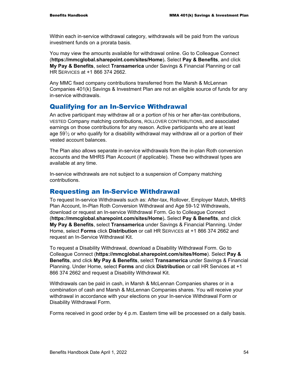Within each in-service withdrawal category, withdrawals will be paid from the various investment funds on a prorata basis.

You may view the amounts available for withdrawal online. Go to Colleague Connect (**https://mmcglobal.sharepoint.com/sites/Home**)**.** Select **Pay & Benefits**, and click **My Pay & Benefits**, select **Transamerica** under Savings & Financial Planning or call HR SERVICES at +1 866 374 2662.

Any MMC fixed company contributions transferred from the Marsh & McLennan Companies 401(k) Savings & Investment Plan are not an eligible source of funds for any in-service withdrawals.

#### Qualifying for an In-Service Withdrawal

An active participant may withdraw all or a portion of his or her after-tax contributions, VESTED Company matching contributions, ROLLOVER CONTRIBUTIONS, and associated earnings on those contributions for any reason. Active participants who are at least age 59 $\frac{1}{2}$  or who qualify for a disability withdrawal may withdraw all or a portion of their vested account balances.

The Plan also allows separate in-service withdrawals from the in-plan Roth conversion accounts and the MHRS Plan Account (if applicable). These two withdrawal types are available at any time.

In-service withdrawals are not subject to a suspension of Company matching contributions.

#### Requesting an In-Service Withdrawal

To request In-service Withdrawals such as: After-tax, Rollover, Employer Match, MHRS Plan Account, In-Plan Roth Conversion Withdrawal and Age 59-1⁄2 Withdrawals, download or request an In-service Withdrawal Form. Go to Colleague Connect (**https://mmcglobal.sharepoint.com/sites/Home**)**.** Select **Pay & Benefits**, and click **My Pay & Benefits**, select **Transamerica** under Savings & Financial Planning. Under Home, select **Forms** click **Distribution** or call HR SERVICES at +1 866 374 2662 and request an In-Service Withdrawal Kit.

To request a Disability Withdrawal, download a Disability Withdrawal Form. Go to Colleague Connect (**https://mmcglobal.sharepoint.com/sites/Home**). Select **Pay & Benefits**, and click **My Pay & Benefits**, select **Transamerica** under Savings & Financial Planning. Under Home, select **Forms** and click **Distribution** or call HR Services at +1 866 374 2662 and request a Disability Withdrawal Kit.

Withdrawals can be paid in cash, in Marsh & McLennan Companies shares or in a combination of cash and Marsh & McLennan Companies shares. You will receive your withdrawal in accordance with your elections on your In-service Withdrawal Form or Disability Withdrawal Form.

Forms received in good order by 4 p.m. Eastern time will be processed on a daily basis.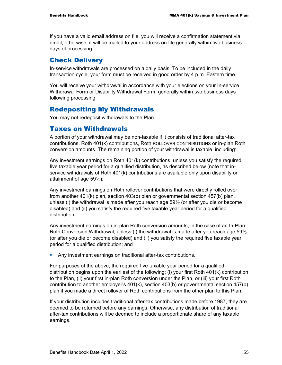If you have a valid email address on file, you will receive a confirmation statement via email; otherwise, it will be mailed to your address on file generally within two business days of processing.

#### Check Delivery

In-service withdrawals are processed on a daily basis. To be included in the daily transaction cycle, your form must be received in good order by 4 p.m. Eastern time.

You will receive your withdrawal in accordance with your elections on your In-service Withdrawal Form or Disability Withdrawal Form, generally within two business days following processing.

### Redepositing My Withdrawals

You may not redeposit withdrawals to the Plan.

#### Taxes on Withdrawals

A portion of your withdrawal may be non-taxable if it consists of traditional after-tax contributions, Roth 401(k) contributions, Roth ROLLOVER CONTRIBUTIONS or in-plan Roth conversion amounts. The remaining portion of your withdrawal is taxable, including:

Any investment earnings on Roth 401(k) contributions, unless you satisfy the required five taxable year period for a qualified distribution, as described below (note that inservice withdrawals of Roth 401(k) contributions are available only upon disability or attainment of age  $59\frac{1}{2}$ ;

Any investment earnings on Roth rollover contributions that were directly rolled over from another 401(k) plan, section 403(b) plan or governmental section 457(b) plan, unless (i) the withdrawal is made after you reach age  $59\frac{1}{2}$  (or after you die or become disabled) and (ii) you satisfy the required five taxable year period for a qualified distribution;

Any investment earnings on in-plan Roth conversion amounts, in the case of an In-Plan Roth Conversion Withdrawal, unless (i) the withdrawal is made after you reach age  $59\frac{1}{2}$ (or after you die or become disabled) and (ii) you satisfy the required five taxable year period for a qualified distribution; and

Any investment earnings on traditional after-tax contributions.

For purposes of the above, the required five taxable year period for a qualified distribution begins upon the earliest of the following: (i) your first Roth 401(k) contribution to the Plan, (ii) your first in-plan Roth conversion under the Plan, or (iii) your first Roth contribution to another employer's 401(k), section 403(b) or governmental section 457(b) plan if you made a direct rollover of Roth contributions from the other plan to this Plan.

If your distribution includes traditional after-tax contributions made before 1987, they are deemed to be returned before any earnings. Otherwise, any distribution of traditional after-tax contributions will be deemed to include a proportionate share of any taxable earnings.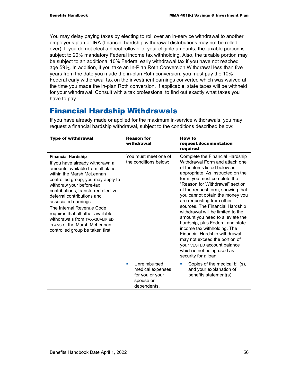You may delay paying taxes by electing to roll over an in-service withdrawal to another employer's plan or IRA (financial hardship withdrawal distributions may not be rolled over). If you do not elect a direct rollover of your eligible amounts, the taxable portion is subject to 20% mandatory Federal income tax withholding. Also, the taxable portion may be subject to an additional 10% Federal early withdrawal tax if you have not reached age 59<sup>1</sup>/<sub>2</sub>. In addition, if you take an In-Plan Roth Conversion Withdrawal less than five years from the date you made the in-plan Roth conversion, you must pay the 10% Federal early withdrawal tax on the investment earnings converted which was waived at the time you made the in-plan Roth conversion. If applicable, state taxes will be withheld for your withdrawal. Consult with a tax professional to find out exactly what taxes you have to pay.

# Financial Hardship Withdrawals

| <b>Type of withdrawal</b>                                                                                                                                                                                                                                                                                                                                                                                                                                                    | <b>Reason for</b><br>withdrawal                                                      | How to<br>request/documentation<br>required                                                                                                                                                                                                                                                                                                                                                                                                                                                                                                                                                                                                         |
|------------------------------------------------------------------------------------------------------------------------------------------------------------------------------------------------------------------------------------------------------------------------------------------------------------------------------------------------------------------------------------------------------------------------------------------------------------------------------|--------------------------------------------------------------------------------------|-----------------------------------------------------------------------------------------------------------------------------------------------------------------------------------------------------------------------------------------------------------------------------------------------------------------------------------------------------------------------------------------------------------------------------------------------------------------------------------------------------------------------------------------------------------------------------------------------------------------------------------------------------|
| <b>Financial Hardship</b><br>If you have already withdrawn all<br>amounts available from all plans<br>within the Marsh McLennan<br>controlled group, you may apply to<br>withdraw your before-tax<br>contributions, transferred elective<br>deferral contributions and<br>associated earnings.<br>The Internal Revenue Code<br>requires that all other available<br>withdrawals from TAX-QUALIFIED<br><b>PLANS of the Marsh McLennan</b><br>controlled group be taken first. | You must meet one of<br>the conditions below:                                        | Complete the Financial Hardship<br>Withdrawal Form and attach one<br>of the items listed below as<br>appropriate. As instructed on the<br>form, you must complete the<br>"Reason for Withdrawal" section<br>of the request form, showing that<br>you cannot obtain the money you<br>are requesting from other<br>sources. The Financial Hardship<br>withdrawal will be limited to the<br>amount you need to alleviate the<br>hardship, plus Federal and state<br>income tax withholding. The<br>Financial Hardship withdrawal<br>may not exceed the portion of<br>your VESTED account balance<br>which is not being used as<br>security for a loan. |
|                                                                                                                                                                                                                                                                                                                                                                                                                                                                              | Unreimbursed<br>٠<br>medical expenses<br>for you or your<br>spouse or<br>dependents. | Copies of the medical bill(s),<br>$\blacksquare$<br>and your explanation of<br>benefits statement(s)                                                                                                                                                                                                                                                                                                                                                                                                                                                                                                                                                |

If you have already made or applied for the maximum in-service withdrawals, you may request a financial hardship withdrawal, subject to the conditions described below: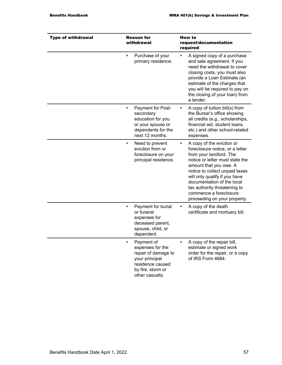| <b>Type of withdrawal</b> | <b>Reason for</b><br>withdrawal                                                                                                     | <b>How to</b><br>request/documentation<br>required                                                                                                                                                                                                                                                                                                   |
|---------------------------|-------------------------------------------------------------------------------------------------------------------------------------|------------------------------------------------------------------------------------------------------------------------------------------------------------------------------------------------------------------------------------------------------------------------------------------------------------------------------------------------------|
|                           | Purchase of your<br>a.<br>primary residence.                                                                                        | A signed copy of a purchase<br>and sale agreement. If you<br>need the withdrawal to cover<br>closing costs, you must also<br>provide a Loan Estimate (an<br>estimate of the charges that<br>you will be required to pay on<br>the closing of your loan) from<br>a lender.                                                                            |
|                           | Payment for Post-<br>u,<br>secondary<br>education for you<br>or your spouse or<br>dependents for the<br>next 12 months.             | A copy of tuition bill(s) from<br>ш<br>the Bursar's office showing<br>all credits (e.g., scholarships,<br>financial aid, student loans,<br>etc.) and other school-related<br>expenses.                                                                                                                                                               |
|                           | Need to prevent<br>ш<br>eviction from or<br>foreclosure on your<br>principal residence.                                             | A copy of the eviction or<br>ш<br>foreclosure notice, or a letter<br>from your landlord. The<br>notice or letter must state the<br>amount that you owe. A<br>notice to collect unpaid taxes<br>will only qualify if you have<br>documentation of the local<br>tax authority threatening to<br>commence a foreclosure<br>proceeding on your property. |
|                           | Payment for burial<br>ш<br>or funeral<br>expenses for<br>deceased parent,<br>spouse, child, or<br>dependent.                        | A copy of the death<br>ш<br>certificate and mortuary bill.                                                                                                                                                                                                                                                                                           |
|                           | Payment of<br>expenses for the<br>repair of damage to<br>your principal<br>residence caused<br>by fire, storm or<br>other casualty. | A copy of the repair bill,<br>estimate or signed work<br>order for the repair, or a copy<br>of IRS Form 4684.                                                                                                                                                                                                                                        |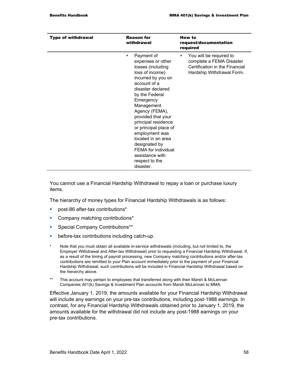| <b>Type of withdrawal</b> | <b>Reason for</b><br>withdrawal                                                                                                                                                                                                                                                                                                                                                                                | How to<br>request/documentation<br>required                                                                                          |
|---------------------------|----------------------------------------------------------------------------------------------------------------------------------------------------------------------------------------------------------------------------------------------------------------------------------------------------------------------------------------------------------------------------------------------------------------|--------------------------------------------------------------------------------------------------------------------------------------|
|                           | Payment of<br>п<br>expenses or other<br>losses (including<br>loss of income)<br>incurred by you on<br>account of a<br>disaster declared<br>by the Federal<br>Emergency<br>Management<br>Agency (FEMA),<br>provided that your<br>principal residence<br>or principal place of<br>employment was<br>located in an area<br>designated by<br>FEMA for individual<br>assistance with<br>respect to the<br>disaster. | You will be required to<br><b>College</b><br>complete a FEMA Disaster<br>Certification in the Financial<br>Hardship Withdrawal Form. |

You cannot use a Financial Hardship Withdrawal to repay a loan or purchase luxury items.

The hierarchy of money types for Financial Hardship Withdrawals is as follows:

- post-86 after-tax contributions<sup>\*</sup>
- Company matching contributions\*
- **Special Company Contributions\*\***
- **before-tax contributions including catch-up.**
- \* Note that you must obtain all available in-service withdrawals (including, but not limited to, the Employer Withdrawal and After-tax Withdrawal) prior to requesting a Financial Hardship Withdrawal. If, as a result of the timing of payroll processing, new Company matching contributions and/or after-tax contributions are remitted to your Plan account immediately prior to the payment of your Financial Hardship Withdrawal, such contributions will be included in Financial Hardship Withdrawal based on the hierarchy above.
- \*\* This account may pertain to employees that transferred along with their Marsh & McLennan Companies 401(k) Savings & Investment Plan accounts from Marsh McLennan to MMA.

Effective January 1, 2019, the amounts available for your Financial Hardship Withdrawal will include any earnings on your pre-tax contributions, including post-1988 earnings. In contrast, for any Financial Hardship Withdrawals obtained prior to January 1, 2019, the amounts available for the withdrawal did not include any post-1988 earnings on your pre-tax contributions.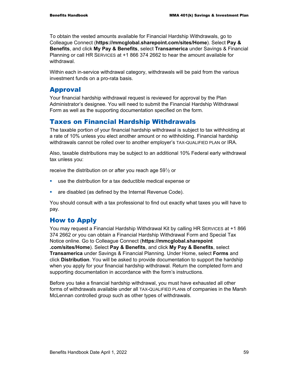To obtain the vested amounts available for Financial Hardship Withdrawals, go to Colleague Connect (**https://mmcglobal.sharepoint.com/sites/Home**). Select **Pay & Benefits**, and click **My Pay & Benefits**, select **Transamerica** under Savings & Financial Planning or call HR SERVICES at +1 866 374 2662 to hear the amount available for withdrawal.

Within each in-service withdrawal category, withdrawals will be paid from the various investment funds on a pro-rata basis.

#### Approval

Your financial hardship withdrawal request is reviewed for approval by the Plan Administrator's designee. You will need to submit the Financial Hardship Withdrawal Form as well as the supporting documentation specified on the form.

#### Taxes on Financial Hardship Withdrawals

The taxable portion of your financial hardship withdrawal is subject to tax withholding at a rate of 10% unless you elect another amount or no withholding. Financial hardship withdrawals cannot be rolled over to another employer's TAX-QUALIFIED PLAN or IRA.

Also, taxable distributions may be subject to an additional 10% Federal early withdrawal tax unless you:

receive the distribution on or after you reach age  $59\frac{1}{2}$  or

- use the distribution for a tax deductible medical expense or
- **are disabled (as defined by the Internal Revenue Code).**

You should consult with a tax professional to find out exactly what taxes you will have to pay.

#### How to Apply

You may request a Financial Hardship Withdrawal Kit by calling HR SERVICES at +1 866 374 2662 or you can obtain a Financial Hardship Withdrawal Form and Special Tax Notice online. Go to Colleague Connect (**https://mmcglobal.sharepoint .com/sites/Home**). Select **Pay & Benefits**, and click **My Pay & Benefits**, select **Transamerica** under Savings & Financial Planning. Under Home, select **Forms** and click **Distribution**. You will be asked to provide documentation to support the hardship when you apply for your financial hardship withdrawal. Return the completed form and supporting documentation in accordance with the form's instructions.

Before you take a financial hardship withdrawal, you must have exhausted all other forms of withdrawals available under all TAX-QUALIFIED PLANs of companies in the Marsh McLennan controlled group such as other types of withdrawals.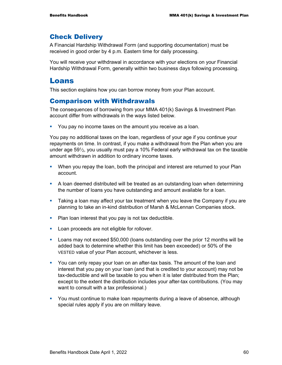#### Check Delivery

A Financial Hardship Withdrawal Form (and supporting documentation) must be received in good order by 4 p.m. Eastern time for daily processing.

You will receive your withdrawal in accordance with your elections on your Financial Hardship Withdrawal Form, generally within two business days following processing.

#### Loans

This section explains how you can borrow money from your Plan account.

#### Comparison with Withdrawals

The consequences of borrowing from your MMA 401(k) Savings & Investment Plan account differ from withdrawals in the ways listed below.

You pay no income taxes on the amount you receive as a loan.

You pay no additional taxes on the loan, regardless of your age if you continue your repayments on time. In contrast, if you make a withdrawal from the Plan when you are under age  $59\%$ , you usually must pay a 10% Federal early withdrawal tax on the taxable amount withdrawn in addition to ordinary income taxes.

- **When you repay the loan, both the principal and interest are returned to your Plan** account.
- A loan deemed distributed will be treated as an outstanding loan when determining the number of loans you have outstanding and amount available for a loan.
- Taking a loan may affect your tax treatment when you leave the Company if you are planning to take an in-kind distribution of Marsh & McLennan Companies stock.
- **Plan loan interest that you pay is not tax deductible.**
- **Loan proceeds are not eligible for rollover.**
- Loans may not exceed \$50,000 (loans outstanding over the prior 12 months will be added back to determine whether this limit has been exceeded) or 50% of the VESTED value of your Plan account, whichever is less.
- You can only repay your loan on an after-tax basis. The amount of the loan and interest that you pay on your loan (and that is credited to your account) may not be tax-deductible and will be taxable to you when it is later distributed from the Plan; except to the extent the distribution includes your after-tax contributions. (You may want to consult with a tax professional.)
- You must continue to make loan repayments during a leave of absence, although special rules apply if you are on military leave.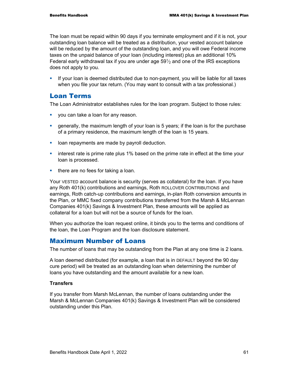The loan must be repaid within 90 days if you terminate employment and if it is not, your outstanding loan balance will be treated as a distribution, your vested account balance will be reduced by the amount of the outstanding loan, and you will owe Federal income taxes on the unpaid balance of your loan (including interest) plus an additional 10% Federal early withdrawal tax if you are under age  $59\%$  and one of the IRS exceptions does not apply to you.

**If your loan is deemed distributed due to non-payment, you will be liable for all taxes** when you file your tax return. (You may want to consult with a tax professional.)

#### Loan Terms

The Loan Administrator establishes rules for the loan program. Subject to those rules:

- **v** you can take a loan for any reason.
- generally, the maximum length of your loan is 5 years; if the loan is for the purchase of a primary residence, the maximum length of the loan is 15 years.
- **-** loan repayments are made by payroll deduction.
- **EXED** interest rate is prime rate plus 1% based on the prime rate in effect at the time your loan is processed.
- $\blacksquare$  there are no fees for taking a loan.

Your VESTED account balance is security (serves as collateral) for the loan. If you have any Roth 401(k) contributions and earnings, Roth ROLLOVER CONTRIBUTIONS and earnings, Roth catch-up contributions and earnings, in-plan Roth conversion amounts in the Plan, or MMC fixed company contributions transferred from the Marsh & McLennan Companies 401(k) Savings & Investment Plan, these amounts will be applied as collateral for a loan but will not be a source of funds for the loan.

When you authorize the loan request online, it binds you to the terms and conditions of the loan, the Loan Program and the loan disclosure statement.

#### Maximum Number of Loans

The number of loans that may be outstanding from the Plan at any one time is 2 loans.

A loan deemed distributed (for example, a loan that is in DEFAULT beyond the 90 day cure period) will be treated as an outstanding loan when determining the number of loans you have outstanding and the amount available for a new loan.

#### **Transfers**

If you transfer from Marsh McLennan, the number of loans outstanding under the Marsh & McLennan Companies 401(k) Savings & Investment Plan will be considered outstanding under this Plan.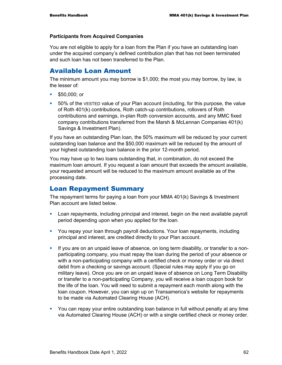#### **Participants from Acquired Companies**

You are not eligible to apply for a loan from the Plan if you have an outstanding loan under the acquired company's defined contribution plan that has not been terminated and such loan has not been transferred to the Plan.

#### Available Loan Amount

The minimum amount you may borrow is \$1,000; the most you may borrow, by law, is the lesser of:

- \$50,000; or
- 50% of the VESTED value of your Plan account (including, for this purpose, the value of Roth 401(k) contributions, Roth catch-up contributions, rollovers of Roth contributions and earnings, in-plan Roth conversion accounts, and any MMC fixed company contributions transferred from the Marsh & McLennan Companies 401(k) Savings & Investment Plan).

If you have an outstanding Plan loan, the 50% maximum will be reduced by your current outstanding loan balance and the \$50,000 maximum will be reduced by the amount of your highest outstanding loan balance in the prior 12-month period.

You may have up to two loans outstanding that, in combination, do not exceed the maximum loan amount. If you request a loan amount that exceeds the amount available, your requested amount will be reduced to the maximum amount available as of the processing date.

#### Loan Repayment Summary

The repayment terms for paying a loan from your MMA 401(k) Savings & Investment Plan account are listed below.

- Loan repayments, including principal and interest, begin on the next available payroll period depending upon when you applied for the loan.
- You repay your loan through payroll deductions. Your loan repayments, including principal and interest, are credited directly to your Plan account.
- If you are on an unpaid leave of absence, on long term disability, or transfer to a nonparticipating company, you must repay the loan during the period of your absence or with a non-participating company with a certified check or money order or via direct debit from a checking or savings account. (Special rules may apply if you go on military leave). Once you are on an unpaid leave of absence on Long Term Disability or transfer to a non-participating Company, you will receive a loan coupon book for the life of the loan. You will need to submit a repayment each month along with the loan coupon. However, you can sign up on Transamerica's website for repayments to be made via Automated Clearing House (ACH).
- You can repay your entire outstanding loan balance in full without penalty at any time via Automated Clearing House (ACH) or with a single certified check or money order.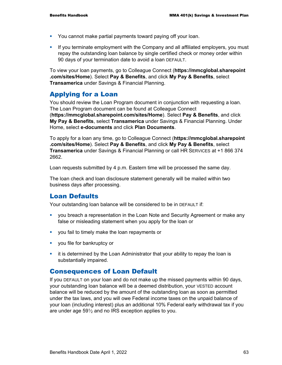- You cannot make partial payments toward paying off your loan.
- If you terminate employment with the Company and all affiliated employers, you must repay the outstanding loan balance by single certified check or money order within 90 days of your termination date to avoid a loan DEFAULT.

To view your loan payments, go to Colleague Connect (**https://mmcglobal.sharepoint .com/sites/Home**). Select **Pay & Benefits**, and click **My Pay & Benefits**, select **Transamerica** under Savings & Financial Planning.

#### Applying for a Loan

You should review the Loan Program document in conjunction with requesting a loan. The Loan Program document can be found at Colleague Connect (**https://mmcglobal.sharepoint.com/sites/Home**). Select **Pay & Benefits**, and click **My Pay & Benefits**, select **Transamerica** under Savings & Financial Planning. Under Home, select **e-documents** and click **Plan Documents**.

To apply for a loan any time, go to Colleague Connect (**https://mmcglobal.sharepoint .com/sites/Home**). Select **Pay & Benefits**, and click **My Pay & Benefits**, select **Transamerica** under Savings & Financial Planning or call HR SERVICES at +1 866 374 2662.

Loan requests submitted by 4 p.m. Eastern time will be processed the same day.

The loan check and loan disclosure statement generally will be mailed within two business days after processing.

#### Loan Defaults

Your outstanding loan balance will be considered to be in DEFAULT if:

- you breach a representation in the Loan Note and Security Agreement or make any false or misleading statement when you apply for the loan or
- you fail to timely make the loan repayments or
- **v** you file for bankruptcy or
- **•** it is determined by the Loan Administrator that your ability to repay the loan is substantially impaired.

#### Consequences of Loan Default

If you DEFAULT on your loan and do not make up the missed payments within 90 days, your outstanding loan balance will be a deemed distribution, your VESTED account balance will be reduced by the amount of the outstanding loan as soon as permitted under the tax laws, and you will owe Federal income taxes on the unpaid balance of your loan (including interest) plus an additional 10% Federal early withdrawal tax if you are under age  $59\frac{1}{2}$  and no IRS exception applies to you.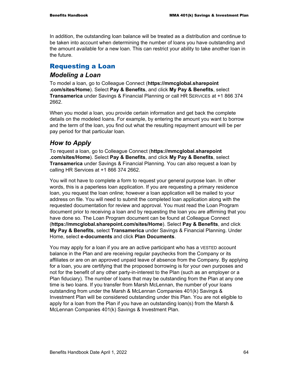In addition, the outstanding loan balance will be treated as a distribution and continue to be taken into account when determining the number of loans you have outstanding and the amount available for a new loan. This can restrict your ability to take another loan in the future.

### Requesting a Loan

#### *Modeling a Loan*

To model a loan, go to Colleague Connect (**https://mmcglobal.sharepoint .com/sites/Home**). Select **Pay & Benefits**, and click **My Pay & Benefits**, select **Transamerica** under Savings & Financial Planning or call HR SERVICES at +1 866 374 2662.

When you model a loan, you provide certain information and get back the complete details on the modeled loans. For example, by entering the amount you want to borrow and the term of the loan, you find out what the resulting repayment amount will be per pay period for that particular loan.

#### *How to Apply*

To request a loan, go to Colleague Connect (**https://mmcglobal.sharepoint .com/sites/Home**). Select **Pay & Benefits**, and click **My Pay & Benefits**, select **Transamerica** under Savings & Financial Planning. You can also request a loan by calling HR Services at +1 866 374 2662.

You will not have to complete a form to request your general purpose loan. In other words, this is a paperless loan application. If you are requesting a primary residence loan, you request the loan online; however a loan application will be mailed to your address on file. You will need to submit the completed loan application along with the requested documentation for review and approval. You must read the Loan Program document prior to receiving a loan and by requesting the loan you are affirming that you have done so. The Loan Program document can be found at Colleague Connect (**https://mmcglobal.sharepoint.com/sites/Home**). Select **Pay & Benefits**, and click **My Pay & Benefits**, select **Transamerica** under Savings & Financial Planning. Under Home, select **e-documents** and click **Plan Documents**.

You may apply for a loan if you are an active participant who has a VESTED account balance in the Plan and are receiving regular paychecks from the Company or its affiliates or are on an approved unpaid leave of absence from the Company. By applying for a loan, you are certifying that the proposed borrowing is for your own purposes and not for the benefit of any other party-in-interest to the Plan (such as an employer or a Plan fiduciary). The number of loans that may be outstanding from the Plan at any one time is two loans. If you transfer from Marsh McLennan, the number of your loans outstanding from under the Marsh & McLennan Companies 401(k) Savings & Investment Plan will be considered outstanding under this Plan. You are not eligible to apply for a loan from the Plan if you have an outstanding loan(s) from the Marsh & McLennan Companies 401(k) Savings & Investment Plan.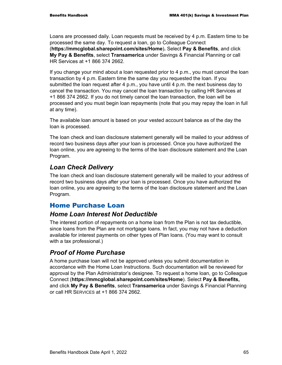Loans are processed daily. Loan requests must be received by 4 p.m. Eastern time to be processed the same day. To request a loan, go to Colleague Connect (**https://mmcglobal.sharepoint.com/sites/Home**)**.** Select **Pay & Benefits**, and click **My Pay & Benefits**, select **Transamerica** under Savings & Financial Planning or call HR Services at +1 866 374 2662.

If you change your mind about a loan requested prior to 4 p.m., you must cancel the loan transaction by 4 p.m. Eastern time the same day you requested the loan. If you submitted the loan request after 4 p.m., you have until 4 p.m. the next business day to cancel the transaction. You may cancel the loan transaction by calling HR Services at +1 866 374 2662. If you do not timely cancel the loan transaction, the loan will be processed and you must begin loan repayments (note that you may repay the loan in full at any time).

The available loan amount is based on your vested account balance as of the day the loan is processed.

The loan check and loan disclosure statement generally will be mailed to your address of record two business days after your loan is processed. Once you have authorized the loan online, you are agreeing to the terms of the loan disclosure statement and the Loan Program.

### *Loan Check Delivery*

The loan check and loan disclosure statement generally will be mailed to your address of record two business days after your loan is processed. Once you have authorized the loan online, you are agreeing to the terms of the loan disclosure statement and the Loan Program.

#### Home Purchase Loan

#### *Home Loan Interest Not Deductible*

The interest portion of repayments on a home loan from the Plan is not tax deductible, since loans from the Plan are not mortgage loans. In fact, you may not have a deduction available for interest payments on other types of Plan loans. (You may want to consult with a tax professional.)

### *Proof of Home Purchase*

A home purchase loan will not be approved unless you submit documentation in accordance with the Home Loan Instructions. Such documentation will be reviewed for approval by the Plan Administrator's designee. To request a home loan, go to Colleague Connect (**https://mmcglobal.sharepoint.com/sites/Home**). Select **Pay & Benefits,** and click **My Pay & Benefits**, select **Transamerica** under Savings & Financial Planning or call HR SERVICES at +1 866 374 2662.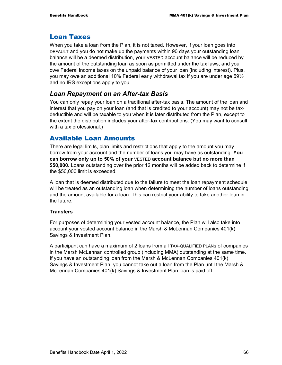## Loan Taxes

When you take a loan from the Plan, it is not taxed. However, if your loan goes into DEFAULT and you do not make up the payments within 90 days your outstanding loan balance will be a deemed distribution, your VESTED account balance will be reduced by the amount of the outstanding loan as soon as permitted under the tax laws, and you owe Federal income taxes on the unpaid balance of your loan (including interest). Plus, you may owe an additional 10% Federal early withdrawal tax if you are under age  $59\frac{1}{2}$ and no IRS exceptions apply to you.

## *Loan Repayment on an After-tax Basis*

You can only repay your loan on a traditional after-tax basis. The amount of the loan and interest that you pay on your loan (and that is credited to your account) may not be taxdeductible and will be taxable to you when it is later distributed from the Plan, except to the extent the distribution includes your after-tax contributions. (You may want to consult with a tax professional.)

## Available Loan Amounts

There are legal limits, plan limits and restrictions that apply to the amount you may borrow from your account and the number of loans you may have as outstanding. **You can borrow only up to 50% of your** VESTED **account balance but no more than \$50,000.** Loans outstanding over the prior 12 months will be added back to determine if the \$50,000 limit is exceeded.

A loan that is deemed distributed due to the failure to meet the loan repayment schedule will be treated as an outstanding loan when determining the number of loans outstanding and the amount available for a loan. This can restrict your ability to take another loan in the future.

### **Transfers**

For purposes of determining your vested account balance, the Plan will also take into account your vested account balance in the Marsh & McLennan Companies 401(k) Savings & Investment Plan.

A participant can have a maximum of 2 loans from all TAX-QUALIFIED PLANs of companies in the Marsh McLennan controlled group (including MMA) outstanding at the same time. If you have an outstanding loan from the Marsh & McLennan Companies 401(k) Savings & Investment Plan, you cannot take out a loan from the Plan until the Marsh & McLennan Companies 401(k) Savings & Investment Plan loan is paid off.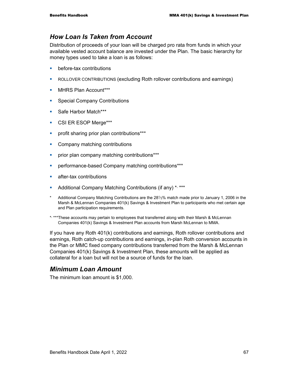## *How Loan Is Taken from Account*

Distribution of proceeds of your loan will be charged pro rata from funds in which your available vested account balance are invested under the Plan. The basic hierarchy for money types used to take a loan is as follows:

- before-tax contributions
- ROLLOVER CONTRIBUTIONS (excluding Roth rollover contributions and earnings)
- **MHRS Plan Account\*\*\***
- **Special Company Contributions**
- **Safe Harbor Match\*\*\***
- **CSI ER ESOP Merge\*\*\***
- **•** profit sharing prior plan contributions\*\*\*
- Company matching contributions
- **•** prior plan company matching contributions\*\*\*
- **•** performance-based Company matching contributions\*\*\*
- **E** after-tax contributions
- Additional Company Matching Contributions (if any)<sup>\*,\*\*\*</sup>
- \* Additional Company Matching Contributions are the 281⁄3% match made prior to January 1, 2006 in the Marsh & McLennan Companies 401(k) Savings & Investment Plan to participants who met certain age and Plan participation requirements.
- \*, \*\*\*These accounts may pertain to employees that transferred along with their Marsh & McLennan Companies 401(k) Savings & Investment Plan accounts from Marsh McLennan to MMA.

If you have any Roth 401(k) contributions and earnings, Roth rollover contributions and earnings, Roth catch-up contributions and earnings, in-plan Roth conversion accounts in the Plan or MMC fixed company contributions transferred from the Marsh & McLennan Companies 401(k) Savings & Investment Plan, these amounts will be applied as collateral for a loan but will not be a source of funds for the loan.

## *Minimum Loan Amount*

The minimum loan amount is \$1,000.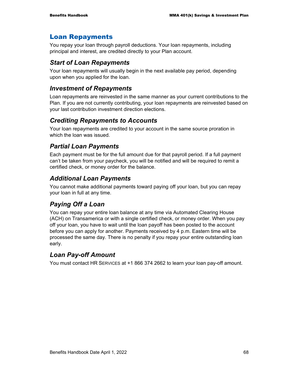## Loan Repayments

You repay your loan through payroll deductions. Your loan repayments, including principal and interest, are credited directly to your Plan account.

## *Start of Loan Repayments*

Your loan repayments will usually begin in the next available pay period, depending upon when you applied for the loan.

## *Investment of Repayments*

Loan repayments are reinvested in the same manner as your current contributions to the Plan. If you are not currently contributing, your loan repayments are reinvested based on your last contribution investment direction elections.

## *Crediting Repayments to Accounts*

Your loan repayments are credited to your account in the same source proration in which the loan was issued.

## *Partial Loan Payments*

Each payment must be for the full amount due for that payroll period. If a full payment can't be taken from your paycheck, you will be notified and will be required to remit a certified check, or money order for the balance.

## *Additional Loan Payments*

You cannot make additional payments toward paying off your loan, but you can repay your loan in full at any time.

## *Paying Off a Loan*

You can repay your entire loan balance at any time via Automated Clearing House (ACH) on Transamerica or with a single certified check, or money order. When you pay off your loan, you have to wait until the loan payoff has been posted to the account before you can apply for another. Payments received by 4 p.m. Eastern time will be processed the same day. There is no penalty if you repay your entire outstanding loan early.

## *Loan Pay-off Amount*

You must contact HR SERVICES at +1 866 374 2662 to learn your loan pay-off amount.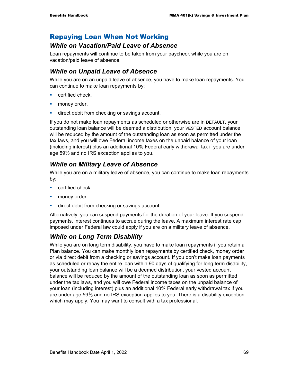## Repaying Loan When Not Working

## *While on Vacation/Paid Leave of Absence*

Loan repayments will continue to be taken from your paycheck while you are on vacation/paid leave of absence.

## *While on Unpaid Leave of Absence*

While you are on an unpaid leave of absence, you have to make loan repayments. You can continue to make loan repayments by:

- **E** certified check.
- **money order.**
- **direct debit from checking or savings account.**

If you do not make loan repayments as scheduled or otherwise are in DEFAULT, your outstanding loan balance will be deemed a distribution, your VESTED account balance will be reduced by the amount of the outstanding loan as soon as permitted under the tax laws, and you will owe Federal income taxes on the unpaid balance of your loan (including interest) plus an additional 10% Federal early withdrawal tax if you are under age  $59\frac{1}{2}$  and no IRS exception applies to you.

## *While on Military Leave of Absence*

While you are on a military leave of absence, you can continue to make loan repayments by:

- certified check.
- **money order.**
- direct debit from checking or savings account.

Alternatively, you can suspend payments for the duration of your leave. If you suspend payments, interest continues to accrue during the leave. A maximum interest rate cap imposed under Federal law could apply if you are on a military leave of absence.

## *While on Long Term Disability*

While you are on long term disability, you have to make loan repayments if you retain a Plan balance. You can make monthly loan repayments by certified check, money order or via direct debit from a checking or savings account. If you don't make loan payments as scheduled or repay the entire loan within 90 days of qualifying for long term disability, your outstanding loan balance will be a deemed distribution, your vested account balance will be reduced by the amount of the outstanding loan as soon as permitted under the tax laws, and you will owe Federal income taxes on the unpaid balance of your loan (including interest) plus an additional 10% Federal early withdrawal tax if you are under age  $59\frac{1}{2}$  and no IRS exception applies to you. There is a disability exception which may apply. You may want to consult with a tax professional.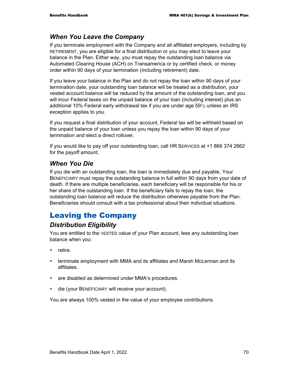## *When You Leave the Company*

If you terminate employment with the Company and all affiliated employers, including by RETIREMENT, you are eligible for a final distribution or you may elect to leave your balance in the Plan. Either way, you must repay the outstanding loan balance via Automated Clearing House (ACH) on Transamerica or by certified check, or money order within 90 days of your termination (including retirement) date.

If you leave your balance in the Plan and do not repay the loan within 90 days of your termination date, your outstanding loan balance will be treated as a distribution, your vested account balance will be reduced by the amount of the outstanding loan, and you will incur Federal taxes on the unpaid balance of your loan (including interest) plus an additional 10% Federal early withdrawal tax if you are under age  $59\frac{1}{2}$  unless an IRS exception applies to you.

If you request a final distribution of your account, Federal tax will be withheld based on the unpaid balance of your loan unless you repay the loan within 90 days of your termination and elect a direct rollover.

If you would like to pay off your outstanding loan, call HR SERVICES at +1 866 374 2662 for the payoff amount.

## *When You Die*

If you die with an outstanding loan, the loan is immediately due and payable. Your BENEFICIARY must repay the outstanding balance in full within 90 days from your date of death. If there are multiple beneficiaries, each beneficiary will be responsible for his or her share of the outstanding loan. If the beneficiary fails to repay the loan, the outstanding loan balance will reduce the distribution otherwise payable from the Plan. Beneficiaries should consult with a tax professional about their individual situations.

# Leaving the Company

## *Distribution Eligibility*

You are entitled to the VESTED value of your Plan account, less any outstanding loan balance when you:

- $\blacksquare$  retire.
- **terminate employment with MMA and its affiliates and Marsh McLennan and its** affiliates.
- **are disabled as determined under MMA's procedures.**
- die (your BENEFICIARY will receive your account).

You are always 100% vested in the value of your employee contributions.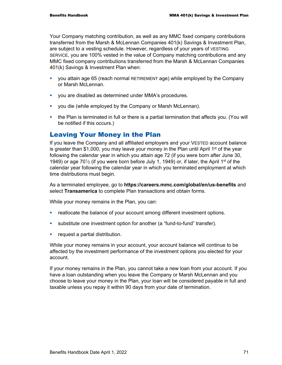Your Company matching contribution, as well as any MMC fixed company contributions transferred from the Marsh & McLennan Companies 401(k) Savings & Investment Plan, are subject to a vesting schedule. However, regardless of your years of VESTING SERVICE, you are 100% vested in the value of Company matching contributions and any MMC fixed company contributions transferred from the Marsh & McLennan Companies 401(k) Savings & Investment Plan when:

- you attain age 65 (reach normal RETIREMENT age) while employed by the Company or Marsh McLennan.
- you are disabled as determined under MMA's procedures.
- **•** you die (while employed by the Company or Marsh McLennan).
- the Plan is terminated in full or there is a partial termination that affects you. (You will be notified if this occurs.)

## Leaving Your Money in the Plan

If you leave the Company and all affiliated employers and your VESTED account balance is greater than \$1,000, you may leave your money in the Plan until April 1<sup>st</sup> of the year following the calendar year in which you attain age 72 (if you were born after June 30, 1949) or age 70 $\frac{1}{2}$  (if you were born before July 1, 1949) or, if later, the April 1<sup>st</sup> of the calendar year following the calendar year in which you terminated employment at which time distributions must begin.

As a terminated employee, go to **https://careers.mmc.com/global/en/us-benefits** and select **Transamerica** to complete Plan transactions and obtain forms.

While your money remains in the Plan, you can:

- **•** reallocate the balance of your account among different investment options.
- substitute one investment option for another (a "fund-to-fund" transfer).
- **F** request a partial distribution.

While your money remains in your account, your account balance will continue to be affected by the investment performance of the investment options you elected for your account.

If your money remains in the Plan, you cannot take a new loan from your account. If you have a loan outstanding when you leave the Company or Marsh McLennan and you choose to leave your money in the Plan, your loan will be considered payable in full and taxable unless you repay it within 90 days from your date of termination.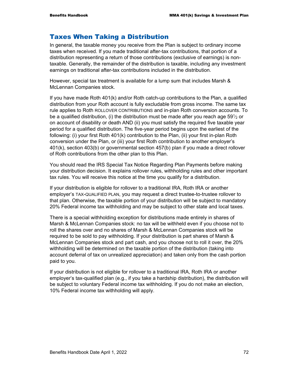## Taxes When Taking a Distribution

In general, the taxable money you receive from the Plan is subject to ordinary income taxes when received. If you made traditional after-tax contributions, that portion of a distribution representing a return of those contributions (exclusive of earnings) is nontaxable. Generally, the remainder of the distribution is taxable, including any investment earnings on traditional after-tax contributions included in the distribution.

However, special tax treatment is available for a lump sum that includes Marsh & McLennan Companies stock.

If you have made Roth 401(k) and/or Roth catch-up contributions to the Plan, a qualified distribution from your Roth account is fully excludable from gross income. The same tax rule applies to Roth ROLLOVER CONTRIBUTIONS and in-plan Roth conversion accounts. To be a qualified distribution, (i) the distribution must be made after you reach age 59 $\frac{1}{2}$  or on account of disability or death AND (ii) you must satisfy the required five taxable year period for a qualified distribution. The five-year period begins upon the earliest of the following: (i) your first Roth 401(k) contribution to the Plan, (ii) your first in-plan Roth conversion under the Plan, or (iii) your first Roth contribution to another employer's 401(k), section 403(b) or governmental section 457(b) plan if you made a direct rollover of Roth contributions from the other plan to this Plan.

You should read the IRS Special Tax Notice Regarding Plan Payments before making your distribution decision. It explains rollover rules, withholding rules and other important tax rules. You will receive this notice at the time you qualify for a distribution.

If your distribution is eligible for rollover to a traditional IRA, Roth IRA or another employer's TAX-QUALIFIED PLAN, you may request a direct trustee-to-trustee rollover to that plan. Otherwise, the taxable portion of your distribution will be subject to mandatory 20% Federal income tax withholding and may be subject to other state and local taxes.

There is a special withholding exception for distributions made entirely in shares of Marsh & McLennan Companies stock: no tax will be withheld even if you choose not to roll the shares over and no shares of Marsh & McLennan Companies stock will be required to be sold to pay withholding. If your distribution is part shares of Marsh & McLennan Companies stock and part cash, and you choose not to roll it over, the 20% withholding will be determined on the taxable portion of the distribution (taking into account deferral of tax on unrealized appreciation) and taken only from the cash portion paid to you.

If your distribution is not eligible for rollover to a traditional IRA, Roth IRA or another employer's tax-qualified plan (e.g., if you take a hardship distribution), the distribution will be subject to voluntary Federal income tax withholding. If you do not make an election, 10% Federal income tax withholding will apply.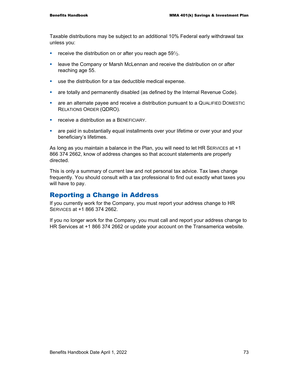Taxable distributions may be subject to an additional 10% Federal early withdrawal tax unless you:

- **•** receive the distribution on or after you reach age  $59\frac{1}{2}$ .
- **EXED** Leave the Company or Marsh McLennan and receive the distribution on or after reaching age 55.
- use the distribution for a tax deductible medical expense.
- **•** are totally and permanently disabled (as defined by the Internal Revenue Code).
- are an alternate payee and receive a distribution pursuant to a QUALIFIED DOMESTIC RELATIONS ORDER (QDRO).
- **F** receive a distribution as a BENEFICIARY.
- are paid in substantially equal installments over your lifetime or over your and your beneficiary's lifetimes.

As long as you maintain a balance in the Plan, you will need to let HR SERVICES at +1 866 374 2662, know of address changes so that account statements are properly directed.

This is only a summary of current law and not personal tax advice. Tax laws change frequently. You should consult with a tax professional to find out exactly what taxes you will have to pay.

## Reporting a Change in Address

If you currently work for the Company, you must report your address change to HR SERVICES at +1 866 374 2662.

If you no longer work for the Company, you must call and report your address change to HR Services at +1 866 374 2662 or update your account on the Transamerica website.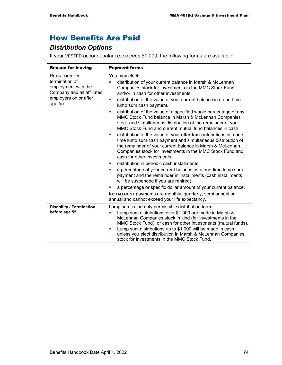# How Benefits Are Paid

## *Distribution Options*

If your VESTED account balance exceeds \$1,000, the following forms are available:

| <b>Reason for leaving</b>                                                                                                      | <b>Payment forms</b>                                                                                                                                                                                                                                                                                                                                                                                                                                                                                                                                                                                                                                                                                                                                                                                                                                                                                                                                                                                                                                                                                                                                                                                                                                                   |
|--------------------------------------------------------------------------------------------------------------------------------|------------------------------------------------------------------------------------------------------------------------------------------------------------------------------------------------------------------------------------------------------------------------------------------------------------------------------------------------------------------------------------------------------------------------------------------------------------------------------------------------------------------------------------------------------------------------------------------------------------------------------------------------------------------------------------------------------------------------------------------------------------------------------------------------------------------------------------------------------------------------------------------------------------------------------------------------------------------------------------------------------------------------------------------------------------------------------------------------------------------------------------------------------------------------------------------------------------------------------------------------------------------------|
| <b>RETIREMENT OF</b><br>termination of<br>employment with the<br>Company and all affiliated<br>employers on or after<br>age 55 | You may elect:<br>distribution of your current balance in Marsh & McLennan<br>Companies stock for investments in the MMC Stock Fund<br>and/or in cash for other investments.<br>distribution of the value of your current balance in a one-time<br>×<br>lump sum cash payment.<br>distribution of the value of a specified whole percentage of any<br>×<br>MMC Stock Fund balance in Marsh & McLennan Companies<br>stock and simultaneous distribution of the remainder of your<br>MMC Stock Fund and current mutual fund balances in cash.<br>distribution of the value of your after-tax contributions in a one-<br>u,<br>time lump sum cash payment and simultaneous distribution of<br>the remainder of your current balance in Marsh & McLennan<br>Companies stock for investments in the MMC Stock Fund and<br>cash for other investments.<br>distribution in periodic cash installments.<br>×<br>a percentage of your current balance as a one-time lump sum<br>×<br>payment and the remainder in installments (cash installments<br>will be suspended if you are rehired).<br>a percentage or specific dollar amount of your current balance.<br>INSTALLMENT payments are monthly, quarterly, semi-annual or<br>annual and cannot exceed your life expectancy. |
| <b>Disability / Termination</b><br>before age 55                                                                               | Lump sum is the only permissible distribution form.<br>Lump sum distributions over \$1,000 are made in Marsh &<br>u,<br>McLennan Companies stock in kind (for investments in the<br>MMC Stock Fund), or cash for other investments (mutual funds).<br>Lump sum distributions up to \$1,000 will be made in cash<br>×<br>unless you elect distribution in Marsh & McLennan Companies<br>stock for investments in the MMC Stock Fund.                                                                                                                                                                                                                                                                                                                                                                                                                                                                                                                                                                                                                                                                                                                                                                                                                                    |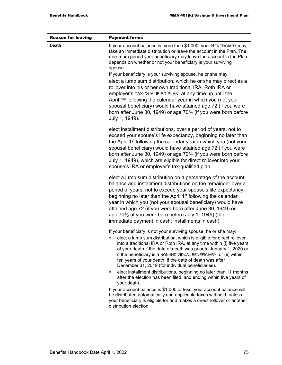| <b>Reason for leaving</b> | <b>Payment forms</b>                                                                                                                                                                                                                                                                                                                                                                                                                                                                                                           |
|---------------------------|--------------------------------------------------------------------------------------------------------------------------------------------------------------------------------------------------------------------------------------------------------------------------------------------------------------------------------------------------------------------------------------------------------------------------------------------------------------------------------------------------------------------------------|
| <b>Death</b>              | If your account balance is more than \$1,000, your BENEFICIARY may<br>take an immediate distribution or leave the account in the Plan. The<br>maximum period your beneficiary may leave the account in the Plan<br>depends on whether or not your beneficiary is your surviving<br>spouse.                                                                                                                                                                                                                                     |
|                           | If your beneficiary is your surviving spouse, he or she may:<br>elect a lump sum distribution, which he or she may direct as a<br>rollover into his or her own traditional IRA, Roth IRA or<br>employer's TAX-QUALIFIED PLAN, at any time up until the<br>April 1 <sup>st</sup> following the calendar year in which you (not your<br>spousal beneficiary) would have attained age 72 (if you were<br>born after June 30, 1949) or age $70\frac{1}{2}$ (if you were born before<br>July 1, 1949).                              |
|                           | elect installment distributions, over a period of years, not to<br>exceed your spouse's life expectancy, beginning no later than<br>the April 1 <sup>st</sup> following the calendar year in which you (not your<br>spousal beneficiary) would have attained age 72 (if you were<br>born after June 30, 1949) or age $70\frac{1}{2}$ (if you were born before<br>July 1, 1949), which are eligible for direct rollover into your<br>spouse's IRA or employer's tax-qualified plan.                                             |
|                           | elect a lump sum distribution on a percentage of the account<br>balance and installment distributions on the remainder over a<br>period of years, not to exceed your spouse's life expectancy,<br>beginning no later than the April 1 <sup>st</sup> following the calendar<br>year in which you (not your spousal beneficiary) would have<br>attained age 72 (if you were born after June 30, 1949) or<br>age $70\frac{1}{2}$ (if you were born before July 1, 1949) (the<br>immediate payment in cash; installments in cash). |
|                           | If your beneficiary is not your surviving spouse, he or she may:<br>elect a lump sum distribution, which is eligible for direct rollover<br>into a traditional IRA or Roth IRA, at any time within (i) five years<br>of your death if the date of death was prior to January 1, 2020 or<br>if the beneficiary is a NON-INDIVIDUAL BENEFICIARY, or (ii) within<br>ten years of your death, if the date of death was after<br>December 31, 2019 (for individual beneficiaries).                                                  |
|                           | elect installment distributions, beginning no later than 11 months<br>ш<br>after the election has been filed, and ending within five years of<br>your death.                                                                                                                                                                                                                                                                                                                                                                   |
|                           | If your account balance is \$1,000 or less, your account balance will<br>be distributed automatically and applicable taxes withheld, unless<br>your beneficiary is eligible for and makes a direct rollover or another<br>distribution election.                                                                                                                                                                                                                                                                               |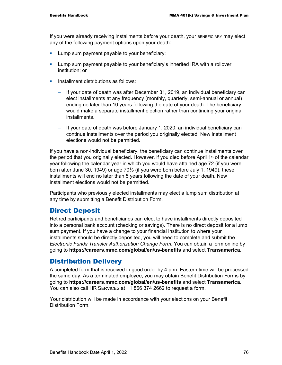If you were already receiving installments before your death, your BENEFICIARY may elect any of the following payment options upon your death:

- **Lump sum payment payable to your beneficiary;**
- Lump sum payment payable to your beneficiary's inherited IRA with a rollover institution; or
- **Installment distributions as follows:** 
	- If your date of death was after December 31, 2019, an individual beneficiary can elect installments at any frequency (monthly, quarterly, semi-annual or annual) ending no later than 10 years following the date of your death. The beneficiary would make a separate installment election rather than continuing your original installments.
	- − If your date of death was before January 1, 2020, an individual beneficiary can continue installments over the period you originally elected. New installment elections would not be permitted.

If you have a non-individual beneficiary, the beneficiary can continue installments over the period that you originally elected. However, if you died before April 1<sup>st</sup> of the calendar year following the calendar year in which you would have attained age 72 (if you were born after June 30, 1949) or age  $70\frac{1}{2}$  (if you were born before July 1, 1949), these installments will end no later than 5 years following the date of your death. New installment elections would not be permitted.

Participants who previously elected installments may elect a lump sum distribution at any time by submitting a Benefit Distribution Form.

## Direct Deposit

Retired participants and beneficiaries can elect to have installments directly deposited into a personal bank account (checking or savings). There is no direct deposit for a lump sum payment. If you have a change to your financial institution to where your installments should be directly deposited, you will need to complete and submit the *Electronic Funds Transfer Authorization Change Form*. You can obtain a form online by going to **https://careers.mmc.com/global/en/us-benefits** and select **Transamerica**.

## Distribution Delivery

A completed form that is received in good order by 4 p.m. Eastern time will be processed the same day. As a terminated employee, you may obtain Benefit Distribution Forms by going to **https://careers.mmc.com/global/en/us-benefits** and select **Transamerica**. You can also call HR SERVICES at +1 866 374 2662 to request a form.

Your distribution will be made in accordance with your elections on your Benefit Distribution Form.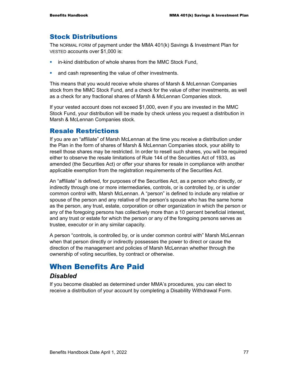## Stock Distributions

The NORMAL FORM of payment under the MMA 401(k) Savings & Investment Plan for VESTED accounts over \$1,000 is:

- **EXEDEE** in-kind distribution of whole shares from the MMC Stock Fund,
- **and cash representing the value of other investments.**

This means that you would receive whole shares of Marsh & McLennan Companies stock from the MMC Stock Fund, and a check for the value of other investments, as well as a check for any fractional shares of Marsh & McLennan Companies stock.

If your vested account does not exceed \$1,000, even if you are invested in the MMC Stock Fund, your distribution will be made by check unless you request a distribution in Marsh & McLennan Companies stock.

## Resale Restrictions

If you are an "affiliate" of Marsh McLennan at the time you receive a distribution under the Plan in the form of shares of Marsh & McLennan Companies stock, your ability to resell those shares may be restricted. In order to resell such shares, you will be required either to observe the resale limitations of Rule 144 of the Securities Act of 1933, as amended (the Securities Act) or offer your shares for resale in compliance with another applicable exemption from the registration requirements of the Securities Act.

An "affiliate" is defined, for purposes of the Securities Act, as a person who directly, or indirectly through one or more intermediaries, controls, or is controlled by, or is under common control with, Marsh McLennan. A "person" is defined to include any relative or spouse of the person and any relative of the person's spouse who has the same home as the person, any trust, estate, corporation or other organization in which the person or any of the foregoing persons has collectively more than a 10 percent beneficial interest, and any trust or estate for which the person or any of the foregoing persons serves as trustee, executor or in any similar capacity.

A person "controls, is controlled by, or is under common control with" Marsh McLennan when that person directly or indirectly possesses the power to direct or cause the direction of the management and policies of Marsh McLennan whether through the ownership of voting securities, by contract or otherwise.

## When Benefits Are Paid

## *Disabled*

If you become disabled as determined under MMA's procedures, you can elect to receive a distribution of your account by completing a Disability Withdrawal Form.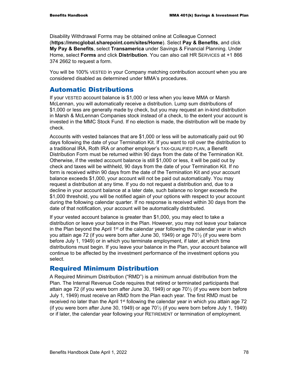Disability Withdrawal Forms may be obtained online at Colleague Connect (**https://mmcglobal.sharepoint.com/sites/Home**). Select **Pay & Benefits**, and click **My Pay & Benefits**, select **Transamerica** under Savings & Financial Planning. Under Home, select **Forms** and click **Distribution**. You can also call HR SERVICES at +1 866 374 2662 to request a form.

You will be 100% VESTED in your Company matching contribution account when you are considered disabled as determined under MMA's procedures.

## Automatic Distributions

If your VESTED account balance is \$1,000 or less when you leave MMA or Marsh McLennan, you will automatically receive a distribution. Lump sum distributions of \$1,000 or less are generally made by check, but you may request an in-kind distribution in Marsh & McLennan Companies stock instead of a check, to the extent your account is invested in the MMC Stock Fund. If no election is made, the distribution will be made by check.

Accounts with vested balances that are \$1,000 or less will be automatically paid out 90 days following the date of your Termination Kit. If you want to roll over the distribution to a traditional IRA, Roth IRA or another employer's TAX-QUALIFIED PLAN, a Benefit Distribution Form must be returned within 90 days from the date of the Termination Kit. Otherwise, if the vested account balance is still \$1,000 or less, it will be paid out by check and taxes will be withheld, 90 days from the date of your Termination Kit. If no form is received within 90 days from the date of the Termination Kit and your account balance exceeds \$1,000, your account will not be paid out automatically. You may request a distribution at any time. If you do not request a distribution and, due to a decline in your account balance at a later date, such balance no longer exceeds the \$1,000 threshold, you will be notified again of your options with respect to your account during the following calendar quarter. If no response is received within 30 days from the date of that notification, your account will be automatically distributed.

If your vested account balance is greater than \$1,000, you may elect to take a distribution or leave your balance in the Plan. However, you may not leave your balance in the Plan beyond the April 1<sup>st</sup> of the calendar year following the calendar year in which you attain age 72 (if you were born after June 30, 1949) or age 70 $\frac{1}{2}$  (if you were born before July 1, 1949) or in which you terminate employment, if later, at which time distributions must begin. If you leave your balance in the Plan, your account balance will continue to be affected by the investment performance of the investment options you select.

## Required Minimum Distribution

A Required Minimum Distribution ("RMD") is a minimum annual distribution from the Plan. The Internal Revenue Code requires that retired or terminated participants that attain age 72 (if you were born after June 30, 1949) or age 701⁄2 (if you were born before July 1, 1949) must receive an RMD from the Plan each year. The first RMD must be received no later than the April 1<sup>st</sup> following the calendar year in which you attain age 72 (if you were born after June 30, 1949) or age  $70\frac{1}{2}$  (if you were born before July 1, 1949) or if later, the calendar year following your RETIREMENT or termination of employment.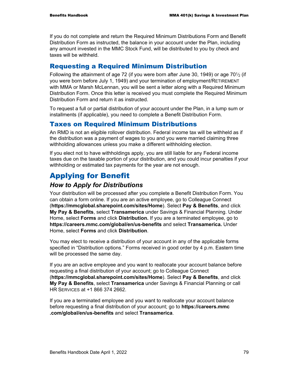If you do not complete and return the Required Minimum Distributions Form and Benefit Distribution Form as instructed, the balance in your account under the Plan, including any amount invested in the MMC Stock Fund, will be distributed to you by check and taxes will be withheld.

## Requesting a Required Minimum Distribution

Following the attainment of age 72 (if you were born after June 30, 1949) or age 70 $\frac{1}{2}$  (if you were born before July 1, 1949) and your termination of employment/RETIREMENT with MMA or Marsh McLennan, you will be sent a letter along with a Required Minimum Distribution Form. Once this letter is received you must complete the Required Minimum Distribution Form and return it as instructed.

To request a full or partial distribution of your account under the Plan, in a lump sum or installments (if applicable), you need to complete a Benefit Distribution Form.

## Taxes on Required Minimum Distributions

An RMD is not an eligible rollover distribution. Federal income tax will be withheld as if the distribution was a payment of wages to you and you were married claiming three withholding allowances unless you make a different withholding election.

If you elect not to have withholdings apply, you are still liable for any Federal income taxes due on the taxable portion of your distribution, and you could incur penalties if your withholding or estimated tax payments for the year are not enough.

# Applying for Benefit

## *How to Apply for Distributions*

Your distribution will be processed after you complete a Benefit Distribution Form. You can obtain a form online. If you are an active employee, go to Colleague Connect (**https://mmcglobal.sharepoint.com/sites/Home**). Select **Pay & Benefits**, and click **My Pay & Benefits**, select **Transamerica** under Savings & Financial Planning. Under Home, select **Forms** and click **Distribution.** If you are a terminated employee, go to **https://careers.mmc.com/global/en/us-benefits** and select **Transamerica.** Under Home, select **Forms** and click **Distribution**.

You may elect to receive a distribution of your account in any of the applicable forms specified in "Distribution options." Forms received in good order by 4 p.m. Eastern time will be processed the same day.

If you are an active employee and you want to reallocate your account balance before requesting a final distribution of your account; go to Colleague Connect (**https://mmcglobal.sharepoint.com/sites/Home**). Select **Pay & Benefits**, and click **My Pay & Benefits**, select **Transamerica** under Savings & Financial Planning or call HR SERVICES at +1 866 374 2662.

If you are a terminated employee and you want to reallocate your account balance before requesting a final distribution of your account; go to **https://careers.mmc .com/global/en/us-benefits** and select **Transamerica**.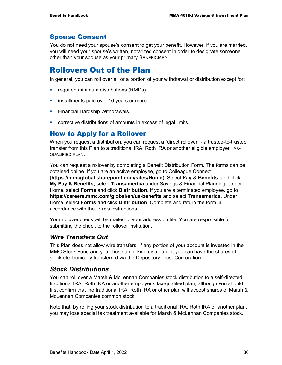## Spouse Consent

You do not need your spouse's consent to get your benefit. However, if you are married, you will need your spouse's written, notarized consent in order to designate someone other than your spouse as your primary BENEFICIARY.

# Rollovers Out of the Plan

In general, you can roll over all or a portion of your withdrawal or distribution except for:

- **•** required minimum distributions (RMDs).
- **installments paid over 10 years or more.**
- **Financial Hardship Withdrawals.**
- corrective distributions of amounts in excess of legal limits.

## How to Apply for a Rollover

When you request a distribution, you can request a "direct rollover" - a trustee-to-trustee transfer from this Plan to a traditional IRA, Roth IRA or another eligible employer TAX-QUALIFIED PLAN.

You can request a rollover by completing a Benefit Distribution Form. The forms can be obtained online. If you are an active employee, go to Colleague Connect (**https://mmcglobal.sharepoint.com/sites/Home**). Select **Pay & Benefits**, and click **My Pay & Benefits**, select **Transamerica** under Savings & Financial Planning. Under Home, select **Forms** and click **Distribution.** If you are a terminated employee, go to **https://careers.mmc.com/global/en/us-benefits** and select **Transamerica.** Under Home, select **Forms** and click **Distribution**. Complete and return the form in accordance with the form's instructions.

Your rollover check will be mailed to your address on file. You are responsible for submitting the check to the rollover institution.

## *Wire Transfers Out*

This Plan does not allow wire transfers. If any portion of your account is invested in the MMC Stock Fund and you chose an in-kind distribution, you can have the shares of stock electronically transferred via the Depository Trust Corporation.

## *Stock Distributions*

You can roll over a Marsh & McLennan Companies stock distribution to a self-directed traditional IRA, Roth IRA or another employer's tax-qualified plan; although you should first confirm that the traditional IRA, Roth IRA or other plan will accept shares of Marsh & McLennan Companies common stock.

Note that, by rolling your stock distribution to a traditional IRA, Roth IRA or another plan, you may lose special tax treatment available for Marsh & McLennan Companies stock.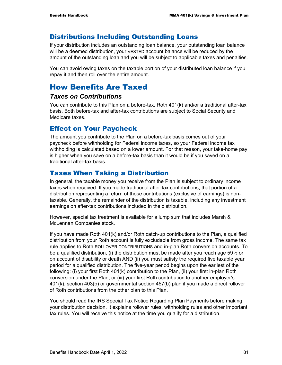### Distributions Including Outstanding Loans

If your distribution includes an outstanding loan balance, your outstanding loan balance will be a deemed distribution, your VESTED account balance will be reduced by the amount of the outstanding loan and you will be subject to applicable taxes and penalties.

You can avoid owing taxes on the taxable portion of your distributed loan balance if you repay it and then roll over the entire amount.

## How Benefits Are Taxed

### *Taxes on Contributions*

You can contribute to this Plan on a before-tax, Roth 401(k) and/or a traditional after-tax basis. Both before-tax and after-tax contributions are subject to Social Security and Medicare taxes.

### Effect on Your Paycheck

The amount you contribute to the Plan on a before-tax basis comes out of your paycheck before withholding for Federal income taxes, so your Federal income tax withholding is calculated based on a lower amount. For that reason, your take-home pay is higher when you save on a before-tax basis than it would be if you saved on a traditional after-tax basis.

### Taxes When Taking a Distribution

In general, the taxable money you receive from the Plan is subject to ordinary income taxes when received. If you made traditional after-tax contributions, that portion of a distribution representing a return of those contributions (exclusive of earnings) is nontaxable. Generally, the remainder of the distribution is taxable, including any investment earnings on after-tax contributions included in the distribution.

However, special tax treatment is available for a lump sum that includes Marsh & McLennan Companies stock.

If you have made Roth 401(k) and/or Roth catch-up contributions to the Plan, a qualified distribution from your Roth account is fully excludable from gross income. The same tax rule applies to Roth ROLLOVER CONTRIBUTIONS and in-plan Roth conversion accounts. To be a qualified distribution, (i) the distribution must be made after you reach age 59 $\frac{1}{2}$  or on account of disability or death AND (ii) you must satisfy the required five taxable year period for a qualified distribution. The five-year period begins upon the earliest of the following: (i) your first Roth 401(k) contribution to the Plan, (ii) your first in-plan Roth conversion under the Plan, or (iii) your first Roth contribution to another employer's 401(k), section 403(b) or governmental section 457(b) plan if you made a direct rollover of Roth contributions from the other plan to this Plan.

You should read the IRS Special Tax Notice Regarding Plan Payments before making your distribution decision. It explains rollover rules, withholding rules and other important tax rules. You will receive this notice at the time you qualify for a distribution.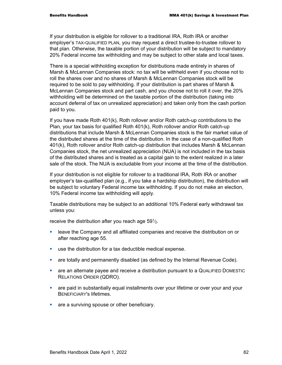If your distribution is eligible for rollover to a traditional IRA, Roth IRA or another employer's TAX-QUALIFIED PLAN, you may request a direct trustee-to-trustee rollover to that plan. Otherwise, the taxable portion of your distribution will be subject to mandatory 20% Federal income tax withholding and may be subject to other state and local taxes.

There is a special withholding exception for distributions made entirely in shares of Marsh & McLennan Companies stock: no tax will be withheld even if you choose not to roll the shares over and no shares of Marsh & McLennan Companies stock will be required to be sold to pay withholding. If your distribution is part shares of Marsh & McLennan Companies stock and part cash, and you choose not to roll it over, the 20% withholding will be determined on the taxable portion of the distribution (taking into account deferral of tax on unrealized appreciation) and taken only from the cash portion paid to you.

If you have made Roth 401(k), Roth rollover and/or Roth catch-up contributions to the Plan, your tax basis for qualified Roth 401(k), Roth rollover and/or Roth catch-up distributions that include Marsh & McLennan Companies stock is the fair market value of the distributed shares at the time of the distribution. In the case of a non-qualified Roth 401(k), Roth rollover and/or Roth catch-up distribution that includes Marsh & McLennan Companies stock, the net unrealized appreciation (NUA) is not included in the tax basis of the distributed shares and is treated as a capital gain to the extent realized in a later sale of the stock. The NUA is excludable from your income at the time of the distribution.

If your distribution is not eligible for rollover to a traditional IRA, Roth IRA or another employer's tax-qualified plan (e.g., if you take a hardship distribution), the distribution will be subject to voluntary Federal income tax withholding. If you do not make an election, 10% Federal income tax withholding will apply.

Taxable distributions may be subject to an additional 10% Federal early withdrawal tax unless you:

receive the distribution after you reach age  $59\frac{1}{2}$ .

- leave the Company and all affiliated companies and receive the distribution on or after reaching age 55.
- use the distribution for a tax deductible medical expense.
- **•** are totally and permanently disabled (as defined by the Internal Revenue Code).
- are an alternate payee and receive a distribution pursuant to a QUALIFIED DOMESTIC RELATIONS ORDER (QDRO).
- are paid in substantially equal installments over your lifetime or over your and your BENEFICIARY's lifetimes.
- **are a surviving spouse or other beneficiary.**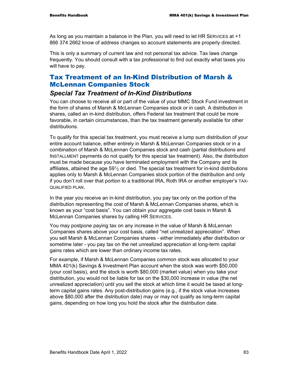As long as you maintain a balance in the Plan, you will need to let HR SERVICES at +1 866 374 2662 know of address changes so account statements are properly directed.

This is only a summary of current law and not personal tax advice. Tax laws change frequently. You should consult with a tax professional to find out exactly what taxes you will have to pay.

## Tax Treatment of an In-Kind Distribution of Marsh & McLennan Companies Stock

## *Special Tax Treatment of In-Kind Distributions*

You can choose to receive all or part of the value of your MMC Stock Fund investment in the form of shares of Marsh & McLennan Companies stock or in cash. A distribution in shares, called an in-kind distribution, offers Federal tax treatment that could be more favorable, in certain circumstances, than the tax treatment generally available for other distributions.

To qualify for this special tax treatment, you must receive a lump sum distribution of your entire account balance, either entirely in Marsh & McLennan Companies stock or in a combination of Marsh & McLennan Companies stock and cash (partial distributions and INSTALLMENT payments do not qualify for this special tax treatment). Also, the distribution must be made because you have terminated employment with the Company and its affiliates, attained the age  $59\%$  or died. The special tax treatment for in-kind distributions applies only to Marsh & McLennan Companies stock portion of the distribution and only if you don't roll over that portion to a traditional IRA, Roth IRA or another employer's TAX-QUALIFIED PLAN.

In the year you receive an in-kind distribution, you pay tax only on the portion of the distribution representing the cost of Marsh & McLennan Companies shares, which is known as your "cost basis". You can obtain your aggregate cost basis in Marsh & McLennan Companies shares by calling HR SERVICES.

You may postpone paying tax on any increase in the value of Marsh & McLennan Companies shares above your cost basis, called "net unrealized appreciation". When you sell Marsh & McLennan Companies shares - either immediately after distribution or sometime later - you pay tax on the net unrealized appreciation at long-term capital gains rates which are lower than ordinary income tax rates.

For example, if Marsh & McLennan Companies common stock was allocated to your MMA 401(k) Savings & Investment Plan account when the stock was worth \$50,000 (your cost basis), and the stock is worth \$80,000 (market value) when you take your distribution, you would not be liable for tax on the \$30,000 increase in value (the net unrealized appreciation) until you sell the stock at which time it would be taxed at longterm capital gains rates. Any post-distribution gains (e.g., if the stock value increases above \$80,000 after the distribution date) may or may not qualify as long-term capital gains, depending on how long you hold the stock after the distribution date.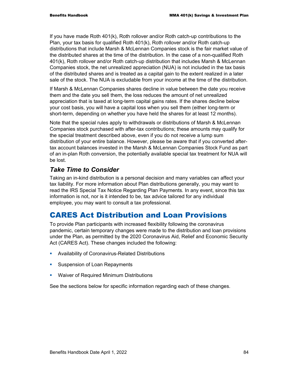If you have made Roth 401(k), Roth rollover and/or Roth catch-up contributions to the Plan, your tax basis for qualified Roth 401(k), Roth rollover and/or Roth catch-up distributions that include Marsh & McLennan Companies stock is the fair market value of the distributed shares at the time of the distribution. In the case of a non-qualified Roth 401(k), Roth rollover and/or Roth catch-up distribution that includes Marsh & McLennan Companies stock, the net unrealized appreciation (NUA) is not included in the tax basis of the distributed shares and is treated as a capital gain to the extent realized in a later sale of the stock. The NUA is excludable from your income at the time of the distribution.

If Marsh & McLennan Companies shares decline in value between the date you receive them and the date you sell them, the loss reduces the amount of net unrealized appreciation that is taxed at long-term capital gains rates. If the shares decline below your cost basis, you will have a capital loss when you sell them (either long-term or short-term, depending on whether you have held the shares for at least 12 months).

Note that the special rules apply to withdrawals or distributions of Marsh & McLennan Companies stock purchased with after-tax contributions; these amounts may qualify for the special treatment described above, even if you do not receive a lump sum distribution of your entire balance. However, please be aware that if you converted aftertax account balances invested in the Marsh & McLennan Companies Stock Fund as part of an in-plan Roth conversion, the potentially available special tax treatment for NUA will be lost.

## *Take Time to Consider*

Taking an in-kind distribution is a personal decision and many variables can affect your tax liability. For more information about Plan distributions generally, you may want to read the IRS Special Tax Notice Regarding Plan Payments. In any event, since this tax information is not, nor is it intended to be, tax advice tailored for any individual employee, you may want to consult a tax professional.

# CARES Act Distribution and Loan Provisions

To provide Plan participants with increased flexibility following the coronavirus pandemic, certain temporary changes were made to the distribution and loan provisions under the Plan, as permitted by the 2020 Coronavirus Aid, Relief and Economic Security Act (CARES Act). These changes included the following:

- **Availability of Coronavirus-Related Distributions**
- **Suspension of Loan Repayments**
- **Waiver of Required Minimum Distributions**

See the sections below for specific information regarding each of these changes.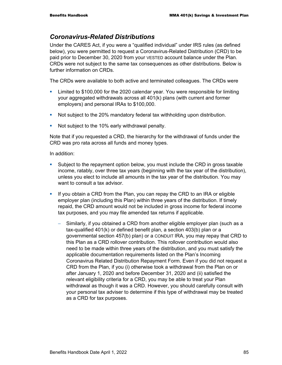## *Coronavirus-Related Distributions*

Under the CARES Act, if you were a "qualified individual" under IRS rules (as defined below), you were permitted to request a Coronavirus-Related Distribution (CRD) to be paid prior to December 30, 2020 from your VESTED account balance under the Plan. CRDs were not subject to the same tax consequences as other distributions. Below is further information on CRDs.

The CRDs were available to both active and terminated colleagues. The CRDs were

- Limited to \$100,000 for the 2020 calendar year. You were responsible for limiting your aggregated withdrawals across all 401(k) plans (with current and former employers) and personal IRAs to \$100,000.
- Not subject to the 20% mandatory federal tax withholding upon distribution.
- Not subject to the 10% early withdrawal penalty.

Note that if you requested a CRD, the hierarchy for the withdrawal of funds under the CRD was pro rata across all funds and money types.

In addition:

- Subject to the repayment option below, you must include the CRD in gross taxable income, ratably, over three tax years (beginning with the tax year of the distribution), unless you elect to include all amounts in the tax year of the distribution. You may want to consult a tax advisor.
- If you obtain a CRD from the Plan, you can repay the CRD to an IRA or eligible employer plan (including this Plan) within three years of the distribution. If timely repaid, the CRD amount would not be included in gross income for federal income tax purposes, and you may file amended tax returns if applicable.
	- Similarly, if you obtained a CRD from another eligible employer plan (such as a tax-qualified 401(k) or defined benefit plan, a section 403(b) plan or a governmental section 457(b) plan) or a CONDUIT IRA, you may repay that CRD to this Plan as a CRD rollover contribution. This rollover contribution would also need to be made within three years of the distribution, and you must satisfy the applicable documentation requirements listed on the Plan's Incoming Coronavirus Related Distribution Repayment Form. Even if you did not request a CRD from the Plan, if you (i) otherwise took a withdrawal from the Plan on or after January 1, 2020 and before December 31, 2020 and (ii) satisfied the relevant eligibility criteria for a CRD, you may be able to treat your Plan withdrawal as though it was a CRD. However, you should carefully consult with your personal tax adviser to determine if this type of withdrawal may be treated as a CRD for tax purposes.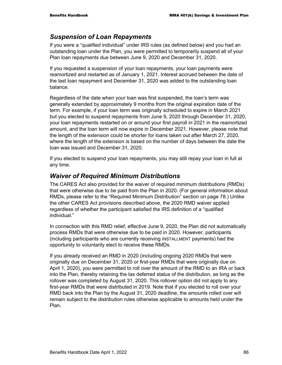## *Suspension of Loan Repayments*

If you were a "qualified individual" under IRS rules (as defined below) and you had an outstanding loan under the Plan, you were permitted to temporarily suspend all of your Plan loan repayments due between June 9, 2020 and December 31, 2020.

If you requested a suspension of your loan repayments, your loan payments were reamortized and restarted as of January 1, 2021. Interest accrued between the date of the last loan repayment and December 31, 2020 was added to the outstanding loan balance.

Regardless of the date when your loan was first suspended, the loan's term was generally extended by approximately 9 months from the original expiration date of the term. For example, if your loan term was originally scheduled to expire in March 2021 but you elected to suspend repayments from June 9, 2020 through December 31, 2020, your loan repayments restarted on or around your first payroll in 2021 in the reamortized amount, and the loan term will now expire in December 2021. However, please note that the length of the extension could be shorter for loans taken out after March 27, 2020, where the length of the extension is based on the number of days between the date the loan was issued and December 31, 2020.

If you elected to suspend your loan repayments, you may still repay your loan in full at any time.

### *Waiver of Required Minimum Distributions*

The CARES Act also provided for the waiver of required minimum distributions (RMDs) that were otherwise due to be paid from the Plan in 2020. (For general information about RMDs, please refer to the "Required Minimum Distribution" section on page 78.) Unlike the other CARES Act provisions described above, the 2020 RMD waiver applied regardless of whether the participant satisfied the IRS definition of a "qualified individual."

In connection with this RMD relief, effective June 9, 2020, the Plan did not automatically process RMDs that were otherwise due to be paid in 2020. However, participants (including participants who are currently receiving INSTALLMENT payments) had the opportunity to voluntarily elect to receive these RMDs.

If you already received an RMD in 2020 (including ongoing 2020 RMDs that were originally due on December 31, 2020 or first-year RMDs that were originally due on April 1, 2020), you were permitted to roll over the amount of the RMD to an IRA or back into the Plan, thereby retaining the tax deferred status of the distribution, as long as the rollover was completed by August 31, 2020. This rollover option did not apply to any first-year RMDs that were distributed in 2019. Note that if you elected to roll over your RMD back into the Plan by the August 31, 2020 deadline, the amounts rolled over will remain subject to the distribution rules otherwise applicable to amounts held under the Plan.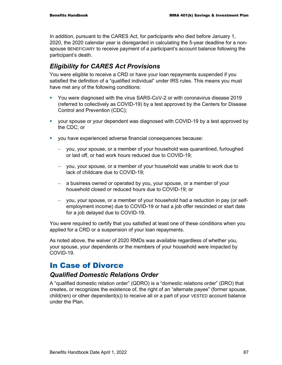In addition, pursuant to the CARES Act, for participants who died before January 1, 2020, the 2020 calendar year is disregarded in calculating the 5-year deadline for a nonspouse BENEFICIARY to receive payment of a participant's account balance following the participant's death.

## *Eligibility for CARES Act Provisions*

You were eligible to receive a CRD or have your loan repayments suspended if you satisfied the definition of a "qualified individual" under IRS rules. This means you must have met any of the following conditions:

- You were diagnosed with the virus SARS-CoV-2 or with coronavirus disease 2019 (referred to collectively as COVID-19) by a test approved by the Centers for Disease Control and Prevention (CDC);
- your spouse or your dependent was diagnosed with COVID-19 by a test approved by the CDC; or
- you have experienced adverse financial consequences because:
	- − you, your spouse, or a member of your household was quarantined, furloughed or laid off, or had work hours reduced due to COVID-19;
	- − you, your spouse, or a member of your household was unable to work due to lack of childcare due to COVID-19;
	- − a business owned or operated by you, your spouse, or a member of your household closed or reduced hours due to COVID-19; or
	- − you, your spouse, or a member of your household had a reduction in pay (or selfemployment income) due to COVID-19 or had a job offer rescinded or start date for a job delayed due to COVID-19.

You were required to certify that you satisfied at least one of these conditions when you applied for a CRD or a suspension of your loan repayments.

As noted above, the waiver of 2020 RMDs was available regardless of whether you, your spouse, your dependents or the members of your household were impacted by COVID-19.

## In Case of Divorce

## *Qualified Domestic Relations Order*

A "qualified domestic relation order" (QDRO) is a "domestic relations order" (DRO) that creates, or recognizes the existence of, the right of an "alternate payee" (former spouse, child(ren) or other dependent(s)) to receive all or a part of your VESTED account balance under the Plan.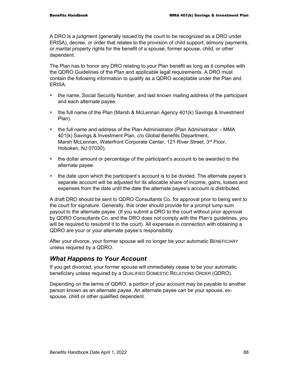A DRO is a judgment (generally issued by the court to be recognized as a DRO under ERISA), decree, or order that relates to the provision of child support, alimony payments, or marital property rights for the benefit of a spouse, former spouse, child, or other dependent.

The Plan has to honor any DRO relating to your Plan benefit as long as it complies with the QDRO Guidelines of the Plan and applicable legal requirements. A DRO must contain the following information to qualify as a QDRO acceptable under the Plan and ERISA.

- the name, Social Security Number, and last known mailing address of the participant and each alternate payee.
- the full name of the Plan (Marsh & McLennan Agency 401(k) Savings & Investment Plan).
- the full name and address of the Plan Administrator (Plan Administrator MMA 401(k) Savings & Investment Plan, c/o Global Benefits Department, Marsh McLennan, Waterfront Corporate Center, 121 River Street, 3<sup>rd</sup> Floor, Hoboken, NJ 07030).
- the dollar amount or percentage of the participant's account to be awarded to the alternate payee.
- the date upon which the participant's account is to be divided. The alternate payee's separate account will be adjusted for its allocable share of income, gains, losses and expenses from the date until the date the alternate payee's account is distributed.

A draft DRO should be sent to QDRO Consultants Co. for approval prior to being sent to the court for signature. Generally, this order should provide for a prompt lump sum payout to the alternate payee. (If you submit a DRO to the court without prior approval by QDRO Consultants Co. and the DRO does not comply with the Plan's guidelines, you will be required to resubmit it to the court). All expenses in connection with obtaining a QDRO are your or your alternate payee's responsibility.

After your divorce, your former spouse will no longer be your automatic BENEFICIARY unless required by a QDRO.

## *What Happens to Your Account*

If you get divorced, your former spouse will immediately cease to be your automatic beneficiary unless required by a QUALIFIED DOMESTIC RELATIONS ORDER (QDRO).

Depending on the terms of QDRO, a portion of your account may be payable to another person known as an alternate payee. An alternate payee can be your spouse, exspouse, child or other qualified dependent.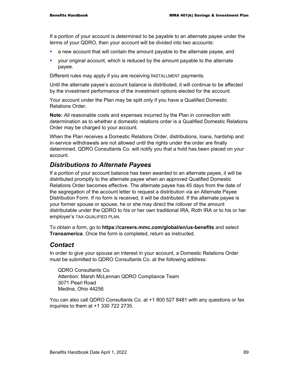If a portion of your account is determined to be payable to an alternate payee under the terms of your QDRO, then your account will be divided into two accounts:

- a new account that will contain the amount payable to the alternate payee, and
- your original account, which is reduced by the amount payable to the alternate payee.

Different rules may apply if you are receiving INSTALLMENT payments.

Until the alternate payee's account balance is distributed, it will continue to be affected by the investment performance of the investment options elected for the account.

Your account under the Plan may be split only if you have a Qualified Domestic Relations Order.

**Note:** All reasonable costs and expenses incurred by the Plan in connection with determination as to whether a domestic relations order is a Qualified Domestic Relations Order may be charged to your account.

When the Plan receives a Domestic Relations Order, distributions, loans, hardship and in-service withdrawals are not allowed until the rights under the order are finally determined. QDRO Consultants Co. will notify you that a hold has been placed on your account.

## *Distributions to Alternate Payees*

If a portion of your account balance has been awarded to an alternate payee, it will be distributed promptly to the alternate payee when an approved Qualified Domestic Relations Order becomes effective. The alternate payee has 45 days from the date of the segregation of the account letter to request a distribution via an Alternate Payee Distribution Form. If no form is received, it will be distributed. If the alternate payee is your former spouse or spouse, he or she may direct the rollover of the amount distributable under the QDRO to his or her own traditional IRA, Roth IRA or to his or her employer's TAX-QUALIFIED PLAN.

To obtain a form, go to **https://careers.mmc.com/global/en/us-benefits** and select **Transamerica**. Once the form is completed, return as instructed.

### *Contact*

In order to give your spouse an interest in your account, a Domestic Relations Order must be submitted to QDRO Consultants Co. at the following address:

QDRO Consultants Co. Attention: Marsh McLennan QDRO Compliance Team 3071 Pearl Road Medina, Ohio 44256

You can also call QDRO Consultants Co. at +1 800 527 8481 with any questions or fax inquiries to them at +1 330 722 2735.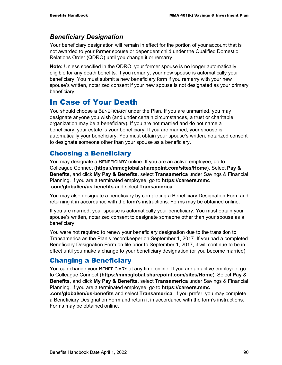### *Beneficiary Designation*

Your beneficiary designation will remain in effect for the portion of your account that is not awarded to your former spouse or dependent child under the Qualified Domestic Relations Order (QDRO) until you change it or remarry.

**Note:** Unless specified in the QDRO, your former spouse is no longer automatically eligible for any death benefits. If you remarry, your new spouse is automatically your beneficiary. You must submit a new beneficiary form if you remarry with your new spouse's written, notarized consent if your new spouse is not designated as your primary beneficiary.

## In Case of Your Death

You should choose a BENEFICIARY under the Plan. If you are unmarried, you may designate anyone you wish (and under certain circumstances, a trust or charitable organization may be a beneficiary). If you are not married and do not name a beneficiary, your estate is your beneficiary. If you are married, your spouse is automatically your beneficiary. You must obtain your spouse's written, notarized consent to designate someone other than your spouse as a beneficiary.

## Choosing a Beneficiary

You may designate a BENEFICIARY online. If you are an active employee, go to Colleague Connect (**https://mmcglobal.sharepoint.com/sites/Home**). Select **Pay & Benefits**, and click **My Pay & Benefits**, select **Transamerica** under Savings & Financial Planning. If you are a terminated employee, go to **https://careers.mmc .com/global/en/us-benefits** and select **Transamerica**.

You may also designate a beneficiary by completing a Beneficiary Designation Form and returning it in accordance with the form's instructions. Forms may be obtained online.

If you are married, your spouse is automatically your beneficiary. You must obtain your spouse's written, notarized consent to designate someone other than your spouse as a beneficiary.

You were not required to renew your beneficiary designation due to the transition to Transamerica as the Plan's recordkeeper on September 1, 2017. If you had a completed Beneficiary Designation Form on file prior to September 1, 2017, it will continue to be in effect until you make a change to your beneficiary designation (or you become married).

## Changing a Beneficiary

You can change your BENEFICIARY at any time online. If you are an active employee, go to Colleague Connect (**https://mmcglobal.sharepoint.com/sites/Home**). Select **Pay & Benefits**, and click **My Pay & Benefits**, select **Transamerica** under Savings & Financial Planning. If you are a terminated employee, go to **https://careers.mmc**

**.com/global/en/us-benefits** and select **Transamerica**. If you prefer, you may complete a Beneficiary Designation Form and return it in accordance with the form's instructions. Forms may be obtained online.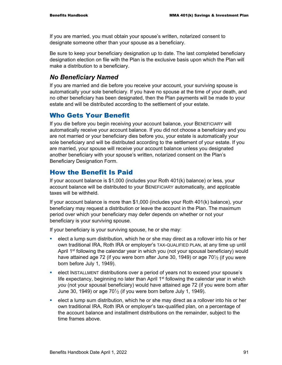If you are married, you must obtain your spouse's written, notarized consent to designate someone other than your spouse as a beneficiary.

Be sure to keep your beneficiary designation up to date. The last completed beneficiary designation election on file with the Plan is the exclusive basis upon which the Plan will make a distribution to a beneficiary.

### *No Beneficiary Named*

If you are married and die before you receive your account, your surviving spouse is automatically your sole beneficiary. If you have no spouse at the time of your death, and no other beneficiary has been designated, then the Plan payments will be made to your estate and will be distributed according to the settlement of your estate.

## Who Gets Your Benefit

If you die before you begin receiving your account balance, your BENEFICIARY will automatically receive your account balance. If you did not choose a beneficiary and you are not married or your beneficiary dies before you, your estate is automatically your sole beneficiary and will be distributed according to the settlement of your estate. If you are married, your spouse will receive your account balance unless you designated another beneficiary with your spouse's written, notarized consent on the Plan's Beneficiary Designation Form.

## How the Benefit Is Paid

If your account balance is \$1,000 (includes your Roth 401(k) balance) or less, your account balance will be distributed to your BENEFICIARY automatically, and applicable taxes will be withheld.

If your account balance is more than \$1,000 (includes your Roth 401(k) balance), your beneficiary may request a distribution or leave the account in the Plan. The maximum period over which your beneficiary may defer depends on whether or not your beneficiary is your surviving spouse.

If your beneficiary is your surviving spouse, he or she may:

- elect a lump sum distribution, which he or she may direct as a rollover into his or her own traditional IRA, Roth IRA or employer's TAX-QUALIFIED PLAN, at any time up until April 1<sup>st</sup> following the calendar year in which you (not your spousal beneficiary) would have attained age 72 (if you were born after June 30, 1949) or age 70 $\frac{1}{2}$  (if you were born before July 1, 1949).
- **EXECT INSTALLMENT distributions over a period of years not to exceed your spouse's** life expectancy, beginning no later than April  $1<sup>st</sup>$  following the calendar year in which *you* (not your spousal beneficiary) would have attained age 72 (if you were born after June 30, 1949) or age  $70\frac{1}{2}$  (if you were born before July 1, 1949).
- elect a lump sum distribution, which he or she may direct as a rollover into his or her own traditional IRA, Roth IRA or employer's tax-qualified plan, on a percentage of the account balance and installment distributions on the remainder, subject to the time frames above.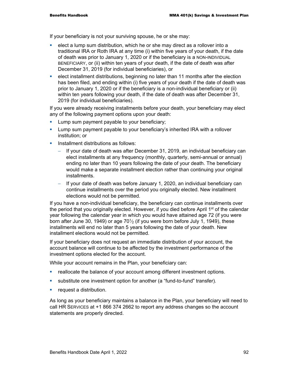If your beneficiary is not your surviving spouse, he or she may:

- elect a lump sum distribution, which he or she may direct as a rollover into a traditional IRA or Roth IRA at any time (i) within five years of your death, if the date of death was prior to January 1, 2020 or if the beneficiary is a NON-INDIVIDUAL BENEFICIARY, or (ii) within ten years of your death, if the date of death was after December 31, 2019 (for individual beneficiaries), or
- elect installment distributions, beginning no later than 11 months after the election has been filed, and ending within (i) five years of your death if the date of death was prior to January 1, 2020 or if the beneficiary is a non-individual beneficiary or (ii) within ten years following your death, if the date of death was after December 31, 2019 (for individual beneficiaries).

If you were already receiving installments before your death, your beneficiary may elect any of the following payment options upon your death:

- **Lump sum payment payable to your beneficiary;**
- Lump sum payment payable to your beneficiary's inherited IRA with a rollover institution; or
- **Installment distributions as follows:** 
	- If your date of death was after December 31, 2019, an individual beneficiary can elect installments at any frequency (monthly, quarterly, semi-annual or annual) ending no later than 10 years following the date of your death. The beneficiary would make a separate installment election rather than continuing your original installments.
	- − If your date of death was before January 1, 2020, an individual beneficiary can continue installments over the period you originally elected. New installment elections would not be permitted.

If you have a non-individual beneficiary, the beneficiary can continue installments over the period that you originally elected. However, if you died before April 1<sup>st</sup> of the calendar year following the calendar year in which you would have attained age 72 (if you were born after June 30, 1949) or age  $70\frac{1}{2}$  (if you were born before July 1, 1949), these installments will end no later than 5 years following the date of your death. New installment elections would not be permitted.

If your beneficiary does not request an immediate distribution of your account, the account balance will continue to be affected by the investment performance of the investment options elected for the account.

While your account remains in the Plan, your beneficiary can:

- reallocate the balance of your account among different investment options.
- substitute one investment option for another (a "fund-to-fund" transfer).
- **Figure 1** request a distribution.

As long as your beneficiary maintains a balance in the Plan, your beneficiary will need to call HR SERVICES at +1 866 374 2662 to report any address changes so the account statements are properly directed.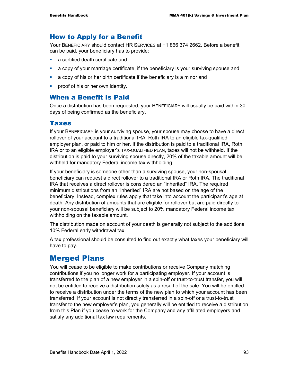## How to Apply for a Benefit

Your BENEFICIARY should contact HR SERVICES at +1 866 374 2662. Before a benefit can be paid, your beneficiary has to provide:

- **a** certified death certificate and
- a copy of your marriage certificate, if the beneficiary is your surviving spouse and
- a copy of his or her birth certificate if the beneficiary is a minor and
- **•** proof of his or her own identity.

### When a Benefit Is Paid

Once a distribution has been requested, your BENEFICIARY will usually be paid within 30 days of being confirmed as the beneficiary.

### Taxes

If your BENEFICIARY is your surviving spouse, your spouse may choose to have a direct rollover of your account to a traditional IRA, Roth IRA to an eligible tax-qualified employer plan, or paid to him or her. If the distribution is paid to a traditional IRA, Roth IRA or to an eligible employer's TAX-QUALIFIED PLAN, taxes will not be withheld. If the distribution is paid to your surviving spouse directly, 20% of the taxable amount will be withheld for mandatory Federal income tax withholding.

If your beneficiary is someone other than a surviving spouse, your non-spousal beneficiary can request a direct rollover to a traditional IRA or Roth IRA. The traditional IRA that receives a direct rollover is considered an "inherited" IRA. The required minimum distributions from an "inherited" IRA are not based on the age of the beneficiary. Instead, complex rules apply that take into account the participant's age at death. Any distribution of amounts that are eligible for rollover but are paid directly to your non-spousal beneficiary will be subject to 20% mandatory Federal income tax withholding on the taxable amount.

The distribution made on account of your death is generally not subject to the additional 10% Federal early withdrawal tax.

A tax professional should be consulted to find out exactly what taxes your beneficiary will have to pay.

## Merged Plans

You will cease to be eligible to make contributions or receive Company matching contributions if you no longer work for a participating employer. If your account is transferred to the plan of a new employer in a spin-off or trust-to-trust transfer, you will not be entitled to receive a distribution solely as a result of the sale. You will be entitled to receive a distribution under the terms of the new plan to which your account has been transferred. If your account is not directly transferred in a spin-off or a trust-to-trust transfer to the new employer's plan, you generally will be entitled to receive a distribution from this Plan if you cease to work for the Company and any affiliated employers and satisfy any additional tax law requirements.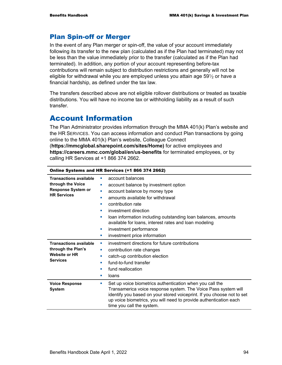## Plan Spin-off or Merger

In the event of any Plan merger or spin-off, the value of your account immediately following its transfer to the new plan (calculated as if the Plan had terminated) may not be less than the value immediately prior to the transfer (calculated as if the Plan had terminated). In addition, any portion of your account representing before-tax contributions will remain subject to distribution restrictions and generally will not be eligible for withdrawal while you are employed unless you attain age  $59\frac{1}{2}$  or have a financial hardship, as defined under the tax law.

The transfers described above are not eligible rollover distributions or treated as taxable distributions. You will have no income tax or withholding liability as a result of such transfer.

## Account Information

The Plan Administrator provides information through the MMA 401(k) Plan's website and the HR SERVICES. You can access information and conduct Plan transactions by going online to the MMA 401(k) Plan's website, Colleague Connect (**https://mmcglobal.sharepoint.com/sites/Home)** for active employees and **https://careers.mmc.com/global/en/us-benefits** for terminated employees, or by calling HR Services at +1 866 374 2662.

| Online Systems and HR Services (+1 866 374 2662)                                                      |                                                                                                                                                                                                                                                                                                                                                                                                               |  |
|-------------------------------------------------------------------------------------------------------|---------------------------------------------------------------------------------------------------------------------------------------------------------------------------------------------------------------------------------------------------------------------------------------------------------------------------------------------------------------------------------------------------------------|--|
| <b>Transactions available</b><br>through the Voice<br><b>Response System or</b><br><b>HR Services</b> | account balances<br>ш<br>account balance by investment option<br>o,<br>account balance by money type<br>a.<br>amounts available for withdrawal<br>ш<br>contribution rate<br>ш<br>investment direction<br>п<br>loan information including outstanding loan balances, amounts<br>ш<br>available for loans, interest rates and loan modeling<br>investment performance<br>×<br>investment price information<br>× |  |
| <b>Transactions available</b><br>through the Plan's<br><b>Website or HR</b><br><b>Services</b>        | investment directions for future contributions<br>×<br>contribution rate changes<br>×<br>catch-up contribution election<br>ш<br>fund-to-fund transfer<br>п<br>fund reallocation<br>п<br>loans<br>ш                                                                                                                                                                                                            |  |
| <b>Voice Response</b><br><b>System</b>                                                                | Set up voice biometrics authentication when you call the<br>ш<br>Transamerica voice response system. The Voice Pass system will<br>identify you based on your stored voiceprint. If you choose not to set<br>up voice biometrics, you will need to provide authentication each<br>time you call the system.                                                                                                   |  |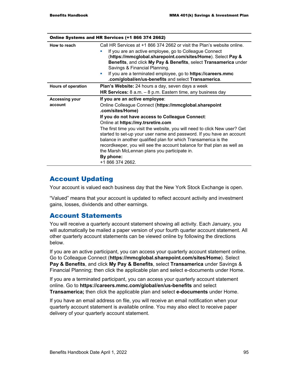| Online Systems and HR Services (+1 866 374 2662) |                                                                                                                                                                                                                                                                                                                                                                                                                                                                                                                                                                                             |  |
|--------------------------------------------------|---------------------------------------------------------------------------------------------------------------------------------------------------------------------------------------------------------------------------------------------------------------------------------------------------------------------------------------------------------------------------------------------------------------------------------------------------------------------------------------------------------------------------------------------------------------------------------------------|--|
| How to reach                                     | Call HR Services at +1 866 374 2662 or visit the Plan's website online.<br>If you are an active employee, go to Colleague Connect<br>(https://mmcglobal.sharepoint.com/sites/Home). Select Pay &<br>Benefits, and click My Pay & Benefits, select Transamerica under<br>Savings & Financial Planning.<br>If you are a terminated employee, go to https://careers.mmc<br><b>CONTRACTOR</b><br>.com/global/en/us-benefits and select Transamerica.                                                                                                                                            |  |
| <b>Hours of operation</b>                        | Plan's Website: 24 hours a day, seven days a week<br>HR Services: $8$ a.m. $-8$ p.m. Eastern time, any business day                                                                                                                                                                                                                                                                                                                                                                                                                                                                         |  |
| <b>Accessing your</b><br>account                 | If you are an active employee:<br>Online Colleague Connect (https://mmcglobal.sharepoint<br>.com/sites/Home)<br>If you do not have access to Colleague Connect:<br>Online at https://my.trsretire.com<br>The first time you visit the website, you will need to click New user? Get<br>started to set-up your user name and password. If you have an account<br>balance in another qualified plan for which Transamerica is the<br>recordkeeper, you will see the account balance for that plan as well as<br>the Marsh McLennan plans you participate in.<br>By phone:<br>+1 866 374 2662. |  |

## Account Updating

Your account is valued each business day that the New York Stock Exchange is open.

"Valued" means that your account is updated to reflect account activity and investment gains, losses, dividends and other earnings.

## Account Statements

You will receive a quarterly account statement showing all activity. Each January, you will automatically be mailed a paper version of your fourth quarter account statement. All other quarterly account statements can be viewed online by following the directions below.

If you are an active participant, you can access your quarterly account statement online. Go to Colleague Connect (**https://mmcglobal.sharepoint.com/sites/Home**). Select **Pay & Benefits**, and click **My Pay & Benefits**, select **Transamerica** under Savings & Financial Planning; then click the applicable plan and select e-documents under Home.

If you are a terminated participant, you can access your quarterly account statement online. Go to **https://careers.mmc.com/global/en/us-benefits** and select **Transamerica;** then click the applicable plan and select **e-documents** under Home.

If you have an email address on file, you will receive an email notification when your quarterly account statement is available online. You may also elect to receive paper delivery of your quarterly account statement.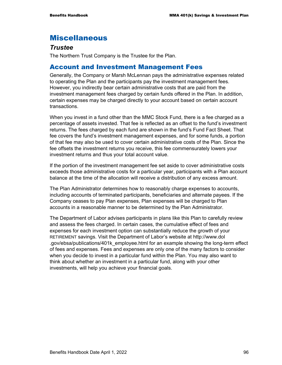# Miscellaneous

### *Trustee*

The Northern Trust Company is the Trustee for the Plan.

## Account and Investment Management Fees

Generally, the Company or Marsh McLennan pays the administrative expenses related to operating the Plan and the participants pay the investment management fees. However, you indirectly bear certain administrative costs that are paid from the investment management fees charged by certain funds offered in the Plan. In addition, certain expenses may be charged directly to your account based on certain account transactions.

When you invest in a fund other than the MMC Stock Fund, there is a fee charged as a percentage of assets invested. That fee is reflected as an offset to the fund's investment returns. The fees charged by each fund are shown in the fund's Fund Fact Sheet. That fee covers the fund's investment management expenses, and for some funds, a portion of that fee may also be used to cover certain administrative costs of the Plan. Since the fee offsets the investment returns you receive, this fee commensurately lowers your investment returns and thus your total account value.

If the portion of the investment management fee set aside to cover administrative costs exceeds those administrative costs for a particular year, participants with a Plan account balance at the time of the allocation will receive a distribution of any excess amount.

The Plan Administrator determines how to reasonably charge expenses to accounts, including accounts of terminated participants, beneficiaries and alternate payees. If the Company ceases to pay Plan expenses, Plan expenses will be charged to Plan accounts in a reasonable manner to be determined by the Plan Administrator.

The Department of Labor advises participants in plans like this Plan to carefully review and assess the fees charged. In certain cases, the cumulative effect of fees and expenses for each investment option can substantially reduce the growth of your RETIREMENT savings. Visit the Department of Labor's website at http://www.dol .gov/ebsa/publications/401k\_employee.html for an example showing the long-term effect of fees and expenses. Fees and expenses are only one of the many factors to consider when you decide to invest in a particular fund within the Plan. You may also want to think about whether an investment in a particular fund, along with your other investments, will help you achieve your financial goals.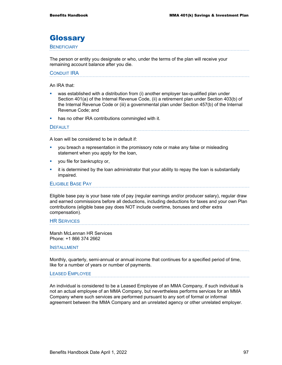## **Glossary**

#### **BENEFICIARY**

The person or entity you designate or who, under the terms of the plan will receive your remaining account balance after you die.

### CONDUIT IRA

An IRA that:

- was established with a distribution from (i) another employer tax-qualified plan under Section 401(a) of the Internal Revenue Code, (ii) a retirement plan under Section 403(b) of the Internal Revenue Code or (iii) a governmental plan under Section 457(b) of the Internal Revenue Code; and
- has no other IRA contributions commingled with it.

#### **DEFAULT**

A loan will be considered to be in default if:

- you breach a representation in the promissory note or make any false or misleading statement when you apply for the loan,
- **vou file for bankruptcy or,**
- it is determined by the loan administrator that your ability to repay the loan is substantially impaired.

#### ELIGIBLE BASE PAY

Eligible base pay is your base rate of pay (regular earnings and/or producer salary), regular draw and earned commissions before all deductions, including deductions for taxes and your own Plan contributions (eligible base pay does NOT include overtime, bonuses and other extra compensation).

#### HR SERVICES

Marsh McLennan HR Services Phone: +1 866 374 2662

#### INSTALLMENT

Monthly, quarterly, semi-annual or annual income that continues for a specified period of time, like for a number of years or number of payments.

#### LEASED EMPLOYEE

An individual is considered to be a Leased Employee of an MMA Company, if such individual is not an actual employee of an MMA Company, but nevertheless performs services for an MMA Company where such services are performed pursuant to any sort of formal or informal agreement between the MMA Company and an unrelated agency or other unrelated employer.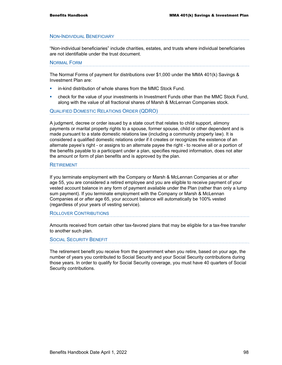#### NON-INDIVIDUAL BENEFICIARY

"Non-individual beneficiaries" include charities, estates, and trusts where individual beneficiaries are not identifiable under the trust document.

#### NORMAL FORM

The Normal Forms of payment for distributions over \$1,000 under the MMA 401(k) Savings & Investment Plan are:

- **EXECT** in-kind distribution of whole shares from the MMC Stock Fund.
- check for the value of your investments in Investment Funds other than the MMC Stock Fund, along with the value of all fractional shares of Marsh & McLennan Companies stock.

### QUALIFIED DOMESTIC RELATIONS ORDER (QDRO)

A judgment, decree or order issued by a state court that relates to child support, alimony payments or marital property rights to a spouse, former spouse, child or other dependent and is made pursuant to a state domestic relations law (including a community property law). It is considered a qualified domestic relations order if it creates or recognizes the existence of an alternate payee's right - or assigns to an alternate payee the right - to receive all or a portion of the benefits payable to a participant under a plan, specifies required information, does not alter the amount or form of plan benefits and is approved by the plan.

#### **RETIREMENT**

If you terminate employment with the Company or Marsh & McLennan Companies at or after age 55, you are considered a retired employee and you are eligible to receive payment of your vested account balance in any form of payment available under the Plan (rather than only a lump sum payment). If you terminate employment with the Company or Marsh & McLennan Companies at or after age 65, your account balance will automatically be 100% vested (regardless of your years of vesting service).

#### ROLLOVER CONTRIBUTIONS

Amounts received from certain other tax-favored plans that may be eligible for a tax-free transfer to another such plan.

#### SOCIAL SECURITY BENEFIT

The retirement benefit you receive from the government when you retire, based on your age, the number of years you contributed to Social Security and your Social Security contributions during those years. In order to qualify for Social Security coverage, you must have 40 quarters of Social Security contributions.